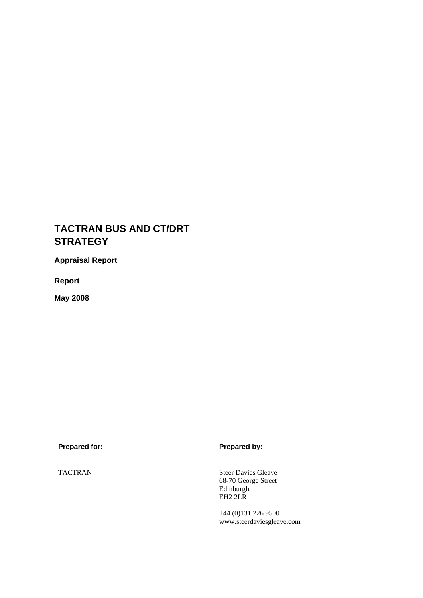# **TACTRAN BUS AND CT/DRT STRATEGY**

**Appraisal Report** 

**Report** 

**May 2008** 

Prepared for: **Prepared by: Prepared by:** 

TACTRAN Steer Davies Gleave 68-70 George Street Edinburgh EH2 2LR

> +44 (0)131 226 9500 www.steerdaviesgleave.com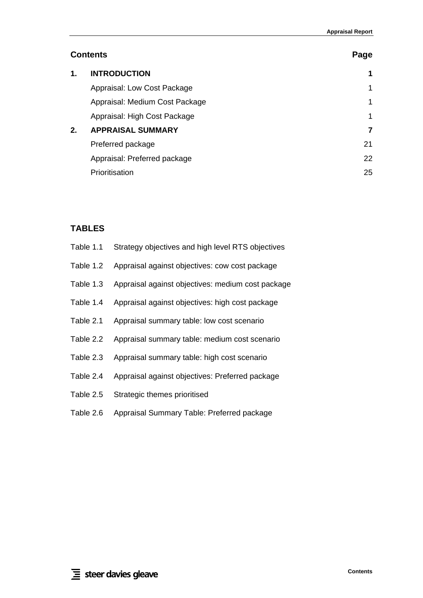# **Contents** Page **Page 2014**

| 1. | <b>INTRODUCTION</b>            | 1            |
|----|--------------------------------|--------------|
|    | Appraisal: Low Cost Package    | $\mathbf{1}$ |
|    | Appraisal: Medium Cost Package | 1            |
|    | Appraisal: High Cost Package   | 1            |
| 2. | <b>APPRAISAL SUMMARY</b>       | 7            |
|    | Preferred package              | 21           |
|    | Appraisal: Preferred package   | 22           |
|    | Prioritisation                 | 25           |

# **TABLES**

| Table 1.1 | Strategy objectives and high level RTS objectives |
|-----------|---------------------------------------------------|
| Table 1.2 | Appraisal against objectives: cow cost package    |
| Table 1.3 | Appraisal against objectives: medium cost package |
| Table 1.4 | Appraisal against objectives: high cost package   |
| Table 2.1 | Appraisal summary table: low cost scenario        |
| Table 2.2 | Appraisal summary table: medium cost scenario     |
| Table 2.3 | Appraisal summary table: high cost scenario       |
| Table 2.4 | Appraisal against objectives: Preferred package   |
| Table 2.5 | Strategic themes prioritised                      |
| Table 2.6 | Appraisal Summary Table: Preferred package        |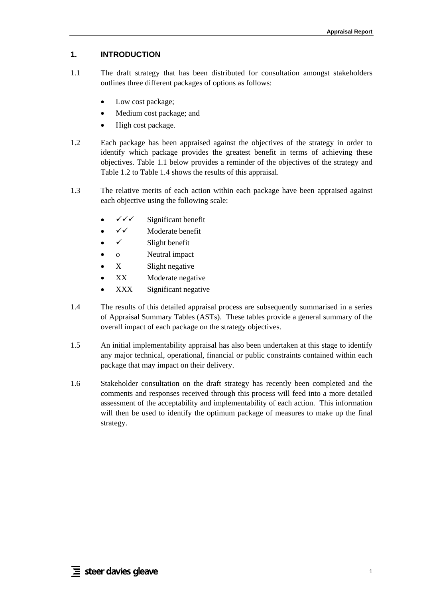## <span id="page-4-0"></span>**1. INTRODUCTION**

- 1.1 The draft strategy that has been distributed for consultation amongst stakeholders outlines three different packages of options as follows:
	- Low cost package;
	- Medium cost package; and
	- High cost package.
- 1.2 Each package has been appraised against the objectives of the strategy in order to identify which package provides the greatest benefit in terms of achieving these objectives. [Table 1.1](#page-5-0) below provides a reminder of the objectives of the strategy and [Table 1.2](#page-6-1) to [Table 1.4](#page-16-1) shows the results of this appraisal.
- 1.3 The relative merits of each action within each package have been appraised against each objective using the following scale:
	- $\checkmark\checkmark$  Significant benefit
	- $\checkmark\checkmark$  Moderate benefit
	- $\checkmark$  Slight benefit
	- ο Neutral impact
	- X Slight negative
	- XX Moderate negative
	- XXX Significant negative
- 1.4 The results of this detailed appraisal process are subsequently summarised in a series of Appraisal Summary Tables (ASTs). These tables provide a general summary of the overall impact of each package on the strategy objectives.
- 1.5 An initial implementability appraisal has also been undertaken at this stage to identify any major technical, operational, financial or public constraints contained within each package that may impact on their delivery.
- 1.6 Stakeholder consultation on the draft strategy has recently been completed and the comments and responses received through this process will feed into a more detailed assessment of the acceptability and implementability of each action. This information will then be used to identify the optimum package of measures to make up the final strategy.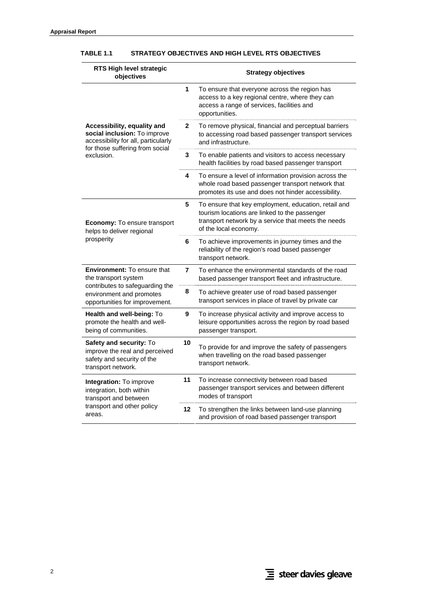| RTS High level strategic<br>objectives                                                                                                |              | <b>Strategy objectives</b>                                                                                                                                                            |
|---------------------------------------------------------------------------------------------------------------------------------------|--------------|---------------------------------------------------------------------------------------------------------------------------------------------------------------------------------------|
|                                                                                                                                       | 1            | To ensure that everyone across the region has<br>access to a key regional centre, where they can<br>access a range of services, facilities and<br>opportunities.                      |
| Accessibility, equality and<br>social inclusion: To improve<br>accessibility for all, particularly<br>for those suffering from social | $\mathbf{2}$ | To remove physical, financial and perceptual barriers<br>to accessing road based passenger transport services<br>and infrastructure.                                                  |
| exclusion.                                                                                                                            | 3            | To enable patients and visitors to access necessary<br>health facilities by road based passenger transport                                                                            |
|                                                                                                                                       | 4            | To ensure a level of information provision across the<br>whole road based passenger transport network that<br>promotes its use and does not hinder accessibility.                     |
| <b>Economy: To ensure transport</b><br>helps to deliver regional                                                                      | 5            | To ensure that key employment, education, retail and<br>tourism locations are linked to the passenger<br>transport network by a service that meets the needs<br>of the local economy. |
| prosperity                                                                                                                            | 6            | To achieve improvements in journey times and the<br>reliability of the region's road based passenger<br>transport network.                                                            |
| Environment: To ensure that<br>the transport system                                                                                   | 7            | To enhance the environmental standards of the road<br>based passenger transport fleet and infrastructure.                                                                             |
| contributes to safeguarding the<br>environment and promotes<br>opportunities for improvement.                                         | 8            | To achieve greater use of road based passenger<br>transport services in place of travel by private car                                                                                |
| <b>Health and well-being: To</b><br>promote the health and well-<br>being of communities.                                             | 9            | To increase physical activity and improve access to<br>leisure opportunities across the region by road based<br>passenger transport.                                                  |
| Safety and security: To<br>improve the real and perceived<br>safety and security of the<br>transport network.                         | 10           | To provide for and improve the safety of passengers<br>when travelling on the road based passenger<br>transport network.                                                              |
| Integration: To improve<br>integration, both within<br>transport and between                                                          | 11           | To increase connectivity between road based<br>passenger transport services and between different<br>modes of transport                                                               |
| transport and other policy<br>areas.                                                                                                  | 12           | To strengthen the links between land-use planning<br>and provision of road based passenger transport                                                                                  |

## <span id="page-5-0"></span>**TABLE 1.1 STRATEGY OBJECTIVES AND HIGH LEVEL RTS OBJECTIVES**

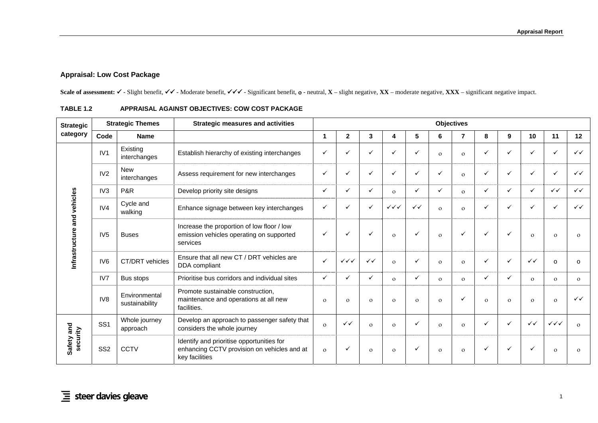## **Appraisal: Low Cost Package**

Scale of assessment: ✓ - Slight benefit, ✓✓ - Moderate benefit, ✓✓✓ - Significant benefit, o - neutral, **X** – slight negative, **XX** – moderate negative, **XXX** – significant negative impact.

<span id="page-6-1"></span><span id="page-6-0"></span>

| <b>Strategic</b><br>category   |                 | <b>Strategic Themes</b>         | <b>Strategic measures and activities</b>                                                                   |              |                        |              |                        |              |              | <b>Objectives</b> |              |              |              |                        |              |
|--------------------------------|-----------------|---------------------------------|------------------------------------------------------------------------------------------------------------|--------------|------------------------|--------------|------------------------|--------------|--------------|-------------------|--------------|--------------|--------------|------------------------|--------------|
|                                | Code            | <b>Name</b>                     |                                                                                                            | 1            | $\mathbf{2}$           | 3            | 4                      | 5            | 6            | $\overline{7}$    | 8            | 9            | 10           | 11                     | 12           |
|                                | IV1             | Existing<br>interchanges        | Establish hierarchy of existing interchanges                                                               | $\checkmark$ |                        | ✓            | ✓                      | $\checkmark$ | $\Omega$     | $\mathbf{o}$      | ✓            | $\checkmark$ |              | ✓                      | $\checkmark$ |
|                                | IV2             | <b>New</b><br>interchanges      | Assess requirement for new interchanges                                                                    | $\checkmark$ |                        | ✓            | ✓                      | $\checkmark$ | $\checkmark$ | $\mathbf{O}$      | $\checkmark$ | $\checkmark$ |              | ✓                      | $\checkmark$ |
|                                | IV3             | <b>P&amp;R</b>                  | Develop priority site designs                                                                              | $\checkmark$ |                        | ✓            | $\Omega$               | $\checkmark$ | ✓            | $\mathbf{O}$      | ✓            | $\checkmark$ | ✓            | $\checkmark$           | $\checkmark$ |
| and vehicles<br>Infrastructure | IV4             | Cycle and<br>walking            | Enhance signage between key interchanges                                                                   | $\checkmark$ |                        | ✓            | $\checkmark\checkmark$ | $\checkmark$ | $\Omega$     | $\mathbf{O}$      | ✓            | $\checkmark$ |              | ✓                      | $\checkmark$ |
|                                | IV <sub>5</sub> | <b>Buses</b>                    | Increase the proportion of low floor / low<br>emission vehicles operating on supported<br>services         | $\checkmark$ |                        | ✓            | $\mathbf{O}$           | $\checkmark$ | $\Omega$     | ✓                 | ✓            | ✓            | $\Omega$     | $\mathbf{o}$           | $\mathbf{O}$ |
|                                | IV <sub>6</sub> | CT/DRT vehicles                 | Ensure that all new CT / DRT vehicles are<br>DDA compliant                                                 | $\checkmark$ | $\checkmark\checkmark$ | $\checkmark$ | $\Omega$               | $\checkmark$ | $\Omega$     | $\Omega$          | ✓            | $\checkmark$ | $\checkmark$ | $\Omega$               | $\Omega$     |
|                                | IV7             | Bus stops                       | Prioritise bus corridors and individual sites                                                              | $\checkmark$ |                        | ✓            | $\mathbf{O}$           | $\checkmark$ | $\mathbf{O}$ | $\Omega$          | ✓            | ✓            | $\Omega$     | $\overline{O}$         | $\mathbf{o}$ |
| Safety and<br>security         | IV <sub>8</sub> | Environmental<br>sustainability | Promote sustainable construction,<br>maintenance and operations at all new<br>facilities.                  | $\Omega$     | $\Omega$               | $\mathbf{O}$ | $\Omega$               | $\Omega$     | $\Omega$     | ✓                 | $\Omega$     | $\Omega$     | $\Omega$     | $\Omega$               | $\checkmark$ |
|                                | SS <sub>1</sub> | Whole journey<br>approach       | Develop an approach to passenger safety that<br>considers the whole journey                                | $\Omega$     | $\checkmark$           | $\mathbf{O}$ | $\mathbf{O}$           | $\checkmark$ | $\Omega$     | $\mathbf{O}$      | ✓            | $\checkmark$ | $\checkmark$ | $\checkmark\checkmark$ | $\mathbf{O}$ |
|                                | SS <sub>2</sub> | <b>CCTV</b>                     | Identify and prioritise opportunities for<br>enhancing CCTV provision on vehicles and at<br>key facilities | $\mathbf{O}$ |                        | $\mathbf{O}$ | $\Omega$               | v            | $\Omega$     | $\mathbf{O}$      |              | ✓            |              | $\mathbf{O}$           | $\Omega$     |

## **TABLE 1.2 APPRAISAL AGAINST OBJECTIVES: COW COST PACKAGE**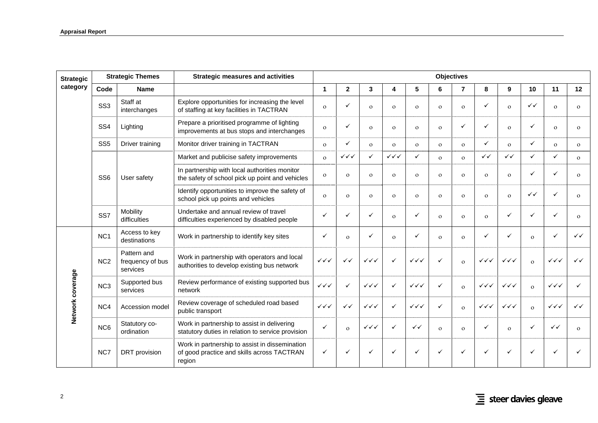| <b>Strategic</b> |                 | <b>Strategic Themes</b>                     | <b>Strategic measures and activities</b>                                                               |                                  |                        |                        |                        |                        | <b>Objectives</b> |                |                        |                        |              |                                  |              |
|------------------|-----------------|---------------------------------------------|--------------------------------------------------------------------------------------------------------|----------------------------------|------------------------|------------------------|------------------------|------------------------|-------------------|----------------|------------------------|------------------------|--------------|----------------------------------|--------------|
| category         | Code            | <b>Name</b>                                 |                                                                                                        | $\mathbf{1}$                     | $\overline{2}$         | 3                      | 4                      | 5                      | 6                 | $\overline{7}$ | 8                      | 9                      | 10           | 11                               | 12           |
|                  | SS <sub>3</sub> | Staff at<br>interchanges                    | Explore opportunities for increasing the level<br>of staffing at key facilities in TACTRAN             | $\mathbf{o}$                     | $\checkmark$           | $\mathbf{o}$           | $\mathbf{o}$           | $\mathbf{o}$           | $\Omega$          | $\Omega$       | $\checkmark$           | $\Omega$               | $\checkmark$ | $\Omega$                         | $\Omega$     |
|                  | SS <sub>4</sub> | Lighting                                    | Prepare a prioritised programme of lighting<br>improvements at bus stops and interchanges              | $\Omega$                         | ✓                      | $\mathbf{o}$           | $\mathbf{O}$           | $\mathbf{o}$           | $\Omega$          | ✓              | ✓                      | $\mathbf{O}$           | ✓            | $\mathbf{o}$                     | $\mathbf{o}$ |
|                  | SS <sub>5</sub> | Driver training                             | Monitor driver training in TACTRAN                                                                     | $\mathbf{o}$                     | ✓                      | $\Omega$               | $\mathbf{o}$           | $\mathbf{o}$           | $\mathbf{o}$      | $\Omega$       | $\checkmark$           | $\Omega$               | ✓            | $\Omega$                         | $\mathbf{o}$ |
|                  |                 |                                             | Market and publicise safety improvements                                                               | $\mathbf{o}$                     | $\checkmark\checkmark$ | $\checkmark$           | $\checkmark\checkmark$ | $\checkmark$           | $\Omega$          | $\mathbf{o}$   | $\checkmark$           | $\checkmark$           | $\checkmark$ | $\checkmark$                     | $\mathbf{o}$ |
|                  | SS <sub>6</sub> | User safety                                 | In partnership with local authorities monitor<br>the safety of school pick up point and vehicles       | $\mathbf{o}$                     | $\Omega$               | $\Omega$               | $\mathbf{o}$           | $\Omega$               | $\Omega$          | $\mathbf{o}$   | $\mathbf{o}$           | $\mathbf{o}$           | ✓            |                                  | $\mathbf{o}$ |
| Network coverage |                 |                                             | Identify opportunities to improve the safety of<br>school pick up points and vehicles                  | $\Omega$                         | $\Omega$               | $\mathbf{o}$           | $\Omega$               | $\Omega$               | $\Omega$          | $\Omega$       | $\mathbf{o}$           | $\Omega$               | $\checkmark$ |                                  | $\mathbf{o}$ |
|                  | SS <sub>7</sub> | Mobility<br>difficulties                    | Undertake and annual review of travel<br>difficulties experienced by disabled people                   | $\checkmark$                     | ✓                      | ✓                      | $\Omega$               | ✓                      | $\Omega$          | $\Omega$       | $\mathbf{o}$           | ✓                      | ✓            | $\checkmark$                     | $\Omega$     |
|                  | NC <sub>1</sub> | Access to key<br>destinations               | Work in partnership to identify key sites                                                              | ✓                                | $\Omega$               | $\checkmark$           | $\Omega$               | ✓                      | $\Omega$          | $\Omega$       | ✓                      | ✓                      | $\Omega$     | ✓                                | $\checkmark$ |
|                  | NC <sub>2</sub> | Pattern and<br>frequency of bus<br>services | Work in partnership with operators and local<br>authorities to develop existing bus network            | $\checkmark\checkmark\checkmark$ | $\checkmark$           | $\checkmark\checkmark$ | ✓                      | $\checkmark\checkmark$ | $\checkmark$      | $\Omega$       | $\checkmark\checkmark$ | $\checkmark\checkmark$ | $\Omega$     | $\checkmark\checkmark$           | $\checkmark$ |
|                  | NC <sub>3</sub> | Supported bus<br>services                   | Review performance of existing supported bus<br>network                                                | $\checkmark\checkmark$           | ✓                      | $\checkmark\checkmark$ | $\checkmark$           | $\checkmark\checkmark$ | ✓                 | $\Omega$       | $\checkmark\checkmark$ | $\checkmark\checkmark$ | $\mathbf{o}$ | $\checkmark\checkmark\checkmark$ |              |
|                  | NC4             | Accession model                             | Review coverage of scheduled road based<br>public transport                                            | $\checkmark\checkmark$           | $\checkmark$           | $\checkmark\checkmark$ | ✓                      | $\checkmark\checkmark$ | ✓                 | $\Omega$       | $\checkmark\checkmark$ | $\checkmark\checkmark$ | $\Omega$     | $\checkmark\checkmark$           | $\checkmark$ |
|                  | NC <sub>6</sub> | Statutory co-<br>ordination                 | Work in partnership to assist in delivering<br>statutory duties in relation to service provision       | $\checkmark$                     | $\Omega$               | $\checkmark\checkmark$ | $\checkmark$           | ✓✓                     | $\Omega$          | $\Omega$       | $\checkmark$           | $\Omega$               | ✓            | ✓✓                               | $\Omega$     |
|                  | NC7             | DRT provision                               | Work in partnership to assist in dissemination<br>of good practice and skills across TACTRAN<br>region | ✓                                |                        |                        |                        |                        | ✓                 |                | ✓                      |                        | ✓            |                                  |              |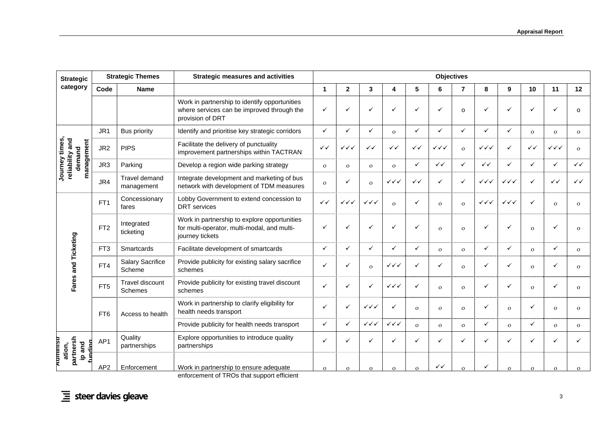|                                                                                                         |                 | <b>Strategic Themes</b>           | <b>Strategic measures and activities</b>                                                                        |              |                        |                        |                        |              |              | <b>Objectives</b> |                        |                        |              |                        |              |
|---------------------------------------------------------------------------------------------------------|-----------------|-----------------------------------|-----------------------------------------------------------------------------------------------------------------|--------------|------------------------|------------------------|------------------------|--------------|--------------|-------------------|------------------------|------------------------|--------------|------------------------|--------------|
| category                                                                                                | Code            | <b>Name</b>                       |                                                                                                                 | 1            | $\mathbf{2}$           | 3                      | 4                      | 5            | 6            | 7                 | 8                      | 9                      | 10           | 11                     | 12           |
| <b>Strategic</b><br>times,<br>reliability and<br>management<br>demand<br>Journey<br>Fares and Ticketing |                 |                                   | Work in partnership to identify opportunities<br>where services can be improved through the<br>provision of DRT | ✓            |                        | ✓                      | ✓                      | $\checkmark$ | ✓            | $\Omega$          | ✓                      | $\checkmark$           | $\checkmark$ | ✓                      | $\Omega$     |
|                                                                                                         | JR <sub>1</sub> | <b>Bus priority</b>               | Identify and prioritise key strategic corridors                                                                 | $\checkmark$ | ✓                      | ✓                      | $\mathbf{o}$           | ✓            | ✓            | ✓                 | ✓                      | ✓                      | $\Omega$     | $\mathbf{O}$           | $\mathbf{o}$ |
|                                                                                                         | JR <sub>2</sub> | <b>PIPS</b>                       | Facilitate the delivery of punctuality<br>improvement partnerships within TACTRAN                               | $\checkmark$ | ✓✓✓                    | $\checkmark$           | $\checkmark$           | ✓✓           | ✓✓✓          | $\mathbf{o}$      | $\checkmark\checkmark$ | $\checkmark$           | ✓✓           | $\checkmark\checkmark$ | $\mathbf{o}$ |
|                                                                                                         | JR3             | Parking                           | Develop a region wide parking strategy                                                                          | $\mathbf{o}$ | $\Omega$               | $\mathbf{o}$           | $\mathbf{o}$           | $\checkmark$ | $\checkmark$ | ✓                 | $\checkmark$           | $\checkmark$           | ✓            | $\checkmark$           | $\checkmark$ |
|                                                                                                         | JR4             | Travel demand<br>management       | Integrate development and marketing of bus<br>network with development of TDM measures                          | $\Omega$     | ✓                      | $\mathbf{o}$           | ✓✓✓                    | $\checkmark$ | ✓            | $\checkmark$      | $\checkmark\checkmark$ | $\checkmark\checkmark$ | ✓            | ✓✓                     | $\checkmark$ |
|                                                                                                         | FT <sub>1</sub> | Concessionary<br>fares            | Lobby Government to extend concession to<br><b>DRT</b> services                                                 | $\checkmark$ | $\checkmark\checkmark$ | $\checkmark\checkmark$ | $\Omega$               | $\checkmark$ | $\Omega$     | $\mathbf{o}$      | $\checkmark\checkmark$ | $\checkmark\checkmark$ | ✓            | $\mathbf{o}$           | $\mathbf{o}$ |
|                                                                                                         | FT <sub>2</sub> | Integrated<br>ticketing           | Work in partnership to explore opportunities<br>for multi-operator, multi-modal, and multi-<br>journey tickets  | ✓            |                        | ✓                      |                        | $\checkmark$ | $\mathbf{O}$ | $\mathbf{O}$      | ✓                      | ✓                      | $\Omega$     | ✓                      | $\Omega$     |
|                                                                                                         | FT <sub>3</sub> | Smartcards                        | Facilitate development of smartcards                                                                            | $\checkmark$ | ✓                      | ✓                      | ✓                      | ✓            | $\mathbf{O}$ | $\mathbf{O}$      | ✓                      | ✓                      | $\mathbf{O}$ | ✓                      | $\mathbf{o}$ |
|                                                                                                         | FT4             | <b>Salary Sacrifice</b><br>Scheme | Provide publicity for existing salary sacrifice<br>schemes                                                      | $\checkmark$ |                        | $\mathbf{o}$           | $\checkmark\checkmark$ | ✓            | ✓            | $\Omega$          | ✓                      | ✓                      | $\Omega$     | ✓                      | $\Omega$     |
|                                                                                                         | FT <sub>5</sub> | Travel discount<br>Schemes        | Provide publicity for existing travel discount<br>schemes                                                       | $\checkmark$ |                        | ✓                      | $\checkmark\checkmark$ | ✓            | $\Omega$     | $\mathbf{O}$      | ✓                      | $\checkmark$           | $\Omega$     | ✓                      | $\Omega$     |
|                                                                                                         | FT <sub>6</sub> | Access to health                  | Work in partnership to clarify eligibility for<br>health needs transport                                        | $\checkmark$ | ✓                      | $\checkmark\checkmark$ | ✓                      | $\mathbf{o}$ | $\Omega$     | $\mathbf{o}$      | ✓                      | $\mathbf{o}$           | ✓            | $\mathbf{O}$           | $\mathbf{O}$ |
|                                                                                                         |                 |                                   | Provide publicity for health needs transport                                                                    | $\checkmark$ | ✓                      | $\checkmark\checkmark$ | $\checkmark\checkmark$ | $\Omega$     | $\mathbf{o}$ | $\Omega$          | ✓                      | $\mathbf{o}$           | ✓            | $\mathbf{o}$           | $\mathbf{o}$ |
| partnersh<br>Hammus<br>and<br>undinc<br>ation,<br>$\underline{\mathbf{e}}$                              | AP <sub>1</sub> | Quality<br>partnerships           | Explore opportunities to introduce quality<br>partnerships                                                      | ✓            |                        | ✓                      |                        | ✓            |              |                   | ✓                      | ✓                      |              | ✓                      | ✓            |
|                                                                                                         | AP <sub>2</sub> | Enforcement                       | Work in partnership to ensure adequate                                                                          | $\Omega$     | $\mathbf{O}$           | $\Omega$               | $\Omega$               | $\mathbf{o}$ | ✓✓           | $\mathbf{o}$      | ✓                      | $\mathbf{o}$           | $\Omega$     | $\mathbf{O}$           | $\Omega$     |

enforcement of TROs that support efficient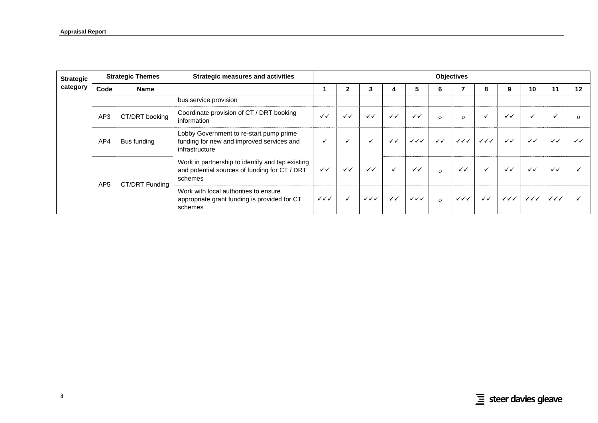| <b>Strategic</b> |                 | <b>Strategic Themes</b> | <b>Strategic measures and activities</b>                                                                     |                        |              |                        |              |                        |              | <b>Objectives</b>      |                                  |                                  |                        |                        |              |
|------------------|-----------------|-------------------------|--------------------------------------------------------------------------------------------------------------|------------------------|--------------|------------------------|--------------|------------------------|--------------|------------------------|----------------------------------|----------------------------------|------------------------|------------------------|--------------|
| category         | Code            | <b>Name</b>             |                                                                                                              |                        |              |                        |              | 5                      |              |                        | 8                                | 9                                | 10                     | 11                     | 12           |
|                  |                 |                         | bus service provision                                                                                        |                        |              |                        |              |                        |              |                        |                                  |                                  |                        |                        |              |
|                  | AP3             | CT/DRT booking          | Coordinate provision of CT / DRT booking<br>information                                                      | $\checkmark$           | $\checkmark$ | $\checkmark$           | $\checkmark$ | $\checkmark$           | $\Omega$     | $\Omega$               | ✓                                | $\checkmark$                     |                        |                        | $\Omega$     |
|                  | AP4             | Bus funding             | Lobby Government to re-start pump prime<br>funding for new and improved services and<br>infrastructure       | $\ddot{\phantom{0}}$   |              | $\checkmark$           | $\checkmark$ | $\checkmark\checkmark$ | $\checkmark$ | $\checkmark\checkmark$ | $\checkmark\checkmark\checkmark$ | $\checkmark$                     | $\checkmark$           | $\checkmark$           | $\checkmark$ |
|                  | AP <sub>5</sub> | CT/DRT Funding          | Work in partnership to identify and tap existing<br>and potential sources of funding for CT / DRT<br>schemes | $\checkmark$           | $\checkmark$ | $\checkmark$           | $\checkmark$ | $\checkmark$           | $\Omega$     | $\checkmark$           | $\checkmark$                     | $\checkmark$                     | $\checkmark$           | $\checkmark$           |              |
|                  |                 |                         | Work with local authorities to ensure<br>appropriate grant funding is provided for CT<br>schemes             | $\checkmark\checkmark$ |              | $\checkmark\checkmark$ | $\checkmark$ | $\checkmark\checkmark$ | $\Omega$     | $\checkmark\checkmark$ | $\checkmark$                     | $\checkmark\checkmark\checkmark$ | $\checkmark\checkmark$ | $\checkmark\checkmark$ |              |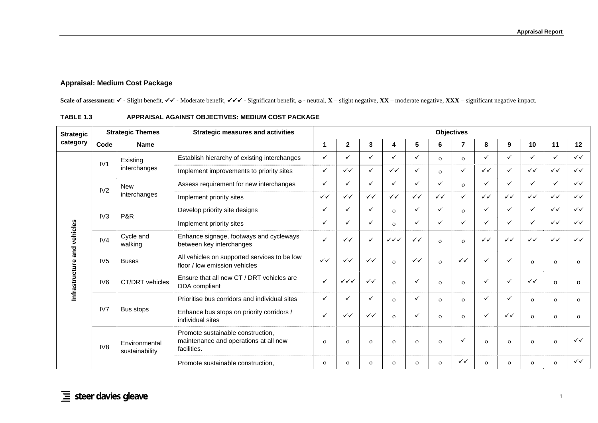## **Appraisal: Medium Cost Package**

Scale of assessment: ✓ - Slight benefit, ✓✓ - Moderate benefit, ✓✓✓ - Significant benefit, o - neutral, **X** – slight negative, **XX** – moderate negative, **XXX** – significant negative impact.

<span id="page-10-0"></span>

| <b>Strategic</b>  |                 | <b>Strategic Themes</b>         | <b>Strategic measures and activities</b>                                                  |              |                        |              |                        |              |              | <b>Objectives</b> |              |              |              |              |              |
|-------------------|-----------------|---------------------------------|-------------------------------------------------------------------------------------------|--------------|------------------------|--------------|------------------------|--------------|--------------|-------------------|--------------|--------------|--------------|--------------|--------------|
| category          | Code            | <b>Name</b>                     |                                                                                           | 1            | $\mathbf{2}$           | 3            | 4                      | 5            | 6            | $\overline{7}$    | 8            | 9            | 10           | 11           | 12           |
|                   |                 | Existing                        | Establish hierarchy of existing interchanges                                              | $\checkmark$ |                        | $\checkmark$ | ✓                      | $\checkmark$ | $\mathbf{O}$ | $\Omega$          | ✓            | $\checkmark$ |              | $\checkmark$ | $\checkmark$ |
|                   | IV1             | interchanges                    | Implement improvements to priority sites                                                  | $\checkmark$ | $\checkmark$           | $\checkmark$ | $\checkmark$           | $\checkmark$ | $\Omega$     | ✓                 | $\checkmark$ | $\checkmark$ | $\checkmark$ | $\checkmark$ | $\checkmark$ |
|                   |                 | <b>New</b>                      | Assess requirement for new interchanges                                                   | $\checkmark$ |                        | ✓            | ✓                      | $\checkmark$ | ✓            | $\Omega$          | ✓            | $\checkmark$ |              | $\checkmark$ | $\checkmark$ |
|                   | IV2             | interchanges                    | Implement priority sites                                                                  | $\checkmark$ | $\checkmark$           | $\checkmark$ | $\checkmark$           | $\checkmark$ | $\checkmark$ | ✓                 | $\checkmark$ | $\checkmark$ | $\checkmark$ | $\checkmark$ | $\checkmark$ |
|                   |                 |                                 | Develop priority site designs                                                             | $\checkmark$ |                        | $\checkmark$ | $\Omega$               | $\checkmark$ | ✓            | $\Omega$          | ✓            | $\checkmark$ |              | $\checkmark$ | $\checkmark$ |
| and vehicles<br>ω | IV <sub>3</sub> | <b>P&amp;R</b>                  | Implement priority sites                                                                  | $\checkmark$ |                        | ✓            | $\mathbf{o}$           | $\checkmark$ | ✓            | ✓                 | ✓            | ✓            | ✓            | $\checkmark$ | $\checkmark$ |
|                   | IV4             | Cycle and<br>walking            | Enhance signage, footways and cycleways<br>between key interchanges                       | $\checkmark$ | $\checkmark$           | $\checkmark$ | $\checkmark\checkmark$ | $\checkmark$ | $\mathbf{O}$ | $\mathbf{O}$      | $\checkmark$ | $\checkmark$ | $\checkmark$ | $\checkmark$ | $\checkmark$ |
|                   | IV <sub>5</sub> | <b>Buses</b>                    | All vehicles on supported services to be low<br>floor / low emission vehicles             | $\checkmark$ | $\checkmark$           | $\checkmark$ | $\Omega$               | $\checkmark$ | $\Omega$     | $\checkmark$      | ✓            | ✓            | $\Omega$     | $\mathbf{O}$ | $\mathbf{O}$ |
| Infrastructur     | IV <sub>6</sub> | CT/DRT vehicles                 | Ensure that all new CT / DRT vehicles are<br>DDA compliant                                | $\checkmark$ | $\checkmark\checkmark$ | $\checkmark$ | $\Omega$               | $\checkmark$ | $\Omega$     | $\Omega$          | ✓            | ✓            | $\checkmark$ | o            | 0            |
|                   |                 |                                 | Prioritise bus corridors and individual sites                                             | $\checkmark$ | ✓                      | ✓            | $\Omega$               | $\checkmark$ | $\Omega$     | $\Omega$          | ✓            | ✓            | $\Omega$     | $\mathbf{O}$ | $\mathbf{o}$ |
|                   | IV7             | Bus stops                       | Enhance bus stops on priority corridors /<br>individual sites                             | $\checkmark$ | $\checkmark$           | $\checkmark$ | $\Omega$               | ✓            | $\Omega$     | $\Omega$          | ✓            | $\checkmark$ | $\Omega$     | $\mathbf{O}$ | $\mathbf{O}$ |
|                   | IV <sub>8</sub> | Environmental<br>sustainability | Promote sustainable construction,<br>maintenance and operations at all new<br>facilities. | $\mathbf{O}$ | $\Omega$               | $\mathbf{O}$ | $\Omega$               | $\Omega$     | $\Omega$     |                   | $\Omega$     | $\Omega$     | $\Omega$     | $\mathbf{O}$ | $\checkmark$ |
|                   |                 |                                 | Promote sustainable construction.                                                         | $\mathbf{O}$ | $\mathbf{O}$           | $\mathbf{O}$ | $\mathbf{O}$           | $\mathbf{O}$ | $\mathbf{O}$ | ✓✓                | $\mathbf{O}$ | $\mathbf{O}$ | $\Omega$     | $\mathbf{O}$ | $\checkmark$ |

### **TABLE 1.3 APPRAISAL AGAINST OBJECTIVES: MEDIUM COST PACKAGE**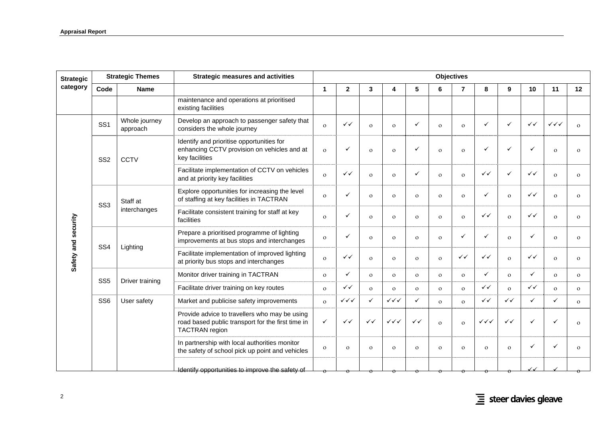| <b>Strategic</b><br>category |                 | <b>Strategic Themes</b>   | <b>Strategic measures and activities</b>                                                                                    |              |                        |              |                        |              |              | <b>Objectives</b> |                        |              |              |                        |              |
|------------------------------|-----------------|---------------------------|-----------------------------------------------------------------------------------------------------------------------------|--------------|------------------------|--------------|------------------------|--------------|--------------|-------------------|------------------------|--------------|--------------|------------------------|--------------|
|                              | Code            | <b>Name</b>               |                                                                                                                             | $\mathbf{1}$ | $\mathbf{2}$           | 3            | 4                      | 5            | 6            | $\overline{7}$    | 8                      | 9            | 10           | 11                     | 12           |
|                              |                 |                           | maintenance and operations at prioritised<br>existing facilities                                                            |              |                        |              |                        |              |              |                   |                        |              |              |                        |              |
|                              | SS <sub>1</sub> | Whole journey<br>approach | Develop an approach to passenger safety that<br>considers the whole journey                                                 | $\Omega$     | $\checkmark$           | $\mathbf{o}$ | $\Omega$               | $\checkmark$ | $\Omega$     | $\Omega$          | $\checkmark$           | $\checkmark$ | $\checkmark$ | $\checkmark\checkmark$ | $\Omega$     |
|                              | SS <sub>2</sub> | <b>CCTV</b>               | Identify and prioritise opportunities for<br>enhancing CCTV provision on vehicles and at<br>key facilities                  | $\Omega$     | ✓                      | $\mathbf{O}$ | $\Omega$               | $\checkmark$ | $\Omega$     | $\mathbf{O}$      | $\checkmark$           | ✓            | $\checkmark$ | $\Omega$               | $\Omega$     |
|                              |                 |                           | Facilitate implementation of CCTV on vehicles<br>and at priority key facilities                                             | $\Omega$     | $\checkmark$           | $\mathbf{o}$ | $\mathbf{O}$           | $\checkmark$ | $\Omega$     | $\Omega$          | ✓✓                     | ✓            | $\checkmark$ | $\Omega$               | $\Omega$     |
| Safety and security          | SS <sub>3</sub> | Staff at                  | Explore opportunities for increasing the level<br>of staffing at key facilities in TACTRAN                                  | $\Omega$     |                        | $\mathbf{o}$ | $\Omega$               | $\mathbf{o}$ | $\Omega$     | $\Omega$          | $\checkmark$           | $\Omega$     | $\checkmark$ | $\Omega$               | $\Omega$     |
|                              |                 | interchanges              | Facilitate consistent training for staff at key<br>facilities                                                               | $\Omega$     |                        | $\mathbf{o}$ | $\mathbf{O}$           | $\mathbf{o}$ | $\Omega$     | $\mathbf{O}$      | $\checkmark$           | $\Omega$     | ✓✓           | $\Omega$               | $\mathbf{o}$ |
|                              | SS <sub>4</sub> | Lighting                  | Prepare a prioritised programme of lighting<br>improvements at bus stops and interchanges                                   | $\Omega$     | ✓                      | $\mathbf{o}$ | $\mathbf{O}$           | $\mathbf{o}$ | $\Omega$     | ✓                 | $\checkmark$           | $\mathbf{o}$ | ✓            | $\Omega$               | $\Omega$     |
|                              |                 |                           | Facilitate implementation of improved lighting<br>at priority bus stops and interchanges                                    | $\Omega$     | ✓✓                     | $\mathbf{o}$ | $\mathbf{o}$           | $\Omega$     | $\Omega$     | ✓✓                | ✓✓                     | $\mathbf{o}$ | ✓✓           | $\mathbf{o}$           | $\mathbf{O}$ |
|                              | SS <sub>5</sub> |                           | Monitor driver training in TACTRAN                                                                                          | $\Omega$     | ✓                      | $\mathbf{o}$ | $\Omega$               | $\mathbf{o}$ | $\Omega$     | $\mathbf{O}$      | $\checkmark$           | $\Omega$     | ✓            | $\mathbf{o}$           | $\Omega$     |
|                              |                 | Driver training           | Facilitate driver training on key routes                                                                                    | $\mathbf{o}$ | $\checkmark$           | $\mathbf{o}$ | $\mathbf{o}$           | $\mathbf{O}$ | $\mathbf{o}$ | $\mathbf{O}$      | $\checkmark$           | $\mathbf{o}$ | $\checkmark$ | $\mathbf{o}$           | $\mathbf{o}$ |
|                              | SS <sub>6</sub> | User safety               | Market and publicise safety improvements                                                                                    | $\Omega$     | $\checkmark\checkmark$ | $\checkmark$ | $\checkmark\checkmark$ | $\checkmark$ | $\Omega$     | $\Omega$          | $\checkmark$           | $\checkmark$ | $\checkmark$ | ✓                      | $\Omega$     |
|                              |                 |                           | Provide advice to travellers who may be using<br>road based public transport for the first time in<br><b>TACTRAN</b> region | $\checkmark$ | $\checkmark$           | $\checkmark$ | $\checkmark\checkmark$ | $\checkmark$ | $\Omega$     | $\Omega$          | $\checkmark\checkmark$ | $\checkmark$ | $\checkmark$ |                        | $\Omega$     |
|                              |                 |                           | In partnership with local authorities monitor<br>the safety of school pick up point and vehicles                            | $\Omega$     | $\mathbf{O}$           | $\mathbf{o}$ | $\mathbf{O}$           | $\mathbf{o}$ | $\Omega$     | $\overline{O}$    | $\mathbf{O}$           | $\mathbf{o}$ | ✓            |                        | $\mathbf{O}$ |
|                              |                 |                           | Identify opportunities to improve the safety of                                                                             |              |                        |              |                        |              |              |                   |                        |              |              |                        |              |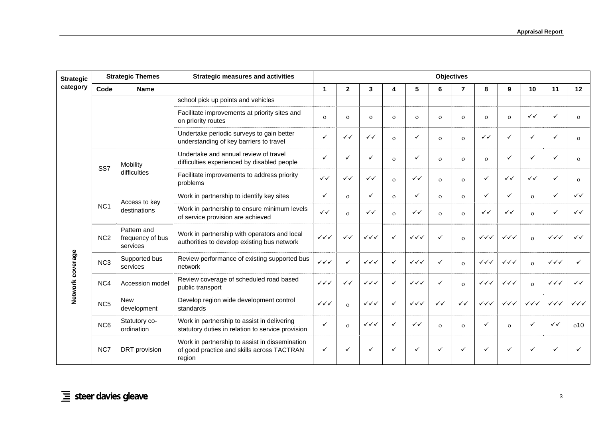| <b>Strategic</b> |                 | <b>Strategic Themes</b>                     | <b>Strategic measures and activities</b>                                                               |                        |                |                                  |              |                        |              | <b>Objectives</b> |                                  |                                  |                        |                        |                        |
|------------------|-----------------|---------------------------------------------|--------------------------------------------------------------------------------------------------------|------------------------|----------------|----------------------------------|--------------|------------------------|--------------|-------------------|----------------------------------|----------------------------------|------------------------|------------------------|------------------------|
| category         | Code            | <b>Name</b>                                 |                                                                                                        | 1                      | $\overline{2}$ | 3                                | 4            | 5                      | 6            | $\overline{7}$    | 8                                | 9                                | 10                     | 11                     | 12                     |
| Network coverage |                 |                                             | school pick up points and vehicles                                                                     |                        |                |                                  |              |                        |              |                   |                                  |                                  |                        |                        |                        |
|                  |                 |                                             | Facilitate improvements at priority sites and<br>on priority routes                                    | $\mathbf{o}$           | $\Omega$       | $\mathbf{o}$                     | $\Omega$     | $\mathbf{o}$           | $\Omega$     | $\mathbf{o}$      | $\mathbf{o}$                     | $\Omega$                         | $\checkmark$           | ✓                      | $\Omega$               |
|                  |                 |                                             | Undertake periodic surveys to gain better<br>understanding of key barriers to travel                   | $\checkmark$           | $\checkmark$   | ✓✓                               | $\mathbf{o}$ | $\checkmark$           | $\Omega$     | $\Omega$          | $\checkmark$                     | ✓                                | $\checkmark$           | ✓                      | $\mathbf{o}$           |
|                  | SS7             | Mobility                                    | Undertake and annual review of travel<br>difficulties experienced by disabled people                   | ✓                      |                | ✓                                | $\Omega$     | $\checkmark$           | $\Omega$     | $\Omega$          | $\mathbf{o}$                     | ✓                                | $\checkmark$           | ✓                      | $\mathbf{o}$           |
|                  |                 | difficulties                                | Facilitate improvements to address priority<br>problems                                                | $\checkmark$           | $\checkmark$   | $\checkmark$                     | $\mathbf{o}$ | $\checkmark$           | $\Omega$     | $\Omega$          | $\checkmark$                     | $\checkmark$                     | $\checkmark$           | ✓                      | $\mathbf{o}$           |
|                  |                 |                                             | Work in partnership to identify key sites                                                              | $\checkmark$           | $\Omega$       | $\checkmark$                     | $\mathbf{o}$ | $\checkmark$           | $\mathbf{o}$ | $\mathbf{o}$      | $\checkmark$                     | ✓                                | $\Omega$               | ✓                      | $\checkmark$           |
|                  | NC <sub>1</sub> | Access to key<br>destinations               | Work in partnership to ensure minimum levels<br>of service provision are achieved                      | $\checkmark$           | $\Omega$       | $\checkmark$                     | $\Omega$     | $\checkmark$           | $\mathbf{o}$ | $\Omega$          | $\checkmark$                     | $\checkmark$                     | $\Omega$               | ✓                      | $\checkmark$           |
|                  | NC <sub>2</sub> | Pattern and<br>frequency of bus<br>services | Work in partnership with operators and local<br>authorities to develop existing bus network            | $\checkmark\checkmark$ | $\checkmark$   | $\checkmark\checkmark$           | $\checkmark$ | $\checkmark\checkmark$ | $\checkmark$ | $\Omega$          | $\checkmark\checkmark$           | $\checkmark\checkmark$           | $\Omega$               | $\checkmark\checkmark$ | $\checkmark$           |
|                  | NC <sub>3</sub> | Supported bus<br>services                   | Review performance of existing supported bus<br>network                                                | $\checkmark\checkmark$ |                | $\checkmark\checkmark$           | $\checkmark$ | $\checkmark\checkmark$ | $\checkmark$ | $\Omega$          | $\checkmark\checkmark$           | $\checkmark\checkmark$           | $\Omega$               | $\checkmark\checkmark$ |                        |
|                  | NC4             | Accession model                             | Review coverage of scheduled road based<br>public transport                                            | $\checkmark\checkmark$ | $\checkmark$   | $\checkmark\checkmark$           | $\checkmark$ | $\checkmark\checkmark$ | $\checkmark$ | $\mathbf{o}$      | $\checkmark\checkmark\checkmark$ | $\checkmark\checkmark$           | $\Omega$               | $\checkmark\checkmark$ | $\checkmark$           |
|                  | NC <sub>5</sub> | <b>New</b><br>development                   | Develop region wide development control<br>standards                                                   | $\checkmark\checkmark$ | $\Omega$       | $\checkmark\checkmark$           | ✓            | $\checkmark\checkmark$ | $\checkmark$ | $\checkmark$      | $\checkmark\checkmark$           | $\checkmark\checkmark\checkmark$ | $\checkmark\checkmark$ | $\checkmark\checkmark$ | $\checkmark\checkmark$ |
|                  | NC <sub>6</sub> | Statutory co-<br>ordination                 | Work in partnership to assist in delivering<br>statutory duties in relation to service provision       | $\checkmark$           | $\Omega$       | $\checkmark\checkmark\checkmark$ | ✓            | $\checkmark$           | $\Omega$     | $\Omega$          | ✓                                | $\Omega$                         | $\checkmark$           | $\checkmark$           | 0 <sub>0</sub>         |
|                  | NC7             | DRT provision                               | Work in partnership to assist in dissemination<br>of good practice and skills across TACTRAN<br>region | $\checkmark$           |                |                                  |              | $\checkmark$           | ✓            |                   | $\checkmark$                     |                                  | ✓                      |                        |                        |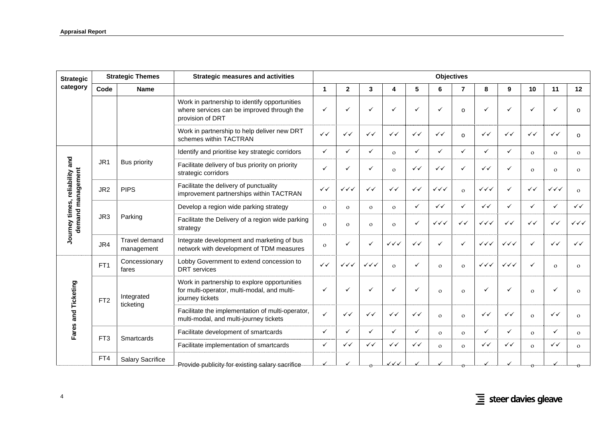| <b>Strategic</b>                                   |                 | <b>Strategic Themes</b>     | <b>Strategic measures and activities</b>                                                                        |              |                        |                        |                        |              |                        | <b>Objectives</b> |                        |                        |              |                        |                        |
|----------------------------------------------------|-----------------|-----------------------------|-----------------------------------------------------------------------------------------------------------------|--------------|------------------------|------------------------|------------------------|--------------|------------------------|-------------------|------------------------|------------------------|--------------|------------------------|------------------------|
| category                                           | Code            | <b>Name</b>                 |                                                                                                                 | $\mathbf{1}$ | $\mathbf{2}$           | 3                      | 4                      | 5            | 6                      | $\overline{7}$    | 8                      | 9                      | 10           | 11                     | 12                     |
|                                                    |                 |                             | Work in partnership to identify opportunities<br>where services can be improved through the<br>provision of DRT | $\checkmark$ |                        | ✓                      | ✓                      | ✓            | ✓                      | $\circ$           | $\checkmark$           | ✓                      | $\checkmark$ |                        | $\Omega$               |
|                                                    |                 |                             | Work in partnership to help deliver new DRT<br>schemes within TACTRAN                                           | $\checkmark$ | ✓✓                     | ✓✓                     | ✓✓                     | $\checkmark$ | ✓✓                     | $\Omega$          | $\checkmark$           | ✓✓                     | ✓✓           | $\checkmark$           | $\Omega$               |
|                                                    |                 |                             | Identify and prioritise key strategic corridors                                                                 | $\checkmark$ | ✓                      | $\checkmark$           | $\Omega$               | $\checkmark$ | $\checkmark$           | ✓                 | $\checkmark$           | $\checkmark$           | $\mathbf{o}$ | $\Omega$               | $\mathbf{o}$           |
| and                                                | JR <sub>1</sub> | <b>Bus priority</b>         | Facilitate delivery of bus priority on priority<br>strategic corridors                                          | $\checkmark$ | $\checkmark$           | ✓                      | $\mathbf{O}$           | $\checkmark$ | $\checkmark$           | $\checkmark$      | $\checkmark$           | $\checkmark$           | $\Omega$     | $\mathbf{O}$           | $\mathbf{O}$           |
| demand management<br>reliability<br>Journey times, | JR <sub>2</sub> | <b>PIPS</b>                 | Facilitate the delivery of punctuality<br>improvement partnerships within TACTRAN                               | $\checkmark$ | $\checkmark\checkmark$ | $\checkmark$           | $\checkmark$           | $\checkmark$ | $\checkmark\checkmark$ | $\mathbf{o}$      | $\checkmark\checkmark$ | $\checkmark$           | $\checkmark$ | $\checkmark\checkmark$ | $\Omega$               |
|                                                    |                 |                             | Develop a region wide parking strategy                                                                          | $\mathbf{o}$ | $\mathbf{O}$           | $\mathbf{o}$           | $\Omega$               | $\checkmark$ | ✓✓                     | ✓                 | $\checkmark$           | $\checkmark$           | ✓            | ✓                      | $\checkmark$           |
|                                                    | JR3             | Parking                     | Facilitate the Delivery of a region wide parking<br>strategy                                                    | $\mathbf{o}$ | $\Omega$               | $\mathbf{O}$           | $\Omega$               | ✓            | $\checkmark\checkmark$ | ✓✓                | $\checkmark\checkmark$ | $\checkmark$           | $\checkmark$ | $\checkmark$           | $\checkmark\checkmark$ |
|                                                    | JR4             | Travel demand<br>management | Integrate development and marketing of bus<br>network with development of TDM measures                          | $\mathbf{o}$ |                        | ✓                      | $\checkmark\checkmark$ | $\checkmark$ | ✓                      | ✓                 | $\checkmark\checkmark$ | $\checkmark\checkmark$ | ✓            | $\checkmark$           | $\checkmark$           |
|                                                    | FT <sub>1</sub> | Concessionary<br>fares      | Lobby Government to extend concession to<br><b>DRT</b> services                                                 | $\checkmark$ | $\checkmark\checkmark$ | $\checkmark\checkmark$ | $\Omega$               | ✓            | $\Omega$               | $\mathbf{o}$      | $\checkmark\checkmark$ | $\checkmark\checkmark$ | ✓            | $\Omega$               | $\mathbf{o}$           |
| Fares and Ticketing                                | FT <sub>2</sub> | Integrated<br>ticketing     | Work in partnership to explore opportunities<br>for multi-operator, multi-modal, and multi-<br>journey tickets  | $\checkmark$ |                        | ✓                      | ✓                      | $\checkmark$ | $\Omega$               | $\Omega$          | ✓                      | ✓                      | $\Omega$     |                        | $\Omega$               |
|                                                    |                 |                             | Facilitate the implementation of multi-operator,<br>multi-modal, and multi-journey tickets                      | $\checkmark$ | $\checkmark$           | $\checkmark$           | ✓✓                     | $\checkmark$ | $\Omega$               | $\Omega$          | $\checkmark$           | $\checkmark$           | $\Omega$     | $\checkmark$           | $\Omega$               |
|                                                    | FT <sub>3</sub> |                             | Facilitate development of smartcards                                                                            | $\checkmark$ | $\checkmark$           | $\checkmark$           | $\checkmark$           | $\checkmark$ | $\Omega$               | $\Omega$          | $\checkmark$           | $\checkmark$           | $\mathbf{o}$ |                        | $\mathbf{o}$           |
|                                                    |                 | Smartcards                  | Facilitate implementation of smartcards                                                                         | $\checkmark$ | $\checkmark$           | $\checkmark$           | $\checkmark$           | $\checkmark$ | $\Omega$               | $\Omega$          | $\checkmark$           | $\checkmark$           | $\mathbf{o}$ | $\checkmark$           | $\mathbf{O}$           |
|                                                    | FT4             | <b>Salary Sacrifice</b>     | Provide publicity for existing salary sacrifice                                                                 |              |                        | $\theta$               | ノイイ                    |              |                        |                   |                        |                        |              |                        |                        |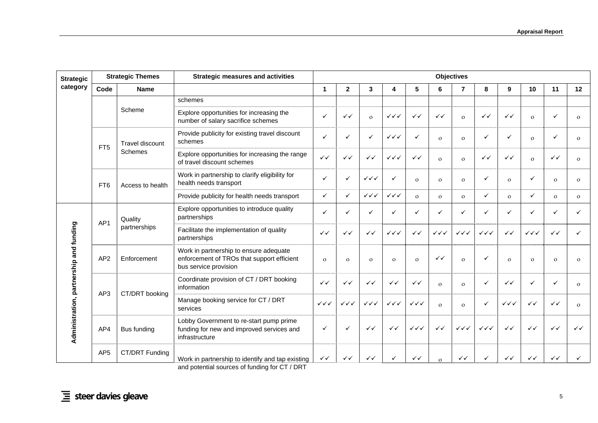| <b>Strategic</b>                        |                 | <b>Strategic Themes</b> | <b>Strategic measures and activities</b>                                                                      |                        |                        |                        |                        |                        |                        | <b>Objectives</b>                |                        |                        |                        |              |              |
|-----------------------------------------|-----------------|-------------------------|---------------------------------------------------------------------------------------------------------------|------------------------|------------------------|------------------------|------------------------|------------------------|------------------------|----------------------------------|------------------------|------------------------|------------------------|--------------|--------------|
| category                                | Code            | <b>Name</b>             |                                                                                                               | 1                      | $\mathbf{2}$           | 3                      | 4                      | $5\phantom{.0}$        | 6                      | $\overline{7}$                   | 8                      | 9                      | 10                     | 11           | 12           |
| Administration, partnership and funding |                 |                         | schemes                                                                                                       |                        |                        |                        |                        |                        |                        |                                  |                        |                        |                        |              |              |
|                                         |                 | Scheme                  | Explore opportunities for increasing the<br>number of salary sacrifice schemes                                | ✓                      | $\checkmark$           | $\mathbf{o}$           | $\checkmark\checkmark$ | $\checkmark$           | $\checkmark$           | $\Omega$                         | $\checkmark$           | $\checkmark$           | $\Omega$               |              | $\Omega$     |
|                                         | FT <sub>5</sub> | <b>Travel discount</b>  | Provide publicity for existing travel discount<br>schemes                                                     | $\checkmark$           |                        | ✓                      | $\checkmark\checkmark$ | $\checkmark$           | $\Omega$               | $\Omega$                         | $\checkmark$           | ✓                      | $\Omega$               |              | $\Omega$     |
|                                         |                 | <b>Schemes</b>          | Explore opportunities for increasing the range<br>of travel discount schemes                                  | $\checkmark$           | $\checkmark$           | $\checkmark$           | $\checkmark\checkmark$ | $\checkmark$           | $\Omega$               | $\Omega$                         | $\checkmark$           | $\checkmark$           | $\Omega$               | ✓✓           | $\Omega$     |
|                                         | FT <sub>6</sub> | Access to health        | Work in partnership to clarify eligibility for<br>health needs transport                                      | $\checkmark$           |                        | $\checkmark\checkmark$ | ✓                      | $\mathbf{o}$           | $\Omega$               | $\Omega$                         | $\checkmark$           | $\Omega$               | $\checkmark$           | $\Omega$     | $\Omega$     |
|                                         |                 |                         | Provide publicity for health needs transport                                                                  | $\checkmark$           | ✓                      | $\checkmark\checkmark$ | $\checkmark\checkmark$ | $\mathbf{o}$           | $\Omega$               | $\Omega$                         | $\checkmark$           | $\mathbf{o}$           | ✓                      | $\Omega$     | $\Omega$     |
|                                         | AP1             | Quality                 | Explore opportunities to introduce quality<br>partnerships                                                    | $\checkmark$           |                        | ✓                      |                        | $\checkmark$           | ✓                      | ✓                                | $\checkmark$           | $\checkmark$           | ✓                      |              |              |
|                                         |                 | partnerships            | Facilitate the implementation of quality<br>partnerships                                                      | $\checkmark$           | ✓✓                     | $\checkmark$           | $\checkmark\checkmark$ | $\checkmark$           | $\checkmark\checkmark$ | $\checkmark\checkmark\checkmark$ | $\checkmark\checkmark$ | $\checkmark$           | $\checkmark\checkmark$ | $\checkmark$ | ✓            |
|                                         | AP <sub>2</sub> | Enforcement             | Work in partnership to ensure adequate<br>enforcement of TROs that support efficient<br>bus service provision | $\Omega$               | $\mathbf{O}$           | $\mathbf{o}$           | $\Omega$               | $\mathbf{o}$           | ✓✓                     | $\mathbf{o}$                     | $\checkmark$           | $\Omega$               | $\Omega$               | $\Omega$     | $\Omega$     |
|                                         | AP3             | CT/DRT booking          | Coordinate provision of CT / DRT booking<br>information                                                       | $\checkmark$           | $\checkmark$           | $\checkmark$           | ✓✓                     | $\checkmark$           | $\Omega$               | $\Omega$                         | $\checkmark$           | $\checkmark$           | ✓                      | ✓            | $\Omega$     |
|                                         |                 |                         | Manage booking service for CT / DRT<br>services                                                               | $\checkmark\checkmark$ | $\checkmark\checkmark$ | $\checkmark\checkmark$ | $\checkmark\checkmark$ | $\checkmark\checkmark$ | $\Omega$               | $\Omega$                         | $\checkmark$           | $\checkmark\checkmark$ | $\checkmark$           | $\checkmark$ | $\Omega$     |
|                                         | AP4             | Bus funding             | Lobby Government to re-start pump prime<br>funding for new and improved services and<br>infrastructure        | $\checkmark$           |                        | $\checkmark$           | ✓✓                     | $\checkmark\checkmark$ | $\checkmark$           | $\checkmark\checkmark$           | $\checkmark\checkmark$ | $\checkmark$           | $\checkmark$           | $\checkmark$ | $\checkmark$ |
|                                         | AP <sub>5</sub> | CT/DRT Funding          | Work in partnership to identify and tap existing                                                              | $\checkmark$           | ✓✓                     | ✓✓                     |                        | $\checkmark$           | $\Omega$               | ✓✓                               | $\checkmark$           | ✓✓                     | ✓✓                     | ✓✓           |              |

and potential sources of funding for CT / DRT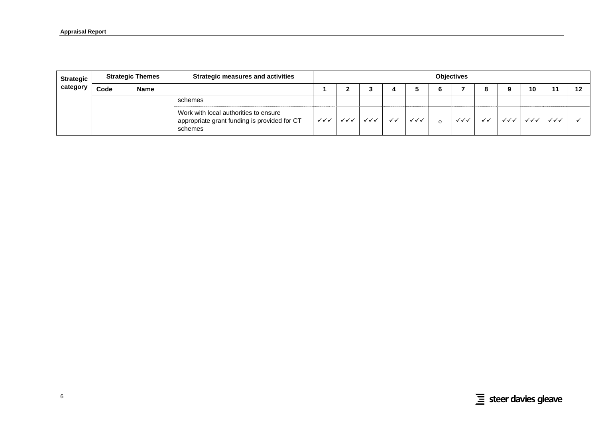| Strategic |      | <b>Strategic Themes</b> | <b>Strategic measures and activities</b>                                                         | <b>Objectives</b>      |     |                        |              |     |          |    |             |    |     |    |
|-----------|------|-------------------------|--------------------------------------------------------------------------------------------------|------------------------|-----|------------------------|--------------|-----|----------|----|-------------|----|-----|----|
| category  | Code | <b>Name</b>             |                                                                                                  |                        |     |                        |              |     |          |    | $\mathbf o$ | 10 | 11  | 12 |
|           |      |                         | schemes                                                                                          |                        |     |                        |              |     |          |    |             |    |     |    |
|           |      |                         | Work with local authorities to ensure<br>appropriate grant funding is provided for CT<br>schemes | $\checkmark\checkmark$ | ✓✓✓ | $\checkmark\checkmark$ | $\checkmark$ | ✓✓✓ | $\Omega$ | ✓✓ | ✓✓✓         |    | ンンノ |    |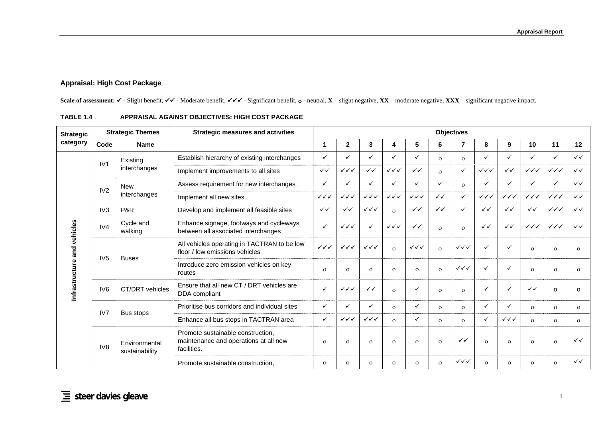# **Appraisal: High Cost Package**

Scale of assessment: ✓ - Slight benefit, ✓✓ - Moderate benefit, ✓✓✓ - Significant benefit, o - neutral, **X** – slight negative, **XX** – moderate negative, **XXX** – significant negative impact.

<span id="page-16-1"></span><span id="page-16-0"></span>

| <b>Strategic</b> |                 | <b>Strategic Themes</b>         | <b>Strategic measures and activities</b>                                                  | <b>Objectives</b>      |                        |                        |                        |                        |              |                        |                        |                        |                        |                                  |              |  |
|------------------|-----------------|---------------------------------|-------------------------------------------------------------------------------------------|------------------------|------------------------|------------------------|------------------------|------------------------|--------------|------------------------|------------------------|------------------------|------------------------|----------------------------------|--------------|--|
| category         | Code            | <b>Name</b>                     |                                                                                           | 1                      | $\mathbf{2}$           | 3                      | 4                      | 5                      | 6            | $\overline{7}$         | 8                      | 9                      | 10                     | 11                               | 12           |  |
|                  |                 | Existina                        | Establish hierarchy of existing interchanges                                              | $\checkmark$           |                        | ✓                      | ✓                      | ✓                      | $\Omega$     | $\Omega$               | ✓                      | ✓                      |                        | $\checkmark$                     | $\checkmark$ |  |
|                  | IV1             | interchanges                    | Implement improvements to all sites                                                       | $\checkmark$           | $\checkmark\checkmark$ | $\checkmark$           | $\checkmark\checkmark$ | $\checkmark$           | $\Omega$     | $\checkmark$           | $\checkmark\checkmark$ | $\checkmark$           | $\checkmark\checkmark$ | $\checkmark\checkmark$           | $\checkmark$ |  |
|                  |                 | <b>New</b>                      | Assess requirement for new interchanges                                                   | $\checkmark$           |                        | ✓                      | $\checkmark$           | ✓                      | ✓            | $\Omega$               | ✓                      | ✓                      |                        | $\checkmark$                     | $\checkmark$ |  |
|                  | IV2             | interchanges                    | Implement all new sites                                                                   | $\checkmark\checkmark$ | $\checkmark\checkmark$ | $\checkmark\checkmark$ | $\checkmark\checkmark$ | $\checkmark\checkmark$ | $\checkmark$ | ✓                      | $\checkmark\checkmark$ | $\checkmark\checkmark$ | $\checkmark\checkmark$ | $\checkmark\checkmark$           | $\checkmark$ |  |
|                  | IV <sub>3</sub> | P&R                             | Develop and implement all feasible sites                                                  | $\checkmark$           | $\checkmark$           | $\checkmark\checkmark$ | $\Omega$               | $\checkmark$           | $\checkmark$ | ✓                      | $\checkmark$           | $\checkmark$           | $\checkmark$           | $\checkmark\checkmark\checkmark$ | $\checkmark$ |  |
| vehicles         | IV4             | Cycle and<br>walking            | Enhance signage, footways and cycleways<br>between all associated interchanges            | $\checkmark$           | $\checkmark\checkmark$ | ✓                      | $\checkmark\checkmark$ | $\checkmark$           | $\Omega$     | $\Omega$               | $\checkmark$           | $\checkmark$           | $\checkmark\checkmark$ | $\checkmark\checkmark$           | $\checkmark$ |  |
|                  |                 |                                 | All vehicles operating in TACTRAN to be low<br>floor / low emissions vehicles             | $\checkmark\checkmark$ | $\checkmark\checkmark$ | $\checkmark\checkmark$ | $\Omega$               | $\checkmark\checkmark$ | $\Omega$     | $\checkmark\checkmark$ | ✓                      | ✓                      | $\Omega$               | $\mathbf{O}$                     | $\mathbf{O}$ |  |
|                  | IV <sub>5</sub> | <b>Buses</b>                    | Introduce zero emission vehicles on key<br>routes                                         | $\Omega$               | $\Omega$               | $\mathbf{O}$           | $\Omega$               | $\Omega$               | $\Omega$     | $\checkmark\checkmark$ | ✓                      | ✓                      | $\Omega$               | $\mathbf{O}$                     | $\mathbf{O}$ |  |
| Infrastruct      | IV <sub>6</sub> | CT/DRT vehicles                 | Ensure that all new CT / DRT vehicles are<br>DDA compliant                                | $\checkmark$           | $\checkmark\checkmark$ | $\checkmark$           | $\Omega$               | ✓                      | $\Omega$     | $\mathbf{O}$           | ✓                      | ✓                      | $\checkmark$           | O                                | $\Omega$     |  |
|                  |                 |                                 | Prioritise bus corridors and individual sites                                             | $\checkmark$           |                        | ✓                      | $\Omega$               | ✓                      | $\Omega$     | $\mathbf{o}$           | ✓                      | ✓                      | $\Omega$               | $\mathbf{O}$                     | $\mathbf{o}$ |  |
|                  | IV7             | Bus stops                       | Enhance all bus stops in TACTRAN area                                                     | $\checkmark$           | $\checkmark\checkmark$ | $\checkmark\checkmark$ | $\Omega$               | ✓                      | $\Omega$     | $\Omega$               | ✓                      | $\checkmark\checkmark$ | $\Omega$               | $\mathbf{O}$                     | $\mathbf{o}$ |  |
|                  | IV <sub>8</sub> | Environmental<br>sustainability | Promote sustainable construction.<br>maintenance and operations at all new<br>facilities. | $\Omega$               | $\Omega$               | $\mathbf{O}$           | $\Omega$               | $\mathbf{O}$           | $\Omega$     | $\checkmark$           | $\Omega$               | $\Omega$               | $\Omega$               | $\mathbf{O}$                     | $\checkmark$ |  |
|                  |                 |                                 | Promote sustainable construction.                                                         | $\Omega$               | $\Omega$               | $\Omega$               | $\Omega$               | $\mathbf{O}$           | $\mathbf{o}$ | $\checkmark\checkmark$ | $\Omega$               | $\Omega$               | $\Omega$               | $\mathbf{O}$                     | $\checkmark$ |  |

### **TABLE 1.4 APPRAISAL AGAINST OBJECTIVES: HIGH COST PACKAGE**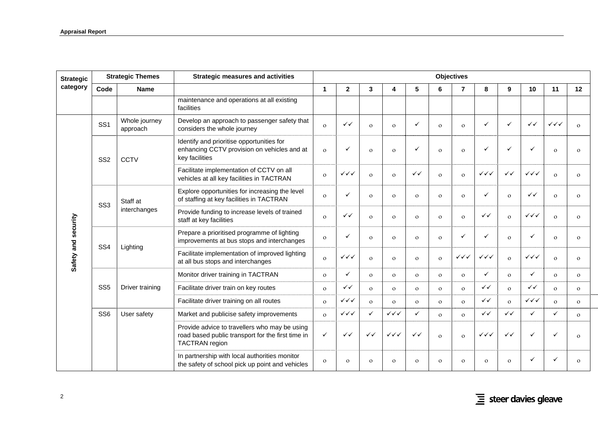| <b>Strategic</b>    |                 | <b>Strategic Themes</b>   | <b>Strategic measures and activities</b>                                                                                    | <b>Objectives</b>    |                        |              |                        |              |              |                        |                        |              |                        |                        |              |
|---------------------|-----------------|---------------------------|-----------------------------------------------------------------------------------------------------------------------------|----------------------|------------------------|--------------|------------------------|--------------|--------------|------------------------|------------------------|--------------|------------------------|------------------------|--------------|
| category            | Code            | <b>Name</b>               |                                                                                                                             | $\blacktriangleleft$ | $\mathbf{2}$           | 3            | 4                      | 5            | 6            | $\overline{7}$         | 8                      | 9            | 10                     | 11                     | 12           |
|                     |                 |                           | maintenance and operations at all existing<br>facilities                                                                    |                      |                        |              |                        |              |              |                        |                        |              |                        |                        |              |
|                     | SS <sub>1</sub> | Whole journey<br>approach | Develop an approach to passenger safety that<br>considers the whole journey                                                 | $\Omega$             | ✓✓                     | $\Omega$     | $\Omega$               | ✓            | $\Omega$     | $\mathbf{o}$           | $\checkmark$           | $\checkmark$ | $\checkmark$           | $\checkmark\checkmark$ | $\Omega$     |
|                     | SS <sub>2</sub> | <b>CCTV</b>               | Identify and prioritise opportunities for<br>enhancing CCTV provision on vehicles and at<br>key facilities                  | $\mathbf{O}$         | ✓                      | $\Omega$     | $\Omega$               | ✓            | $\mathbf{o}$ | $\Omega$               | ✓                      | $\checkmark$ |                        | $\mathbf{o}$           | $\Omega$     |
|                     |                 |                           | Facilitate implementation of CCTV on all<br>vehicles at all key facilities in TACTRAN                                       | $\overline{O}$       | $\checkmark\checkmark$ | $\Omega$     | $\Omega$               | $\checkmark$ | $\Omega$     | $\mathbf{o}$           | $\checkmark\checkmark$ | $\checkmark$ | $\checkmark\checkmark$ | $\Omega$               | $\Omega$     |
|                     | SS <sub>3</sub> | Staff at                  | Explore opportunities for increasing the level<br>of staffing at key facilities in TACTRAN                                  | $\mathbf{O}$         | ✓                      | $\mathbf{o}$ | $\Omega$               | $\mathbf{O}$ | $\mathbf{O}$ | $\mathbf{O}$           | $\checkmark$           | $\Omega$     | ✓✓                     | $\overline{O}$         | $\Omega$     |
|                     |                 | interchanges              | Provide funding to increase levels of trained<br>staff at key facilities                                                    | $\mathbf{O}$         | $\checkmark$           | $\Omega$     | $\Omega$               | $\Omega$     | $\mathbf{O}$ | $\mathbf{o}$           | $\checkmark$           | $\Omega$     | $\checkmark\checkmark$ | $\Omega$               | $\Omega$     |
|                     | SS <sub>4</sub> | Lighting                  | Prepare a prioritised programme of lighting<br>improvements at bus stops and interchanges                                   | $\mathbf{O}$         | $\checkmark$           | $\mathbf{o}$ | $\Omega$               | $\mathbf{O}$ | $\mathbf{o}$ | ✓                      | $\checkmark$           | $\Omega$     | ✓                      | $\overline{O}$         | $\Omega$     |
| Safety and security |                 |                           | Facilitate implementation of improved lighting<br>at all bus stops and interchanges                                         | $\overline{O}$       | $\checkmark\checkmark$ | $\Omega$     | $\Omega$               | $\Omega$     | $\mathbf{o}$ | $\checkmark\checkmark$ | $\checkmark\checkmark$ | $\mathbf{o}$ | $\checkmark\checkmark$ | $\Omega$               | $\Omega$     |
|                     |                 |                           | Monitor driver training in TACTRAN                                                                                          | $\mathbf{O}$         | $\checkmark$           | $\Omega$     | $\Omega$               | $\Omega$     | $\mathbf{o}$ | $\mathbf{o}$           | $\checkmark$           | $\Omega$     | ✓                      | $\Omega$               | $\Omega$     |
|                     | SS <sub>5</sub> | Driver training           | Facilitate driver train on key routes                                                                                       | $\mathbf{o}$         | $\checkmark$           | $\Omega$     | $\Omega$               | $\mathbf{o}$ | $\mathbf{O}$ | $\mathbf{o}$           | $\checkmark$           | $\mathbf{o}$ | $\checkmark$           | $\Omega$               | $\mathbf{o}$ |
|                     |                 |                           | Facilitate driver training on all routes                                                                                    | $\mathbf{o}$         | $\checkmark\checkmark$ | $\Omega$     | $\Omega$               | $\mathbf{O}$ | $\mathbf{o}$ | $\mathbf{o}$           | $\checkmark$           | $\Omega$     | $\checkmark\checkmark$ | $\overline{O}$         | $\mathbf{o}$ |
|                     | SS <sub>6</sub> | User safety               | Market and publicise safety improvements                                                                                    | $\mathbf{o}$         | $\checkmark\checkmark$ | $\checkmark$ | $\checkmark\checkmark$ | $\checkmark$ | $\Omega$     | $\Omega$               | $\checkmark$           | $\checkmark$ | $\checkmark$           | $\checkmark$           | $\Omega$     |
|                     |                 |                           | Provide advice to travellers who may be using<br>road based public transport for the first time in<br><b>TACTRAN</b> region | ✓                    | $\checkmark$           | ✓✓           | $\checkmark\checkmark$ | $\checkmark$ | $\mathbf{o}$ | $\mathbf{o}$           | $\checkmark\checkmark$ | ✓✓           | ✓                      |                        | $\Omega$     |
|                     |                 |                           | In partnership with local authorities monitor<br>the safety of school pick up point and vehicles                            | $\overline{O}$       | $\Omega$               | $\mathbf{o}$ | $\Omega$               | $\Omega$     | $\mathbf{O}$ | $\mathbf{O}$           | $\mathbf{O}$           | $\Omega$     |                        |                        | $\Omega$     |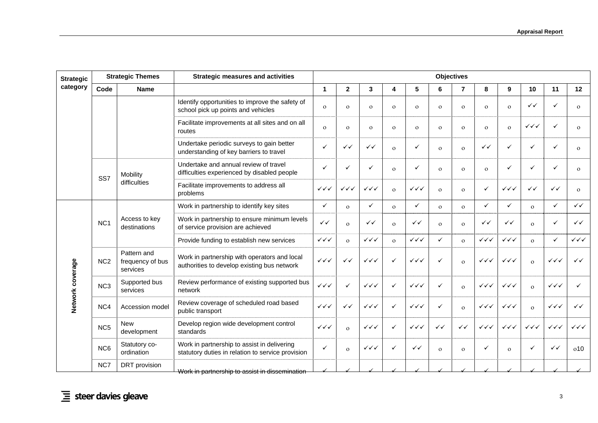| <b>Strategic</b> |                 | <b>Strategic Themes</b>                     | <b>Strategic measures and activities</b>                                                         |                        |                        |                        |              |                        |              | <b>Objectives</b> |                        |                                  |                        |                        |                                  |
|------------------|-----------------|---------------------------------------------|--------------------------------------------------------------------------------------------------|------------------------|------------------------|------------------------|--------------|------------------------|--------------|-------------------|------------------------|----------------------------------|------------------------|------------------------|----------------------------------|
| category         | Code            | <b>Name</b>                                 |                                                                                                  | $\mathbf{1}$           | $\mathbf{2}$           | 3                      | 4            | 5                      | 6            | $\overline{7}$    | 8                      | 9                                | 10                     | 11                     | 12                               |
|                  |                 |                                             | Identify opportunities to improve the safety of<br>school pick up points and vehicles            | $\Omega$               | $\Omega$               | $\mathbf{o}$           | $\mathbf{o}$ | $\mathbf{o}$           | $\mathbf{o}$ | $\mathbf{o}$      | $\mathbf{o}$           | $\mathbf{o}$                     | $\checkmark$           | $\checkmark$           | $\Omega$                         |
|                  |                 |                                             | Facilitate improvements at all sites and on all<br>routes                                        | $\mathbf{o}$           | $\mathbf{O}$           | $\mathbf{o}$           | $\mathbf{O}$ | $\mathbf{o}$           | $\mathbf{O}$ | $\mathbf{O}$      | $\mathbf{o}$           | $\mathbf{o}$                     | $\checkmark\checkmark$ | $\checkmark$           | $\mathbf{o}$                     |
|                  |                 |                                             | Undertake periodic surveys to gain better<br>understanding of key barriers to travel             | $\checkmark$           | $\checkmark$           | $\checkmark$           | $\Omega$     | $\checkmark$           | $\Omega$     | $\Omega$          | $\checkmark$           | $\checkmark$                     | ✓                      | $\checkmark$           | $\Omega$                         |
|                  | SS <sub>7</sub> | Mobility                                    | Undertake and annual review of travel<br>difficulties experienced by disabled people             | ✓                      |                        | ✓                      | $\Omega$     | $\checkmark$           | $\Omega$     | $\Omega$          | $\mathbf{o}$           | $\checkmark$                     | $\checkmark$           | $\checkmark$           | $\Omega$                         |
|                  |                 | difficulties                                | Facilitate improvements to address all<br>problems                                               | $\checkmark\checkmark$ | $\checkmark\checkmark$ | $\checkmark\checkmark$ | $\Omega$     | $\checkmark\checkmark$ | $\Omega$     | $\Omega$          | $\checkmark$           | $\checkmark\checkmark$           | $\checkmark$           | $\checkmark$           | $\Omega$                         |
|                  |                 |                                             | Work in partnership to identify key sites                                                        | ✓                      | $\mathbf{O}$           | ✓                      | $\mathbf{o}$ | $\checkmark$           | $\mathbf{o}$ | $\mathbf{o}$      | $\checkmark$           | $\checkmark$                     | $\mathbf{o}$           | $\checkmark$           | $\checkmark$                     |
|                  | NC <sub>1</sub> | Access to key<br>destinations               | Work in partnership to ensure minimum levels<br>of service provision are achieved                | $\checkmark$           | $\Omega$               | $\checkmark$           | $\Omega$     | $\checkmark$           | $\Omega$     | $\Omega$          | $\checkmark$           | $\checkmark$                     | $\Omega$               | $\checkmark$           | $\checkmark$                     |
|                  |                 |                                             | Provide funding to establish new services                                                        | $\checkmark\checkmark$ | $\overline{O}$         | $\checkmark\checkmark$ | $\Omega$     | $\checkmark\checkmark$ | $\checkmark$ | $\mathbf{o}$      | $\checkmark\checkmark$ | $\checkmark\checkmark$           | $\mathbf{o}$           | $\checkmark$           | $\checkmark\checkmark\checkmark$ |
|                  | NC <sub>2</sub> | Pattern and<br>frequency of bus<br>services | Work in partnership with operators and local<br>authorities to develop existing bus network      | $\checkmark\checkmark$ | ✓✓                     | $\checkmark\checkmark$ | ✓            | $\checkmark\checkmark$ | ✓            | $\Omega$          | $\checkmark\checkmark$ | $\checkmark\checkmark$           | $\Omega$               | ✓✓✓                    | $\checkmark$                     |
| Network coverage | NC <sub>3</sub> | Supported bus<br>services                   | Review performance of existing supported bus<br>network                                          | $\checkmark\checkmark$ | ✓                      | $\checkmark\checkmark$ | ✓            | $\checkmark\checkmark$ | $\checkmark$ | $\Omega$          | $\checkmark\checkmark$ | $\checkmark\checkmark$           | $\Omega$               | $\checkmark\checkmark$ | ✓                                |
|                  | NC4             | Accession model                             | Review coverage of scheduled road based<br>public transport                                      | $\checkmark\checkmark$ | $\checkmark$           | $\checkmark\checkmark$ | ✓            | $\checkmark\checkmark$ | $\checkmark$ | $\Omega$          | $\checkmark\checkmark$ | $\checkmark\checkmark\checkmark$ | $\Omega$               | $\checkmark\checkmark$ | $\checkmark$                     |
|                  | NC <sub>5</sub> | <b>New</b><br>development                   | Develop region wide development control<br>standards                                             | $\checkmark\checkmark$ | $\Omega$               | $\checkmark\checkmark$ | ✓            | $\checkmark\checkmark$ | $\checkmark$ | $\checkmark$      | $\checkmark\checkmark$ | $\checkmark\checkmark$           | $\checkmark\checkmark$ | $\checkmark\checkmark$ | $\checkmark\checkmark\checkmark$ |
|                  | NC <sub>6</sub> | Statutory co-<br>ordination                 | Work in partnership to assist in delivering<br>statutory duties in relation to service provision | ✓                      | $\Omega$               | $\checkmark\checkmark$ | ✓            | $\checkmark$           | $\Omega$     | $\Omega$          | $\checkmark$           | $\Omega$                         | $\checkmark$           | ✓✓                     | 010                              |
|                  | NC7             | DRT provision                               | Work in partnership to assist in dissemination                                                   |                        |                        |                        |              |                        |              |                   |                        |                                  |                        |                        |                                  |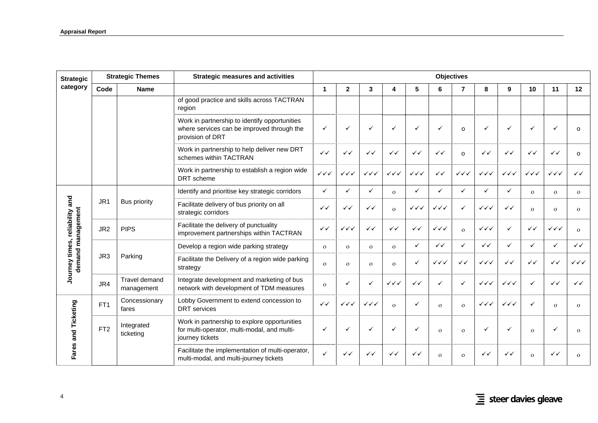| <b>Strategic</b>                 |                 | <b>Strategic Themes</b>     | <b>Strategic measures and activities</b>                                                                        | <b>Objectives</b>      |                        |                        |                        |                        |                        |                        |                        |                        |                        |                        |                        |
|----------------------------------|-----------------|-----------------------------|-----------------------------------------------------------------------------------------------------------------|------------------------|------------------------|------------------------|------------------------|------------------------|------------------------|------------------------|------------------------|------------------------|------------------------|------------------------|------------------------|
| category                         | Code            | <b>Name</b>                 |                                                                                                                 | $\mathbf 1$            | $\overline{2}$         | 3                      | 4                      | 5                      | 6                      | $\overline{7}$         | 8                      | 9                      | 10                     | 11                     | 12                     |
|                                  |                 |                             | of good practice and skills across TACTRAN<br>region                                                            |                        |                        |                        |                        |                        |                        |                        |                        |                        |                        |                        |                        |
|                                  |                 |                             | Work in partnership to identify opportunities<br>where services can be improved through the<br>provision of DRT | $\checkmark$           | ✓                      | ✓                      | ✓                      | $\checkmark$           | $\checkmark$           | $\Omega$               | $\checkmark$           |                        | $\checkmark$           |                        | $\Omega$               |
|                                  |                 |                             | Work in partnership to help deliver new DRT<br>schemes within TACTRAN                                           | $\checkmark$           | $\checkmark$           | $\checkmark$           | $\checkmark$           | $\checkmark$           | $\checkmark$           | $\Omega$               | $\checkmark$           | ✓✓                     | $\checkmark$           | $\checkmark$           | $\Omega$               |
|                                  |                 |                             | Work in partnership to establish a region wide<br>DRT scheme                                                    | $\checkmark\checkmark$ | $\checkmark\checkmark$ | $\checkmark\checkmark$ | $\checkmark\checkmark$ | $\checkmark\checkmark$ | $\checkmark$           | $\checkmark\checkmark$ | $\checkmark\checkmark$ | $\checkmark\checkmark$ | $\checkmark\checkmark$ | $\checkmark\checkmark$ | $\checkmark$           |
|                                  |                 |                             | Identify and prioritise key strategic corridors                                                                 | $\checkmark$           | $\checkmark$           | $\checkmark$           | $\Omega$               | $\checkmark$           | $\checkmark$           | $\checkmark$           | $\checkmark$           | ✓                      | $\Omega$               | $\Omega$               | $\mathbf{o}$           |
| and                              | JR <sub>1</sub> | <b>Bus priority</b>         | Facilitate delivery of bus priority on all<br>strategic corridors                                               | $\checkmark$           | $\checkmark$           | $\checkmark$           | $\mathbf{o}$           | $\checkmark\checkmark$ | $\checkmark\checkmark$ | ✓                      | $\checkmark\checkmark$ | $\checkmark$           | $\Omega$               | $\Omega$               | $\mathbf{O}$           |
| demand management<br>reliability | JR <sub>2</sub> | <b>PIPS</b>                 | Facilitate the delivery of punctuality<br>improvement partnerships within TACTRAN                               | $\checkmark$           | $\checkmark\checkmark$ | $\checkmark$           | $\checkmark$           | $\checkmark$           | $\checkmark\checkmark$ | $\Omega$               | $\checkmark\checkmark$ | ✓                      | $\checkmark$           | $\checkmark\checkmark$ | $\Omega$               |
|                                  |                 |                             | Develop a region wide parking strategy                                                                          | $\Omega$               | $\Omega$               | $\Omega$               | $\Omega$               | $\checkmark$           | $\checkmark$           | ✓                      | $\checkmark$           | ✓                      | $\checkmark$           | $\checkmark$           | $\checkmark$           |
| Journey times,                   | JR3             | Parking                     | Facilitate the Delivery of a region wide parking<br>strategy                                                    | $\mathbf{o}$           | $\mathbf{O}$           | $\mathbf{O}$           | $\mathbf{o}$           | $\checkmark$           | $\checkmark\checkmark$ | $\checkmark$           | $\checkmark\checkmark$ | $\checkmark$           | $\checkmark$           | $\checkmark$           | $\checkmark\checkmark$ |
|                                  | JR4             | Travel demand<br>management | Integrate development and marketing of bus<br>network with development of TDM measures                          | $\Omega$               | ✓                      | ✓                      | $\checkmark\checkmark$ | $\checkmark$           | $\checkmark$           | ✓                      | $\checkmark\checkmark$ | $\checkmark\checkmark$ | $\checkmark$           | $\checkmark$           | $\checkmark$           |
|                                  | FT <sub>1</sub> | Concessionary<br>fares      | Lobby Government to extend concession to<br><b>DRT</b> services                                                 | $\checkmark$           | $\checkmark\checkmark$ | $\checkmark\checkmark$ | $\Omega$               | $\checkmark$           | $\Omega$               | $\Omega$               | $\checkmark\checkmark$ | $\checkmark\checkmark$ | ✓                      | $\Omega$               | $\mathbf{O}$           |
| Fares and Ticketing              | FT <sub>2</sub> | Integrated<br>ticketing     | Work in partnership to explore opportunities<br>for multi-operator, multi-modal, and multi-<br>journey tickets  | $\checkmark$           |                        | ✓                      | ✓                      | $\checkmark$           | $\Omega$               | $\Omega$               | ✓                      |                        | $\Omega$               |                        | $\Omega$               |
|                                  |                 |                             | Facilitate the implementation of multi-operator,<br>multi-modal, and multi-journey tickets                      | $\checkmark$           | ✓✓                     | ✓✓                     | ✓✓                     | ✓✓                     | $\Omega$               | $\Omega$               | ✓✓                     | ✓✓                     | $\Omega$               | $\checkmark$           | $\Omega$               |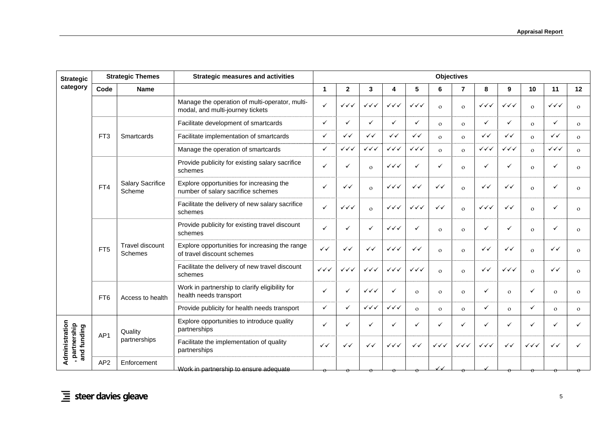| <b>Strategic</b>                               | <b>Strategic Themes</b><br><b>Strategic measures and activities</b> |                                   |                                                                                    |                        | <b>Objectives</b>      |                        |                        |                        |                        |                        |                        |                        |                        |                        |              |  |
|------------------------------------------------|---------------------------------------------------------------------|-----------------------------------|------------------------------------------------------------------------------------|------------------------|------------------------|------------------------|------------------------|------------------------|------------------------|------------------------|------------------------|------------------------|------------------------|------------------------|--------------|--|
| category                                       | Code                                                                | <b>Name</b>                       |                                                                                    | $\mathbf{1}$           | $\mathbf{2}$           | 3                      | 4                      | 5                      | 6                      | $\overline{7}$         | 8                      | 9                      | 10                     | 11                     | 12           |  |
|                                                |                                                                     |                                   | Manage the operation of multi-operator, multi-<br>modal, and multi-journey tickets | $\checkmark$           | $\checkmark\checkmark$ | $\checkmark\checkmark$ | $\checkmark\checkmark$ | $\checkmark\checkmark$ | $\Omega$               | $\mathbf{o}$           | $\checkmark\checkmark$ | $\checkmark\checkmark$ | $\mathbf{o}$           | $\checkmark\checkmark$ | $\Omega$     |  |
|                                                |                                                                     |                                   | Facilitate development of smartcards                                               | $\checkmark$           | ✓                      | $\checkmark$           | ✓                      | $\checkmark$           | $\mathbf{o}$           | $\mathbf{O}$           | $\checkmark$           | ✓                      | $\mathbf{o}$           | ✓                      | $\mathbf{o}$ |  |
|                                                | FT <sub>3</sub>                                                     | Smartcards                        | Facilitate implementation of smartcards                                            | ✓                      | $\checkmark$           | $\checkmark$           | $\checkmark$           | $\checkmark$           | $\Omega$               | $\mathbf{o}$           | $\checkmark$           | $\checkmark$           | $\circ$                | $\checkmark$           | $\mathbf{o}$ |  |
|                                                |                                                                     |                                   | Manage the operation of smartcards                                                 | $\checkmark$           | ✓✓✓                    | $\checkmark\checkmark$ | $\checkmark\checkmark$ | $\checkmark\checkmark$ | $\Omega$               | $\Omega$               | $\checkmark\checkmark$ | $\checkmark\checkmark$ | $\Omega$               | $\checkmark\checkmark$ | $\mathbf{o}$ |  |
|                                                |                                                                     |                                   | Provide publicity for existing salary sacrifice<br>schemes                         | ✓                      |                        | $\mathbf{o}$           | $\checkmark\checkmark$ | $\checkmark$           | ✓                      | $\mathbf{O}$           | $\checkmark$           | ✓                      | $\Omega$               |                        | $\mathbf{o}$ |  |
|                                                | FT4                                                                 | <b>Salary Sacrifice</b><br>Scheme | Explore opportunities for increasing the<br>number of salary sacrifice schemes     | ✓                      | $\checkmark$           | $\mathbf{o}$           | $\checkmark\checkmark$ | $\checkmark$           | $\checkmark$           | $\Omega$               | ✓✓                     | $\checkmark$           | $\Omega$               | ✓                      | $\Omega$     |  |
|                                                |                                                                     |                                   | Facilitate the delivery of new salary sacrifice<br>schemes                         | ✓                      | $\checkmark\checkmark$ | $\mathbf{o}$           | $\checkmark\checkmark$ | $\checkmark\checkmark$ | ✓✓                     | $\mathbf{o}$           | $\checkmark\checkmark$ | $\checkmark$           | $\mathbf{o}$           | ✓                      | $\mathbf{O}$ |  |
|                                                |                                                                     |                                   | Provide publicity for existing travel discount<br>schemes                          | ✓                      |                        | $\checkmark$           | $\checkmark\checkmark$ | ✓                      | $\Omega$               | $\overline{O}$         | $\checkmark$           | ✓                      | $\mathbf{o}$           |                        | $\mathbf{O}$ |  |
|                                                | FT <sub>5</sub>                                                     | <b>Travel discount</b><br>Schemes | Explore opportunities for increasing the range<br>of travel discount schemes       | $\checkmark$           | $\checkmark$           | $\checkmark$           | ✓✓✓                    | $\checkmark$           | $\Omega$               | $\mathbf{O}$           | ✓✓                     | ✓✓                     | $\mathbf{o}$           | $\checkmark$           | $\Omega$     |  |
|                                                |                                                                     |                                   | Facilitate the delivery of new travel discount<br>schemes                          | $\checkmark\checkmark$ | ✓✓✓                    | $\checkmark\checkmark$ | $\checkmark\checkmark$ | $\checkmark\checkmark$ | $\Omega$               | $\Omega$               | $\checkmark$           | $\checkmark\checkmark$ | $\Omega$               | $\checkmark$           | $\mathbf{O}$ |  |
|                                                | FT6                                                                 | Access to health                  | Work in partnership to clarify eligibility for<br>health needs transport           | ✓                      |                        | $\checkmark\checkmark$ | ✓                      | $\mathbf{o}$           | $\Omega$               | $\Omega$               | $\checkmark$           | $\Omega$               | $\checkmark$           | $\Omega$               | $\Omega$     |  |
|                                                |                                                                     |                                   | Provide publicity for health needs transport                                       | $\checkmark$           | ✓                      | $\checkmark\checkmark$ | $\checkmark\checkmark$ | $\Omega$               | $\Omega$               | $\Omega$               | $\checkmark$           | $\mathbf{o}$           | ✓                      | $\Omega$               | $\Omega$     |  |
|                                                | AP <sub>1</sub>                                                     | Quality                           | Explore opportunities to introduce quality<br>partnerships                         | ✓                      |                        | ✓                      |                        | ✓                      | ✓                      | ✓                      | $\checkmark$           | $\checkmark$           | ✓                      | ✓                      |              |  |
| Administration<br>, partnership<br>and funding |                                                                     | partnerships                      | Facilitate the implementation of quality<br>partnerships                           | $\checkmark$           | $\checkmark$           | $\checkmark$           | $\checkmark\checkmark$ | $\checkmark$           | $\checkmark\checkmark$ | $\checkmark\checkmark$ | $\checkmark\checkmark$ | ✓✓                     | $\checkmark\checkmark$ | ✓✓                     |              |  |
|                                                | AP <sub>2</sub>                                                     | Enforcement                       | Work in partnership to ensure adequate                                             |                        |                        |                        |                        |                        |                        |                        |                        |                        |                        |                        |              |  |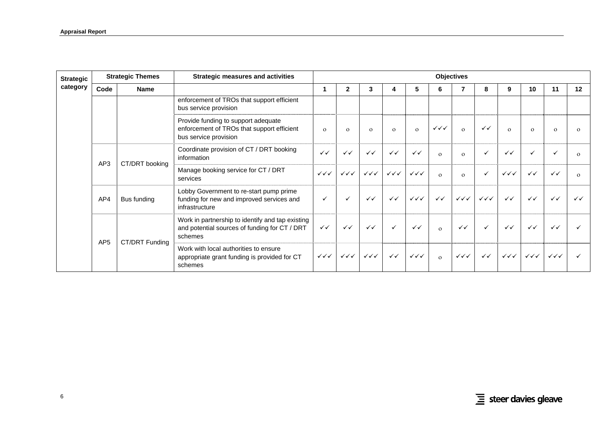| <b>Strategic</b> |                 | <b>Strategic Themes</b> | Strategic measures and activities                                                                            |                                  |                                  |                                  |                                  |                                  |                                  | <b>Objectives</b>                |                        |                                  |                        |                        |              |
|------------------|-----------------|-------------------------|--------------------------------------------------------------------------------------------------------------|----------------------------------|----------------------------------|----------------------------------|----------------------------------|----------------------------------|----------------------------------|----------------------------------|------------------------|----------------------------------|------------------------|------------------------|--------------|
| category         | Code            | <b>Name</b>             |                                                                                                              |                                  | $\mathbf{2}$                     | 3                                |                                  | 5                                | 6                                |                                  | 8                      | 9                                | 10                     | 11                     | 12           |
|                  |                 |                         | enforcement of TROs that support efficient<br>bus service provision                                          |                                  |                                  |                                  |                                  |                                  |                                  |                                  |                        |                                  |                        |                        |              |
|                  |                 |                         | Provide funding to support adequate<br>enforcement of TROs that support efficient<br>bus service provision   | $\Omega$                         | $\Omega$                         | $\Omega$                         | $\Omega$                         | $\Omega$                         | $\checkmark\checkmark\checkmark$ | $\Omega$                         | $\checkmark$           | $\Omega$                         | $\Omega$               | $\Omega$               | $\Omega$     |
|                  | AP3             | CT/DRT booking          | Coordinate provision of CT / DRT booking<br>information                                                      | $\checkmark$                     | $\checkmark$                     | $\checkmark$                     | $\checkmark$                     | $\checkmark$                     | $\Omega$                         | $\Omega$                         | $\checkmark$           | $\checkmark$                     | $\checkmark$           |                        | $\Omega$     |
|                  |                 |                         | Manage booking service for CT / DRT<br>services                                                              | $\checkmark\checkmark\checkmark$ | $\checkmark\checkmark\checkmark$ | $\checkmark\checkmark\checkmark$ | $\checkmark\checkmark\checkmark$ | $\checkmark\checkmark$           | $\Omega$                         | $\Omega$                         | $\checkmark$           | $\checkmark\checkmark$           | $\checkmark$           | $\checkmark$           | $\Omega$     |
|                  | AP4             | Bus funding             | Lobby Government to re-start pump prime<br>funding for new and improved services and<br>infrastructure       | $\checkmark$                     | $\checkmark$                     | $\checkmark$                     | $\checkmark$                     | $\checkmark\checkmark\checkmark$ | $\checkmark$                     | $\checkmark\checkmark$           | $\checkmark\checkmark$ | $\checkmark$                     | $\checkmark$           | $\checkmark$           | $\checkmark$ |
|                  | AP <sub>5</sub> |                         | Work in partnership to identify and tap existing<br>and potential sources of funding for CT / DRT<br>schemes | $\checkmark$                     | $\checkmark$                     | $\checkmark$                     | $\checkmark$                     | $\checkmark$                     | $\Omega$                         | $\checkmark$                     | $\checkmark$           | $\checkmark$                     | $\checkmark$           | $\checkmark$           |              |
|                  |                 | CT/DRT Funding          | Work with local authorities to ensure<br>appropriate grant funding is provided for CT<br>schemes             | $\checkmark\checkmark\checkmark$ | $\checkmark\checkmark\checkmark$ | $\checkmark\checkmark\checkmark$ | $\checkmark$                     | $\checkmark\checkmark\checkmark$ | $\mathbf{o}$                     | $\checkmark\checkmark\checkmark$ | $\checkmark$           | $\checkmark\checkmark\checkmark$ | $\checkmark\checkmark$ | $\checkmark\checkmark$ |              |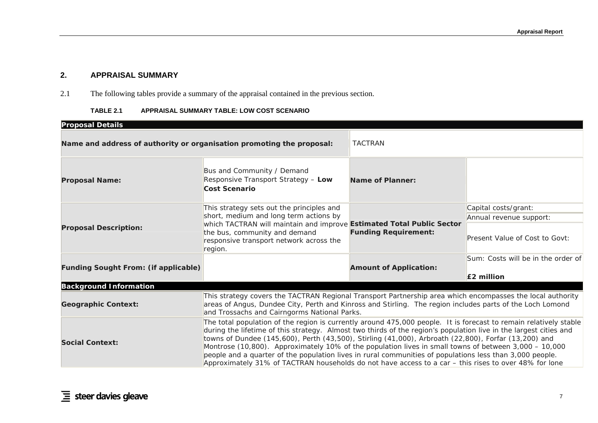## **2. APPRAISAL SUMMARY**

2.1The following tables provide a summary of the appraisal contained in the previous section.

### **TABLE 2.1 APPRAISAL SUMMARY TABLE: LOW COST SCENARIO**

<span id="page-22-0"></span>

| <b>Proposal Details</b>                                                                                                                                                                                                                                                                                                                                                                                                                                                                                                                                                                                                                                                                                |                                                                                                                                                                                                                                                                         |                               |                                    |  |  |  |
|--------------------------------------------------------------------------------------------------------------------------------------------------------------------------------------------------------------------------------------------------------------------------------------------------------------------------------------------------------------------------------------------------------------------------------------------------------------------------------------------------------------------------------------------------------------------------------------------------------------------------------------------------------------------------------------------------------|-------------------------------------------------------------------------------------------------------------------------------------------------------------------------------------------------------------------------------------------------------------------------|-------------------------------|------------------------------------|--|--|--|
| Name and address of authority or organisation promoting the proposal:                                                                                                                                                                                                                                                                                                                                                                                                                                                                                                                                                                                                                                  |                                                                                                                                                                                                                                                                         | <b>TACTRAN</b>                |                                    |  |  |  |
| <b>Proposal Name:</b>                                                                                                                                                                                                                                                                                                                                                                                                                                                                                                                                                                                                                                                                                  | Bus and Community / Demand<br>Responsive Transport Strategy - Low<br>Cost Scenario                                                                                                                                                                                      | Name of Planner:              |                                    |  |  |  |
|                                                                                                                                                                                                                                                                                                                                                                                                                                                                                                                                                                                                                                                                                                        | This strategy sets out the principles and                                                                                                                                                                                                                               |                               | Capital costs/grant:               |  |  |  |
|                                                                                                                                                                                                                                                                                                                                                                                                                                                                                                                                                                                                                                                                                                        | short, medium and long term actions by                                                                                                                                                                                                                                  |                               | Annual revenue support:            |  |  |  |
| <b>Proposal Description:</b>                                                                                                                                                                                                                                                                                                                                                                                                                                                                                                                                                                                                                                                                           | which TACTRAN will maintain and improve Estimated Total Public Sector<br>the bus, community and demand<br>responsive transport network across the<br>region.                                                                                                            | <b>Funding Requirement:</b>   | Present Value of Cost to Govt:     |  |  |  |
|                                                                                                                                                                                                                                                                                                                                                                                                                                                                                                                                                                                                                                                                                                        |                                                                                                                                                                                                                                                                         |                               | Sum: Costs will be in the order of |  |  |  |
| <b>Funding Sought From: (if applicable)</b>                                                                                                                                                                                                                                                                                                                                                                                                                                                                                                                                                                                                                                                            |                                                                                                                                                                                                                                                                         | <b>Amount of Application:</b> | $E2$ million                       |  |  |  |
| <b>Background Information</b>                                                                                                                                                                                                                                                                                                                                                                                                                                                                                                                                                                                                                                                                          |                                                                                                                                                                                                                                                                         |                               |                                    |  |  |  |
| <b>Geographic Context:</b>                                                                                                                                                                                                                                                                                                                                                                                                                                                                                                                                                                                                                                                                             | This strategy covers the TACTRAN Regional Transport Partnership area which encompasses the local authority<br>areas of Angus, Dundee City, Perth and Kinross and Stirling. The region includes parts of the Loch Lomond<br>and Trossachs and Cairngorms National Parks. |                               |                                    |  |  |  |
| The total population of the region is currently around 475,000 people. It is forecast to remain relatively stable<br>during the lifetime of this strategy. Almost two thirds of the region's population live in the largest cities and<br>towns of Dundee (145,600), Perth (43,500), Stirling (41,000), Arbroath (22,800), Forfar (13,200) and<br><b>Social Context:</b><br>Montrose (10,800). Approximately 10% of the population lives in small towns of between 3,000 - 10,000<br>people and a quarter of the population lives in rural communities of populations less than 3,000 people.<br>Approximately 31% of TACTRAN households do not have access to a car - this rises to over 48% for lone |                                                                                                                                                                                                                                                                         |                               |                                    |  |  |  |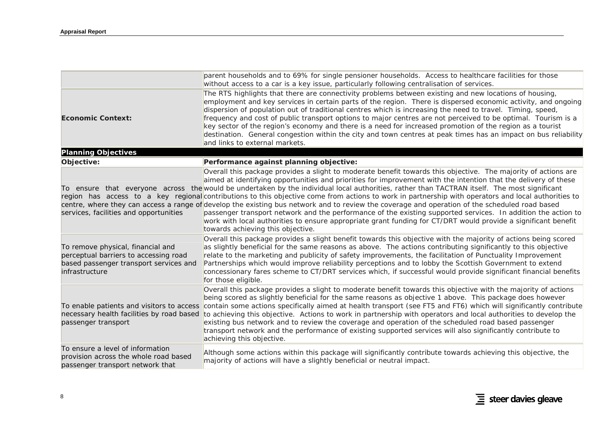|                                                                                                                                        | parent households and to 69% for single pensioner households. Access to healthcare facilities for those<br>without access to a car is a key issue, particularly following centralisation of services.                                                                                                                                                                                                                                                                                                                                                                                                                                                                                                                                                                                                                                                                                                                                                               |
|----------------------------------------------------------------------------------------------------------------------------------------|---------------------------------------------------------------------------------------------------------------------------------------------------------------------------------------------------------------------------------------------------------------------------------------------------------------------------------------------------------------------------------------------------------------------------------------------------------------------------------------------------------------------------------------------------------------------------------------------------------------------------------------------------------------------------------------------------------------------------------------------------------------------------------------------------------------------------------------------------------------------------------------------------------------------------------------------------------------------|
| <b>Economic Context:</b>                                                                                                               | The RTS highlights that there are connectivity problems between existing and new locations of housing,<br>employment and key services in certain parts of the region. There is dispersed economic activity, and ongoing<br>dispersion of population out of traditional centres which is increasing the need to travel. Timing, speed,<br>frequency and cost of public transport options to major centres are not perceived to be optimal. Tourism is a<br>key sector of the region's economy and there is a need for increased promotion of the region as a tourist<br>destination. General congestion within the city and town centres at peak times has an impact on bus reliability<br>and links to external markets.                                                                                                                                                                                                                                            |
| <b>Planning Objectives</b>                                                                                                             |                                                                                                                                                                                                                                                                                                                                                                                                                                                                                                                                                                                                                                                                                                                                                                                                                                                                                                                                                                     |
| Objective:                                                                                                                             | Performance against planning objective:                                                                                                                                                                                                                                                                                                                                                                                                                                                                                                                                                                                                                                                                                                                                                                                                                                                                                                                             |
| services, facilities and opportunities                                                                                                 | Overall this package provides a slight to moderate benefit towards this objective. The majority of actions are<br>aimed at identifying opportunities and priorities for improvement with the intention that the delivery of these<br>To ensure that everyone across the would be undertaken by the individual local authorities, rather than TACTRAN itself. The most significant<br>region has access to a key regional contributions to this objective come from actions to work in partnership with operators and local authorities to<br>centre, where they can access a range of develop the existing bus network and to review the coverage and operation of the scheduled road based<br>passenger transport network and the performance of the existing supported services. In addition the action to<br>work with local authorities to ensure appropriate grant funding for CT/DRT would provide a significant benefit<br>towards achieving this objective. |
| To remove physical, financial and<br>perceptual barriers to accessing road<br>based passenger transport services and<br>infrastructure | Overall this package provides a slight benefit towards this objective with the majority of actions being scored<br>as slightly beneficial for the same reasons as above. The actions contributing significantly to this objective<br>relate to the marketing and publicity of safety improvements, the facilitation of Punctuality Improvement<br>Partnerships which would improve reliability perceptions and to lobby the Scottish Government to extend<br>concessionary fares scheme to CT/DRT services which, if successful would provide significant financial benefits<br>for those eligible.                                                                                                                                                                                                                                                                                                                                                                 |
| To enable patients and visitors to access<br>necessary health facilities by road based<br>passenger transport                          | Overall this package provides a slight to moderate benefit towards this objective with the majority of actions<br>being scored as slightly beneficial for the same reasons as objective 1 above. This package does however<br>contain some actions specifically aimed at health transport (see FT5 and FT6) which will significantly contribute<br>to achieving this objective. Actions to work in partnership with operators and local authorities to develop the<br>existing bus network and to review the coverage and operation of the scheduled road based passenger<br>transport network and the performance of existing supported services will also significantly contribute to<br>achieving this objective.                                                                                                                                                                                                                                                |
| To ensure a level of information<br>provision across the whole road based<br>passenger transport network that                          | Although some actions within this package will significantly contribute towards achieving this objective, the<br>majority of actions will have a slightly beneficial or neutral impact.                                                                                                                                                                                                                                                                                                                                                                                                                                                                                                                                                                                                                                                                                                                                                                             |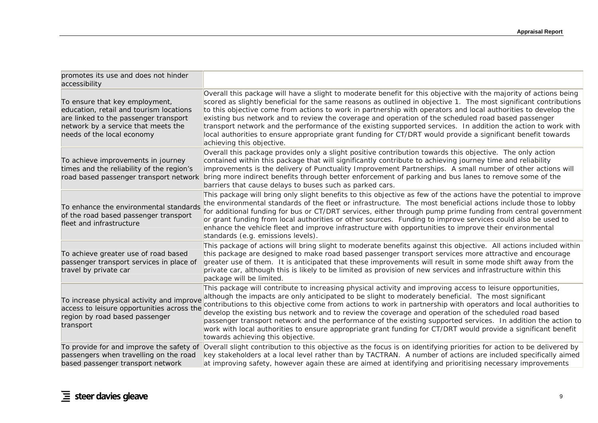| promotes its use and does not hinder<br>accessibility                                                                                                                                   |                                                                                                                                                                                                                                                                                                                                                                                                                                                                                                                                                                                                                                                                                                                               |
|-----------------------------------------------------------------------------------------------------------------------------------------------------------------------------------------|-------------------------------------------------------------------------------------------------------------------------------------------------------------------------------------------------------------------------------------------------------------------------------------------------------------------------------------------------------------------------------------------------------------------------------------------------------------------------------------------------------------------------------------------------------------------------------------------------------------------------------------------------------------------------------------------------------------------------------|
| To ensure that key employment,<br>education, retail and tourism locations<br>are linked to the passenger transport<br>network by a service that meets the<br>needs of the local economy | Overall this package will have a slight to moderate benefit for this objective with the majority of actions being<br>scored as slightly beneficial for the same reasons as outlined in objective 1. The most significant contributions<br>to this objective come from actions to work in partnership with operators and local authorities to develop the<br>existing bus network and to review the coverage and operation of the scheduled road based passenger<br>transport network and the performance of the existing supported services. In addition the action to work with<br>local authorities to ensure appropriate grant funding for CT/DRT would provide a significant benefit towards<br>achieving this objective. |
| To achieve improvements in journey<br>times and the reliability of the region's<br>road based passenger transport network                                                               | Overall this package provides only a slight positive contribution towards this objective. The only action<br>contained within this package that will significantly contribute to achieving journey time and reliability<br>improvements is the delivery of Punctuality Improvement Partnerships. A small number of other actions will<br>bring more indirect benefits through better enforcement of parking and bus lanes to remove some of the<br>barriers that cause delays to buses such as parked cars.                                                                                                                                                                                                                   |
| To enhance the environmental standards<br>of the road based passenger transport<br>fleet and infrastructure                                                                             | This package will bring only slight benefits to this objective as few of the actions have the potential to improve<br>the environmental standards of the fleet or infrastructure. The most beneficial actions include those to lobby<br>for additional funding for bus or CT/DRT services, either through pump prime funding from central government<br>or grant funding from local authorities or other sources. Funding to improve services could also be used to<br>enhance the vehicle fleet and improve infrastructure with opportunities to improve their environmental<br>standards (e.g. emissions levels).                                                                                                           |
| To achieve greater use of road based<br>passenger transport services in place of<br>travel by private car                                                                               | This package of actions will bring slight to moderate benefits against this objective. All actions included within<br>this package are designed to make road based passenger transport services more attractive and encourage<br>greater use of them. It is anticipated that these improvements will result in some mode shift away from the<br>private car, although this is likely to be limited as provision of new services and infrastructure within this<br>package will be limited.                                                                                                                                                                                                                                    |
| To increase physical activity and improve<br>access to leisure opportunities across the<br>region by road based passenger<br>transport                                                  | This package will contribute to increasing physical activity and improving access to leisure opportunities,<br>although the impacts are only anticipated to be slight to moderately beneficial. The most significant<br>contributions to this objective come from actions to work in partnership with operators and local authorities to<br>develop the existing bus network and to review the coverage and operation of the scheduled road based<br>passenger transport network and the performance of the existing supported services. In addition the action to<br>work with local authorities to ensure appropriate grant funding for CT/DRT would provide a significant benefit<br>towards achieving this objective.     |
| To provide for and improve the safety of<br>passengers when travelling on the road<br>based passenger transport network                                                                 | Overall slight contribution to this objective as the focus is on identifying priorities for action to be delivered by<br>key stakeholders at a local level rather than by TACTRAN. A number of actions are included specifically aimed<br>at improving safety, however again these are aimed at identifying and prioritising necessary improvements                                                                                                                                                                                                                                                                                                                                                                           |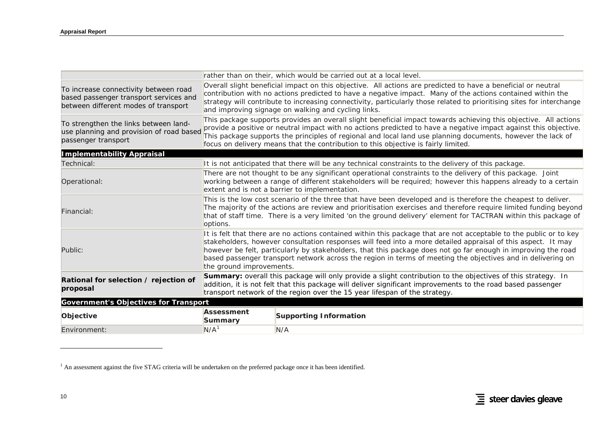|                                                                                                                         |                          | rather than on their, which would be carried out at a local level.                                                                                                                                                                                                                                                                                                                                                                                                 |
|-------------------------------------------------------------------------------------------------------------------------|--------------------------|--------------------------------------------------------------------------------------------------------------------------------------------------------------------------------------------------------------------------------------------------------------------------------------------------------------------------------------------------------------------------------------------------------------------------------------------------------------------|
| To increase connectivity between road<br>based passenger transport services and<br>between different modes of transport |                          | Overall slight beneficial impact on this objective. All actions are predicted to have a beneficial or neutral<br>contribution with no actions predicted to have a negative impact. Many of the actions contained within the<br>strategy will contribute to increasing connectivity, particularly those related to prioritising sites for interchange<br>and improving signage on walking and cycling links.                                                        |
| To strengthen the links between land-<br>use planning and provision of road based<br>passenger transport                |                          | This package supports provides an overall slight beneficial impact towards achieving this objective. All actions<br>provide a positive or neutral impact with no actions predicted to have a negative impact against this objective.<br>This package supports the principles of regional and local land use planning documents, however the lack of<br>focus on delivery means that the contribution to this objective is fairly limited.                          |
| <b>Implementability Appraisal</b>                                                                                       |                          |                                                                                                                                                                                                                                                                                                                                                                                                                                                                    |
| Technical:                                                                                                              |                          | It is not anticipated that there will be any technical constraints to the delivery of this package.                                                                                                                                                                                                                                                                                                                                                                |
| Operational:                                                                                                            |                          | There are not thought to be any significant operational constraints to the delivery of this package. Joint<br>working between a range of different stakeholders will be required; however this happens already to a certain<br>extent and is not a barrier to implementation.                                                                                                                                                                                      |
| Financial:                                                                                                              | options.                 | This is the low cost scenario of the three that have been developed and is therefore the cheapest to deliver.<br>The majority of the actions are review and prioritisation exercises and therefore require limited funding beyond<br>that of staff time. There is a very limited 'on the ground delivery' element for TACTRAN within this package of                                                                                                               |
| Public:                                                                                                                 | the ground improvements. | It is felt that there are no actions contained within this package that are not acceptable to the public or to key<br>stakeholders, however consultation responses will feed into a more detailed appraisal of this aspect. It may<br>however be felt, particularly by stakeholders, that this package does not go far enough in improving the road<br>based passenger transport network across the region in terms of meeting the objectives and in delivering on |
| Rational for selection / rejection of<br>proposal                                                                       |                          | Summary: overall this package will only provide a slight contribution to the objectives of this strategy. In<br>addition, it is not felt that this package will deliver significant improvements to the road based passenger<br>transport network of the region over the 15 year lifespan of the strategy.                                                                                                                                                         |
| <b>Government's Objectives for Transport</b>                                                                            |                          |                                                                                                                                                                                                                                                                                                                                                                                                                                                                    |
| Objective                                                                                                               | Assessment<br>Summary    | <b>Supporting Information</b>                                                                                                                                                                                                                                                                                                                                                                                                                                      |
| Environment:                                                                                                            | N/A <sup>1</sup>         | N/A                                                                                                                                                                                                                                                                                                                                                                                                                                                                |

<span id="page-25-0"></span> $1$  An assessment against the five STAG criteria will be undertaken on the preferred package once it has been identified.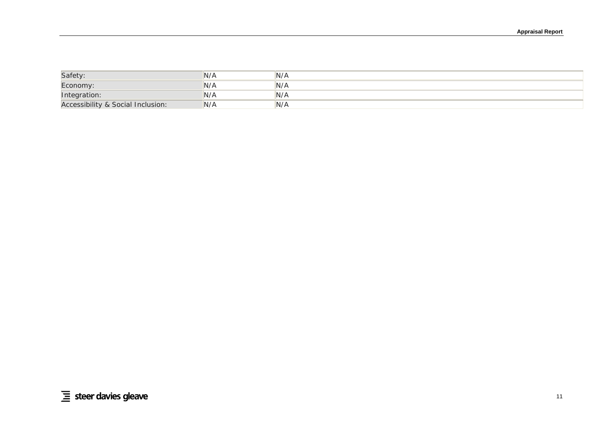| Safety:                           | 'N/A | N/A |
|-----------------------------------|------|-----|
| Economy:                          | N/A  | N/A |
| Integration:                      | 'N/A | N/A |
| Accessibility & Social Inclusion: | IN/A | N/A |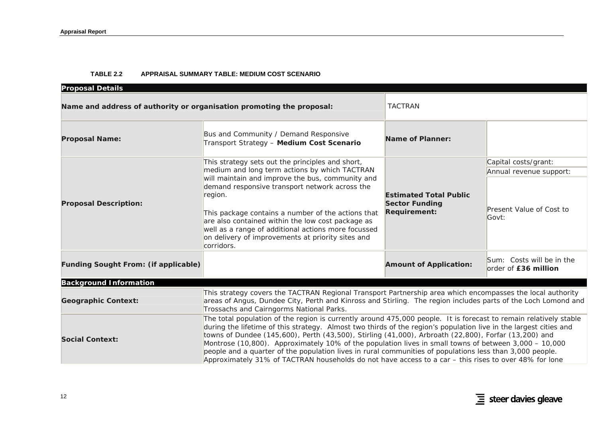#### **TABLE 2.2 APPRAISAL SUMMARY TABLE: MEDIUM COST SCENARIO**

| <b>Proposal Details</b>                                               |                                                                                                                                                                                                                                                                                                                                                                                                                                                                                                                                                                                                                                                                              |                                                                               |                                                        |  |  |  |  |  |  |
|-----------------------------------------------------------------------|------------------------------------------------------------------------------------------------------------------------------------------------------------------------------------------------------------------------------------------------------------------------------------------------------------------------------------------------------------------------------------------------------------------------------------------------------------------------------------------------------------------------------------------------------------------------------------------------------------------------------------------------------------------------------|-------------------------------------------------------------------------------|--------------------------------------------------------|--|--|--|--|--|--|
| Name and address of authority or organisation promoting the proposal: |                                                                                                                                                                                                                                                                                                                                                                                                                                                                                                                                                                                                                                                                              | <b>TACTRAN</b>                                                                |                                                        |  |  |  |  |  |  |
| <b>Proposal Name:</b>                                                 | Bus and Community / Demand Responsive<br>Transport Strategy - Medium Cost Scenario                                                                                                                                                                                                                                                                                                                                                                                                                                                                                                                                                                                           | Name of Planner:                                                              |                                                        |  |  |  |  |  |  |
|                                                                       | This strategy sets out the principles and short,                                                                                                                                                                                                                                                                                                                                                                                                                                                                                                                                                                                                                             |                                                                               | Capital costs/grant:                                   |  |  |  |  |  |  |
|                                                                       | medium and long term actions by which TACTRAN                                                                                                                                                                                                                                                                                                                                                                                                                                                                                                                                                                                                                                |                                                                               | Annual revenue support:                                |  |  |  |  |  |  |
| <b>Proposal Description:</b>                                          | will maintain and improve the bus, community and<br>demand responsive transport network across the<br>region.<br>This package contains a number of the actions that<br>are also contained within the low cost package as<br>well as a range of additional actions more focussed<br>on delivery of improvements at priority sites and<br>corridors.                                                                                                                                                                                                                                                                                                                           | <b>Estimated Total Public</b><br><b>Sector Funding</b><br><b>Requirement:</b> | Present Value of Cost to<br>Govt:                      |  |  |  |  |  |  |
| <b>Funding Sought From: (if applicable)</b>                           |                                                                                                                                                                                                                                                                                                                                                                                                                                                                                                                                                                                                                                                                              | <b>Amount of Application:</b>                                                 | $Sum: \; Costs$ will be in the<br>order of £36 million |  |  |  |  |  |  |
| <b>Background Information</b>                                         |                                                                                                                                                                                                                                                                                                                                                                                                                                                                                                                                                                                                                                                                              |                                                                               |                                                        |  |  |  |  |  |  |
| <b>Geographic Context:</b>                                            | This strategy covers the TACTRAN Regional Transport Partnership area which encompasses the local authority<br>areas of Angus, Dundee City, Perth and Kinross and Stirling. The region includes parts of the Loch Lomond and<br>Trossachs and Cairngorms National Parks.                                                                                                                                                                                                                                                                                                                                                                                                      |                                                                               |                                                        |  |  |  |  |  |  |
| <b>Social Context:</b>                                                | The total population of the region is currently around 475,000 people. It is forecast to remain relatively stable<br>during the lifetime of this strategy. Almost two thirds of the region's population live in the largest cities and<br>towns of Dundee (145,600), Perth (43,500), Stirling (41,000), Arbroath (22,800), Forfar (13,200) and<br>Montrose (10,800). Approximately 10% of the population lives in small towns of between 3,000 - 10,000<br>people and a quarter of the population lives in rural communities of populations less than 3,000 people.<br>Approximately 31% of TACTRAN households do not have access to a car - this rises to over 48% for lone |                                                                               |                                                        |  |  |  |  |  |  |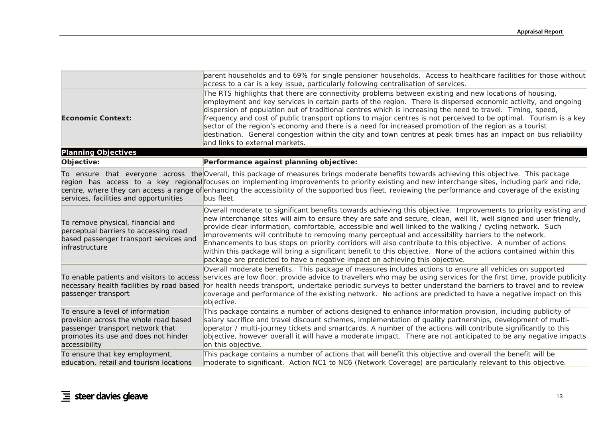|                                                                                                                                                                        | parent households and to 69% for single pensioner households. Access to healthcare facilities for those without<br>access to a car is a key issue, particularly following centralisation of services.                                                                                                                                                                                                                                                                                                                                                                                                                                                                                                                                                                          |
|------------------------------------------------------------------------------------------------------------------------------------------------------------------------|--------------------------------------------------------------------------------------------------------------------------------------------------------------------------------------------------------------------------------------------------------------------------------------------------------------------------------------------------------------------------------------------------------------------------------------------------------------------------------------------------------------------------------------------------------------------------------------------------------------------------------------------------------------------------------------------------------------------------------------------------------------------------------|
| <b>Economic Context:</b>                                                                                                                                               | The RTS highlights that there are connectivity problems between existing and new locations of housing,<br>employment and key services in certain parts of the region. There is dispersed economic activity, and ongoing<br>dispersion of population out of traditional centres which is increasing the need to travel. Timing, speed,<br>frequency and cost of public transport options to major centres is not perceived to be optimal. Tourism is a key<br>sector of the region's economy and there is a need for increased promotion of the region as a tourist<br>destination. General congestion within the city and town centres at peak times has an impact on bus reliability<br>and links to external markets.                                                        |
| <b>Planning Objectives</b>                                                                                                                                             |                                                                                                                                                                                                                                                                                                                                                                                                                                                                                                                                                                                                                                                                                                                                                                                |
| Objective:                                                                                                                                                             | Performance against planning objective:                                                                                                                                                                                                                                                                                                                                                                                                                                                                                                                                                                                                                                                                                                                                        |
| services, facilities and opportunities                                                                                                                                 | To ensure that everyone across the Overall, this package of measures brings moderate benefits towards achieving this objective. This package<br>region has access to a key regional focuses on implementing improvements to priority existing and new interchange sites, including park and ride,<br>centre, where they can access a range of enhancing the accessibility of the supported bus fleet, reviewing the performance and coverage of the existing<br>bus fleet.                                                                                                                                                                                                                                                                                                     |
| To remove physical, financial and<br>perceptual barriers to accessing road<br>based passenger transport services and<br>infrastructure                                 | Overall moderate to significant benefits towards achieving this objective. Improvements to priority existing and<br>new interchange sites will aim to ensure they are safe and secure, clean, well lit, well signed and user friendly,<br>provide clear information, comfortable, accessible and well linked to the walking / cycling network. Such<br>improvements will contribute to removing many perceptual and accessibility barriers to the network.<br>Enhancements to bus stops on priority corridors will also contribute to this objective. A number of actions<br>within this package will bring a significant benefit to this objective. None of the actions contained within this<br>package are predicted to have a negative impact on achieving this objective. |
| To enable patients and visitors to access<br>necessary health facilities by road based<br>passenger transport                                                          | Overall moderate benefits. This package of measures includes actions to ensure all vehicles on supported<br>services are low floor, provide advice to travellers who may be using services for the first time, provide publicity<br>for health needs transport, undertake periodic surveys to better understand the barriers to travel and to review<br>coverage and performance of the existing network. No actions are predicted to have a negative impact on this<br>objective.                                                                                                                                                                                                                                                                                             |
| To ensure a level of information<br>provision across the whole road based<br>passenger transport network that<br>promotes its use and does not hinder<br>accessibility | This package contains a number of actions designed to enhance information provision, including publicity of<br>salary sacrifice and travel discount schemes, implementation of quality partnerships, development of multi-<br>operator / multi-journey tickets and smartcards. A number of the actions will contribute significantly to this<br>objective, however overall it will have a moderate impact. There are not anticipated to be any negative impacts<br>on this objective.                                                                                                                                                                                                                                                                                          |
| To ensure that key employment,<br>education, retail and tourism locations                                                                                              | This package contains a number of actions that will benefit this objective and overall the benefit will be<br>moderate to significant. Action NC1 to NC6 (Network Coverage) are particularly relevant to this objective.                                                                                                                                                                                                                                                                                                                                                                                                                                                                                                                                                       |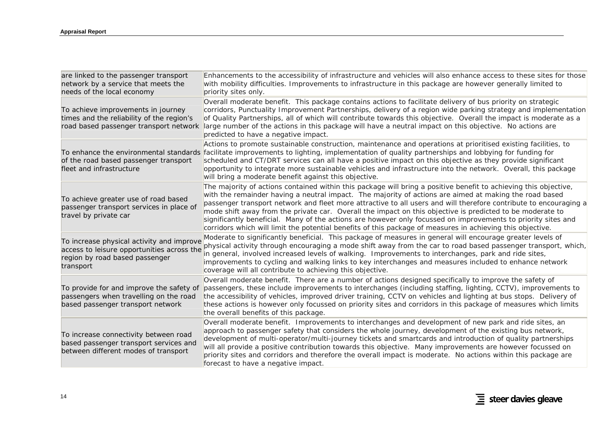| are linked to the passenger transport<br>network by a service that meets the<br>needs of the local economy                             | Enhancements to the accessibility of infrastructure and vehicles will also enhance access to these sites for those<br>with mobility difficulties. Improvements to infrastructure in this package are however generally limited to<br>priority sites only.                                                                                                                                                                                                                                                                                                                                                                                                                                   |
|----------------------------------------------------------------------------------------------------------------------------------------|---------------------------------------------------------------------------------------------------------------------------------------------------------------------------------------------------------------------------------------------------------------------------------------------------------------------------------------------------------------------------------------------------------------------------------------------------------------------------------------------------------------------------------------------------------------------------------------------------------------------------------------------------------------------------------------------|
| To achieve improvements in journey<br>times and the reliability of the region's<br>road based passenger transport network              | Overall moderate benefit. This package contains actions to facilitate delivery of bus priority on strategic<br>corridors, Punctuality Improvement Partnerships, delivery of a region wide parking strategy and implementation<br>of Quality Partnerships, all of which will contribute towards this objective. Overall the impact is moderate as a<br>large number of the actions in this package will have a neutral impact on this objective. No actions are<br>predicted to have a negative impact.                                                                                                                                                                                      |
| of the road based passenger transport<br>fleet and infrastructure                                                                      | Actions to promote sustainable construction, maintenance and operations at prioritised existing facilities, to<br>To enhance the environmental standards facilitate improvements to lighting, implementation of quality partnerships and lobbying for funding for<br>scheduled and CT/DRT services can all have a positive impact on this objective as they provide significant<br>opportunity to integrate more sustainable vehicles and infrastructure into the network. Overall, this package<br>will bring a moderate benefit against this objective.                                                                                                                                   |
| To achieve greater use of road based<br>passenger transport services in place of<br>travel by private car                              | The majority of actions contained within this package will bring a positive benefit to achieving this objective,<br>with the remainder having a neutral impact. The majority of actions are aimed at making the road based<br>passenger transport network and fleet more attractive to all users and will therefore contribute to encouraging a<br>mode shift away from the private car. Overall the impact on this objective is predicted to be moderate to<br>significantly beneficial. Many of the actions are however only focussed on improvements to priority sites and<br>corridors which will limit the potential benefits of this package of measures in achieving this objective. |
| To increase physical activity and improve<br>access to leisure opportunities across the<br>region by road based passenger<br>transport | Moderate to significantly beneficial. This package of measures in general will encourage greater levels of<br>physical activity through encouraging a mode shift away from the car to road based passenger transport, which,<br>in general, involved increased levels of walking. Improvements to interchanges, park and ride sites,<br>improvements to cycling and walking links to key interchanges and measures included to enhance network<br>coverage will all contribute to achieving this objective.                                                                                                                                                                                 |
| To provide for and improve the safety of<br>passengers when travelling on the road<br>based passenger transport network                | Overall moderate benefit. There are a number of actions designed specifically to improve the safety of<br>passengers, these include improvements to interchanges (including staffing, lighting, CCTV), improvements to<br>the accessibility of vehicles, improved driver training, CCTV on vehicles and lighting at bus stops. Delivery of<br>these actions is however only focussed on priority sites and corridors in this package of measures which limits<br>the overall benefits of this package.                                                                                                                                                                                      |
| To increase connectivity between road<br>based passenger transport services and<br>between different modes of transport                | Overall moderate benefit. Improvements to interchanges and development of new park and ride sites, an<br>approach to passenger safety that considers the whole journey, development of the existing bus network,<br>development of multi-operator/multi-journey tickets and smartcards and introduction of quality partnerships<br>will all provide a positive contribution towards this objective. Many improvements are however focussed on<br>priority sites and corridors and therefore the overall impact is moderate. No actions within this package are<br>forecast to have a negative impact.                                                                                       |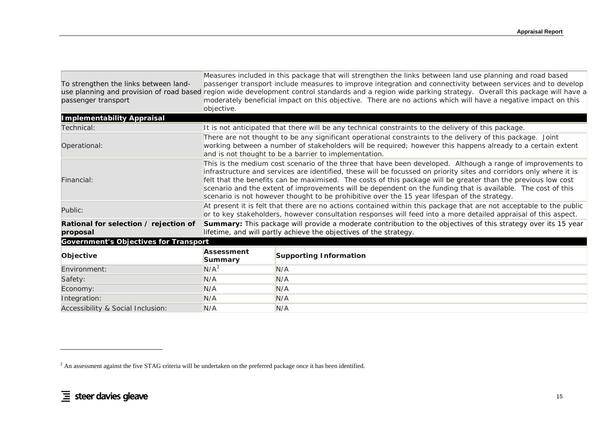| To strengthen the links between land-<br>passenger transport | objective.                                                                                                                                                                                                                                                                         | Measures included in this package that will strengthen the links between land use planning and road based<br>passenger transport include measures to improve integration and connectivity between services and to develop<br>use planning and provision of road based region wide development control standards and a region wide parking strategy. Overall this package will have a<br>moderately beneficial impact on this objective. There are no actions which will have a negative impact on this                                                              |  |  |  |  |  |  |  |
|--------------------------------------------------------------|------------------------------------------------------------------------------------------------------------------------------------------------------------------------------------------------------------------------------------------------------------------------------------|---------------------------------------------------------------------------------------------------------------------------------------------------------------------------------------------------------------------------------------------------------------------------------------------------------------------------------------------------------------------------------------------------------------------------------------------------------------------------------------------------------------------------------------------------------------------|--|--|--|--|--|--|--|
| <b>Implementability Appraisal</b>                            |                                                                                                                                                                                                                                                                                    |                                                                                                                                                                                                                                                                                                                                                                                                                                                                                                                                                                     |  |  |  |  |  |  |  |
| Technical:                                                   |                                                                                                                                                                                                                                                                                    | It is not anticipated that there will be any technical constraints to the delivery of this package.                                                                                                                                                                                                                                                                                                                                                                                                                                                                 |  |  |  |  |  |  |  |
| Operational:                                                 | There are not thought to be any significant operational constraints to the delivery of this package. Joint<br>working between a number of stakeholders will be required; however this happens already to a certain extent<br>and is not thought to be a barrier to implementation. |                                                                                                                                                                                                                                                                                                                                                                                                                                                                                                                                                                     |  |  |  |  |  |  |  |
| Financial:                                                   |                                                                                                                                                                                                                                                                                    | This is the medium cost scenario of the three that have been developed. Although a range of improvements to<br>infrastructure and services are identified, these will be focussed on priority sites and corridors only where it is<br>felt that the benefits can be maximised. The costs of this package will be greater than the previous low cost<br>scenario and the extent of improvements will be dependent on the funding that is available. The cost of this<br>scenario is not however thought to be prohibitive over the 15 year lifespan of the strategy. |  |  |  |  |  |  |  |
| Public:                                                      |                                                                                                                                                                                                                                                                                    | At present it is felt that there are no actions contained within this package that are not acceptable to the public<br>or to key stakeholders, however consultation responses will feed into a more detailed appraisal of this aspect.                                                                                                                                                                                                                                                                                                                              |  |  |  |  |  |  |  |
| Rational for selection / rejection of<br>proposal            |                                                                                                                                                                                                                                                                                    | <b>Summary:</b> This package will provide a moderate contribution to the objectives of this strategy over its 15 year<br>lifetime, and will partly achieve the objectives of the strategy.                                                                                                                                                                                                                                                                                                                                                                          |  |  |  |  |  |  |  |
| <b>Government's Objectives for Transport</b>                 |                                                                                                                                                                                                                                                                                    |                                                                                                                                                                                                                                                                                                                                                                                                                                                                                                                                                                     |  |  |  |  |  |  |  |
| Objective                                                    | <b>Assessment</b><br>Summary                                                                                                                                                                                                                                                       | <b>Supporting Information</b>                                                                                                                                                                                                                                                                                                                                                                                                                                                                                                                                       |  |  |  |  |  |  |  |
| Environment:                                                 | $N/A^2$                                                                                                                                                                                                                                                                            | N/A                                                                                                                                                                                                                                                                                                                                                                                                                                                                                                                                                                 |  |  |  |  |  |  |  |
| Safety:                                                      | N/A                                                                                                                                                                                                                                                                                | N/A                                                                                                                                                                                                                                                                                                                                                                                                                                                                                                                                                                 |  |  |  |  |  |  |  |
| Economy:                                                     | N/A                                                                                                                                                                                                                                                                                | N/A                                                                                                                                                                                                                                                                                                                                                                                                                                                                                                                                                                 |  |  |  |  |  |  |  |
| Integration:                                                 | N/A                                                                                                                                                                                                                                                                                | N/A                                                                                                                                                                                                                                                                                                                                                                                                                                                                                                                                                                 |  |  |  |  |  |  |  |
| Accessibility & Social Inclusion:                            | N/A                                                                                                                                                                                                                                                                                | N/A                                                                                                                                                                                                                                                                                                                                                                                                                                                                                                                                                                 |  |  |  |  |  |  |  |

<span id="page-30-0"></span> $2$  An assessment against the five STAG criteria will be undertaken on the preferred package once it has been identified.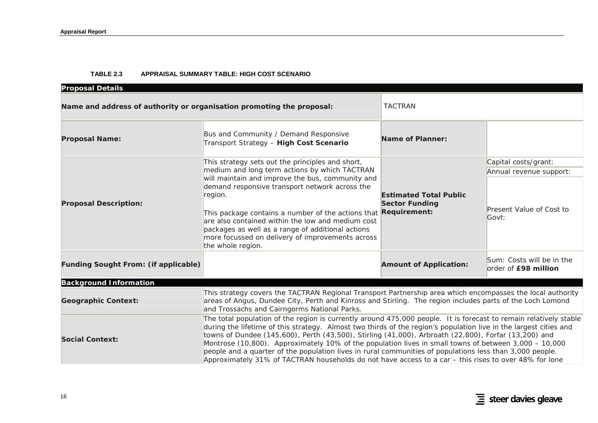#### **TABLE 2.3 APPRAISAL SUMMARY TABLE: HIGH COST SCENARIO**

| <b>Proposal Details</b>                                               |                                                                                                                                                                                                                                                                                                                                                                                                                                                                                                                                                                                                                                                                              |                                                                               |                                                   |  |  |  |
|-----------------------------------------------------------------------|------------------------------------------------------------------------------------------------------------------------------------------------------------------------------------------------------------------------------------------------------------------------------------------------------------------------------------------------------------------------------------------------------------------------------------------------------------------------------------------------------------------------------------------------------------------------------------------------------------------------------------------------------------------------------|-------------------------------------------------------------------------------|---------------------------------------------------|--|--|--|
| Name and address of authority or organisation promoting the proposal: | <b>TACTRAN</b>                                                                                                                                                                                                                                                                                                                                                                                                                                                                                                                                                                                                                                                               |                                                                               |                                                   |  |  |  |
| <b>Proposal Name:</b>                                                 | Bus and Community / Demand Responsive<br>Transport Strategy - High Cost Scenario                                                                                                                                                                                                                                                                                                                                                                                                                                                                                                                                                                                             | <b>Name of Planner:</b>                                                       |                                                   |  |  |  |
|                                                                       | This strategy sets out the principles and short,                                                                                                                                                                                                                                                                                                                                                                                                                                                                                                                                                                                                                             |                                                                               | Capital costs/grant:                              |  |  |  |
| <b>Proposal Description:</b>                                          | medium and long term actions by which TACTRAN<br>will maintain and improve the bus, community and                                                                                                                                                                                                                                                                                                                                                                                                                                                                                                                                                                            |                                                                               | Annual revenue support:                           |  |  |  |
|                                                                       | demand responsive transport network across the<br>region.<br>This package contains a number of the actions that<br>are also contained within the low and medium cost<br>packages as well as a range of additional actions<br>more focussed on delivery of improvements across<br>the whole region.                                                                                                                                                                                                                                                                                                                                                                           | <b>Estimated Total Public</b><br><b>Sector Funding</b><br><b>Requirement:</b> | Present Value of Cost to<br>Govt:                 |  |  |  |
| <b>Funding Sought From: (if applicable)</b>                           |                                                                                                                                                                                                                                                                                                                                                                                                                                                                                                                                                                                                                                                                              | <b>Amount of Application:</b>                                                 | Sum: Costs will be in the<br>order of £98 million |  |  |  |
| <b>Background Information</b>                                         |                                                                                                                                                                                                                                                                                                                                                                                                                                                                                                                                                                                                                                                                              |                                                                               |                                                   |  |  |  |
| <b>Geographic Context:</b>                                            | This strategy covers the TACTRAN Regional Transport Partnership area which encompasses the local authority<br>areas of Angus, Dundee City, Perth and Kinross and Stirling. The region includes parts of the Loch Lomond<br>and Trossachs and Cairngorms National Parks.                                                                                                                                                                                                                                                                                                                                                                                                      |                                                                               |                                                   |  |  |  |
| <b>Social Context:</b>                                                | The total population of the region is currently around 475,000 people. It is forecast to remain relatively stable<br>during the lifetime of this strategy. Almost two thirds of the region's population live in the largest cities and<br>towns of Dundee (145,600), Perth (43,500), Stirling (41,000), Arbroath (22,800), Forfar (13,200) and<br>Montrose (10,800). Approximately 10% of the population lives in small towns of between 3,000 - 10,000<br>people and a quarter of the population lives in rural communities of populations less than 3,000 people.<br>Approximately 31% of TACTRAN households do not have access to a car - this rises to over 48% for lone |                                                                               |                                                   |  |  |  |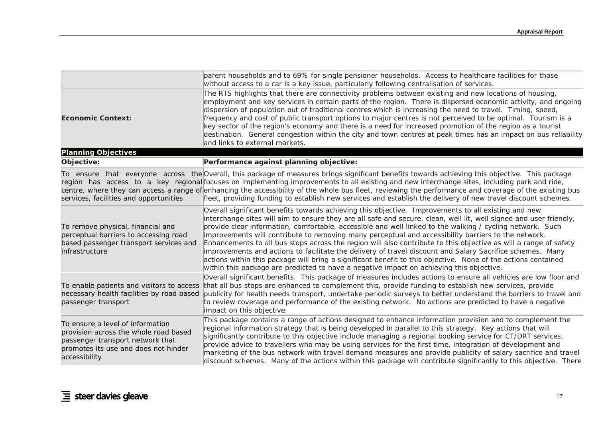|                                                                                                                                                                        | parent households and to 69% for single pensioner households. Access to healthcare facilities for those<br>without access to a car is a key issue, particularly following centralisation of services.                                                                                                                                                                                                                                                                                                                                                                                                                                                                                                                                                                                                                                                                                       |
|------------------------------------------------------------------------------------------------------------------------------------------------------------------------|---------------------------------------------------------------------------------------------------------------------------------------------------------------------------------------------------------------------------------------------------------------------------------------------------------------------------------------------------------------------------------------------------------------------------------------------------------------------------------------------------------------------------------------------------------------------------------------------------------------------------------------------------------------------------------------------------------------------------------------------------------------------------------------------------------------------------------------------------------------------------------------------|
| <b>Economic Context:</b>                                                                                                                                               | The RTS highlights that there are connectivity problems between existing and new locations of housing,<br>employment and key services in certain parts of the region. There is dispersed economic activity, and ongoing<br>dispersion of population out of traditional centres which is increasing the need to travel. Timing, speed,<br>frequency and cost of public transport options to major centres is not perceived to be optimal. Tourism is a<br>key sector of the region's economy and there is a need for increased promotion of the region as a tourist<br>destination. General congestion within the city and town centres at peak times has an impact on bus reliability<br>and links to external markets.                                                                                                                                                                     |
| <b>Planning Objectives</b>                                                                                                                                             |                                                                                                                                                                                                                                                                                                                                                                                                                                                                                                                                                                                                                                                                                                                                                                                                                                                                                             |
| Objective:                                                                                                                                                             | Performance against planning objective:                                                                                                                                                                                                                                                                                                                                                                                                                                                                                                                                                                                                                                                                                                                                                                                                                                                     |
| services, facilities and opportunities                                                                                                                                 | To ensure that everyone across the Overall, this package of measures brings significant benefits towards achieving this objective. This package<br>region has access to a key regional focuses on implementing improvements to all existing and new interchange sites, including park and ride,<br>centre, where they can access a range of enhancing the accessibility of the whole bus fleet, reviewing the performance and coverage of the existing bus<br>fleet, providing funding to establish new services and establish the delivery of new travel discount schemes.                                                                                                                                                                                                                                                                                                                 |
| To remove physical, financial and<br>perceptual barriers to accessing road<br>based passenger transport services and<br>infrastructure                                 | Overall significant benefits towards achieving this objective. Improvements to all existing and new<br>interchange sites will aim to ensure they are all safe and secure, clean, well lit, well signed and user friendly,<br>provide clear information, comfortable, accessible and well linked to the walking / cycling network. Such<br>improvements will contribute to removing many perceptual and accessibility barriers to the network.<br>Enhancements to all bus stops across the region will also contribute to this objective as will a range of safety<br>improvements and actions to facilitate the delivery of travel discount and Salary Sacrifice schemes. Many<br>actions within this package will bring a significant benefit to this objective. None of the actions contained<br>within this package are predicted to have a negative impact on achieving this objective. |
| To enable patients and visitors to access<br>necessary health facilities by road based<br>passenger transport                                                          | Overall significant benefits. This package of measures includes actions to ensure all vehicles are low floor and<br>that all bus stops are enhanced to complement this, provide funding to establish new services, provide<br>publicity for health needs transport, undertake periodic surveys to better understand the barriers to travel and<br>to review coverage and performance of the existing network. No actions are predicted to have a negative<br>impact on this objective.                                                                                                                                                                                                                                                                                                                                                                                                      |
| To ensure a level of information<br>provision across the whole road based<br>passenger transport network that<br>promotes its use and does not hinder<br>accessibility | This package contains a range of actions designed to enhance information provision and to complement the<br>regional information strategy that is being developed in parallel to this strategy. Key actions that will<br>significantly contribute to this objective include managing a regional booking service for CT/DRT services,<br>provide advice to travellers who may be using services for the first time, integration of development and<br>marketing of the bus network with travel demand measures and provide publicity of salary sacrifice and travel<br>discount schemes. Many of the actions within this package will contribute significantly to this objective. There                                                                                                                                                                                                      |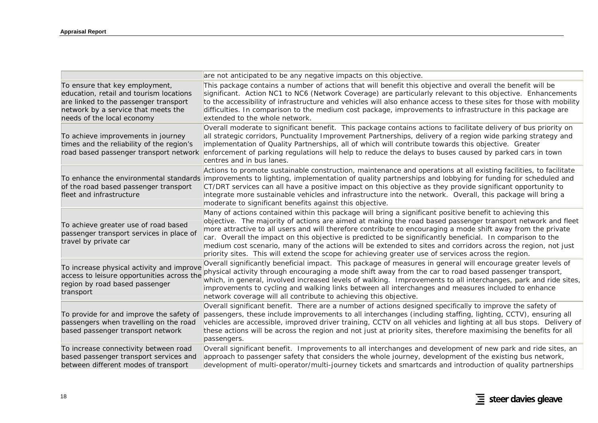|                                                                                                                                                                                         | are not anticipated to be any negative impacts on this objective.                                                                                                                                                                                                                                                                                                                                                                                                                                                                                                                                                                                                               |
|-----------------------------------------------------------------------------------------------------------------------------------------------------------------------------------------|---------------------------------------------------------------------------------------------------------------------------------------------------------------------------------------------------------------------------------------------------------------------------------------------------------------------------------------------------------------------------------------------------------------------------------------------------------------------------------------------------------------------------------------------------------------------------------------------------------------------------------------------------------------------------------|
| To ensure that key employment,<br>education, retail and tourism locations<br>are linked to the passenger transport<br>network by a service that meets the<br>needs of the local economy | This package contains a number of actions that will benefit this objective and overall the benefit will be<br>significant. Action NC1 to NC6 (Network Coverage) are particularly relevant to this objective. Enhancements<br>to the accessibility of infrastructure and vehicles will also enhance access to these sites for those with mobility<br>difficulties. In comparison to the medium cost package, improvements to infrastructure in this package are<br>extended to the whole network.                                                                                                                                                                                |
| To achieve improvements in journey<br>times and the reliability of the region's<br>road based passenger transport network                                                               | Overall moderate to significant benefit. This package contains actions to facilitate delivery of bus priority on<br>all strategic corridors, Punctuality Improvement Partnerships, delivery of a region wide parking strategy and<br>implementation of Quality Partnerships, all of which will contribute towards this objective. Greater<br>enforcement of parking regulations will help to reduce the delays to buses caused by parked cars in town<br>centres and in bus lanes.                                                                                                                                                                                              |
| To enhance the environmental standards<br>of the road based passenger transport<br>fleet and infrastructure                                                                             | Actions to promote sustainable construction, maintenance and operations at all existing facilities, to facilitate<br>improvements to lighting, implementation of quality partnerships and lobbying for funding for scheduled and<br>CT/DRT services can all have a positive impact on this objective as they provide significant opportunity to<br>integrate more sustainable vehicles and infrastructure into the network. Overall, this package will bring a<br>moderate to significant benefits against this objective.                                                                                                                                                      |
| To achieve greater use of road based<br>passenger transport services in place of<br>travel by private car                                                                               | Many of actions contained within this package will bring a significant positive benefit to achieving this<br>objective. The majority of actions are aimed at making the road based passenger transport network and fleet<br>more attractive to all users and will therefore contribute to encouraging a mode shift away from the private<br>car. Overall the impact on this objective is predicted to be significantly beneficial. In comparison to the<br>medium cost scenario, many of the actions will be extended to sites and corridors across the region, not just<br>priority sites. This will extend the scope for achieving greater use of services across the region. |
| To increase physical activity and improve<br>access to leisure opportunities across the<br>region by road based passenger<br>transport                                                  | Overall significantly beneficial impact. This package of measures in general will encourage greater levels of<br>physical activity through encouraging a mode shift away from the car to road based passenger transport,<br>which, in general, involved increased levels of walking. Improvements to all interchanges, park and ride sites,<br>improvements to cycling and walking links between all interchanges and measures included to enhance<br>network coverage will all contribute to achieving this objective.                                                                                                                                                         |
| To provide for and improve the safety of<br>passengers when travelling on the road<br>based passenger transport network                                                                 | Overall significant benefit. There are a number of actions designed specifically to improve the safety of<br>passengers, these include improvements to all interchanges (including staffing, lighting, CCTV), ensuring all<br>vehicles are accessible, improved driver training, CCTV on all vehicles and lighting at all bus stops. Delivery of<br>these actions will be across the region and not just at priority sites, therefore maximising the benefits for all<br>passengers.                                                                                                                                                                                            |
| To increase connectivity between road<br>based passenger transport services and<br>between different modes of transport                                                                 | Overall significant benefit. Improvements to all interchanges and development of new park and ride sites, an<br>approach to passenger safety that considers the whole journey, development of the existing bus network,<br>development of multi-operator/multi-journey tickets and smartcards and introduction of quality partnerships                                                                                                                                                                                                                                                                                                                                          |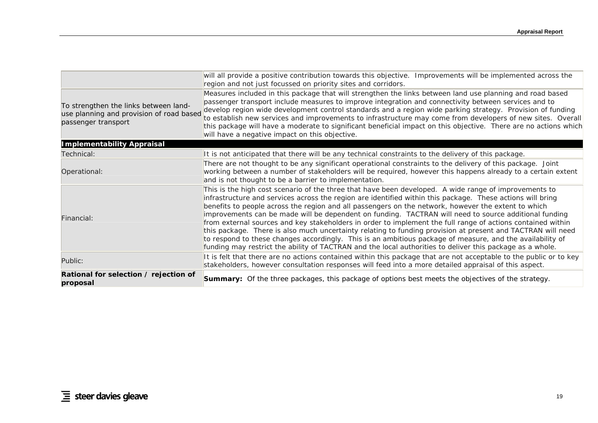|                                                                                                          | will all provide a positive contribution towards this objective. Improvements will be implemented across the<br>region and not just focussed on priority sites and corridors.                                                                                                                                                                                                                                                                                                                                                                                                                                                                                                                                                                                                                                                                                                               |
|----------------------------------------------------------------------------------------------------------|---------------------------------------------------------------------------------------------------------------------------------------------------------------------------------------------------------------------------------------------------------------------------------------------------------------------------------------------------------------------------------------------------------------------------------------------------------------------------------------------------------------------------------------------------------------------------------------------------------------------------------------------------------------------------------------------------------------------------------------------------------------------------------------------------------------------------------------------------------------------------------------------|
| To strengthen the links between land-<br>use planning and provision of road based<br>passenger transport | Measures included in this package that will strengthen the links between land use planning and road based<br>passenger transport include measures to improve integration and connectivity between services and to<br>develop region wide development control standards and a region wide parking strategy. Provision of funding<br>to establish new services and improvements to infrastructure may come from developers of new sites. Overall<br>this package will have a moderate to significant beneficial impact on this objective. There are no actions which<br>will have a negative impact on this objective.                                                                                                                                                                                                                                                                        |
| <b>Implementability Appraisal</b>                                                                        |                                                                                                                                                                                                                                                                                                                                                                                                                                                                                                                                                                                                                                                                                                                                                                                                                                                                                             |
| Technical:                                                                                               | It is not anticipated that there will be any technical constraints to the delivery of this package.                                                                                                                                                                                                                                                                                                                                                                                                                                                                                                                                                                                                                                                                                                                                                                                         |
| Operational:                                                                                             | There are not thought to be any significant operational constraints to the delivery of this package. Joint<br>working between a number of stakeholders will be required, however this happens already to a certain extent<br>and is not thought to be a barrier to implementation.                                                                                                                                                                                                                                                                                                                                                                                                                                                                                                                                                                                                          |
| Financial:                                                                                               | This is the high cost scenario of the three that have been developed. A wide range of improvements to<br>infrastructure and services across the region are identified within this package. These actions will bring<br>benefits to people across the region and all passengers on the network, however the extent to which<br>improvements can be made will be dependent on funding. TACTRAN will need to source additional funding<br>from external sources and key stakeholders in order to implement the full range of actions contained within<br>this package. There is also much uncertainty relating to funding provision at present and TACTRAN will need<br>to respond to these changes accordingly. This is an ambitious package of measure, and the availability of<br>funding may restrict the ability of TACTRAN and the local authorities to deliver this package as a whole. |
| Public:                                                                                                  | It is felt that there are no actions contained within this package that are not acceptable to the public or to key<br>stakeholders, however consultation responses will feed into a more detailed appraisal of this aspect.                                                                                                                                                                                                                                                                                                                                                                                                                                                                                                                                                                                                                                                                 |
| Rational for selection / rejection of<br>proposal                                                        | <b>Summary:</b> Of the three packages, this package of options best meets the objectives of the strategy.                                                                                                                                                                                                                                                                                                                                                                                                                                                                                                                                                                                                                                                                                                                                                                                   |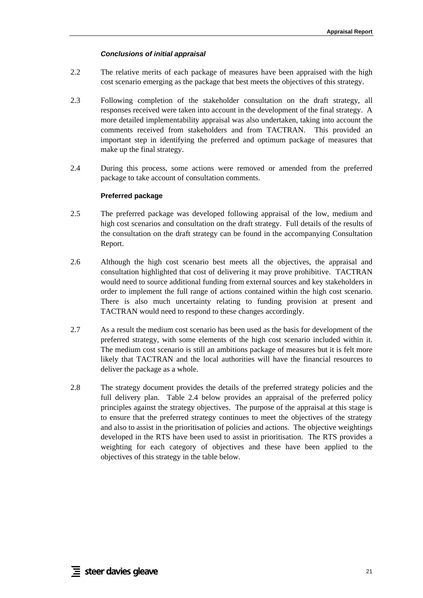#### *Conclusions of initial appraisal*

- 2.2 The relative merits of each package of measures have been appraised with the high cost scenario emerging as the package that best meets the objectives of this strategy.
- 2.3 Following completion of the stakeholder consultation on the draft strategy, all responses received were taken into account in the development of the final strategy. A more detailed implementability appraisal was also undertaken, taking into account the comments received from stakeholders and from TACTRAN. This provided an important step in identifying the preferred and optimum package of measures that make up the final strategy.
- 2.4 During this process, some actions were removed or amended from the preferred package to take account of consultation comments.

#### **Preferred package**

- <span id="page-36-0"></span>2.5 The preferred package was developed following appraisal of the low, medium and high cost scenarios and consultation on the draft strategy. Full details of the results of the consultation on the draft strategy can be found in the accompanying Consultation Report.
- 2.6 Although the high cost scenario best meets all the objectives, the appraisal and consultation highlighted that cost of delivering it may prove prohibitive. TACTRAN would need to source additional funding from external sources and key stakeholders in order to implement the full range of actions contained within the high cost scenario. There is also much uncertainty relating to funding provision at present and TACTRAN would need to respond to these changes accordingly.
- 2.7 As a result the medium cost scenario has been used as the basis for development of the preferred strategy, with some elements of the high cost scenario included within it. The medium cost scenario is still an ambitions package of measures but it is felt more likely that TACTRAN and the local authorities will have the financial resources to deliver the package as a whole.
- 2.8 The strategy document provides the details of the preferred strategy policies and the full delivery plan. [Table 2.4](#page-37-1) below provides an appraisal of the preferred policy principles against the strategy objectives. The purpose of the appraisal at this stage is to ensure that the preferred strategy continues to meet the objectives of the strategy and also to assist in the prioritisation of policies and actions. The objective weightings developed in the RTS have been used to assist in prioritisation. The RTS provides a weighting for each category of objectives and these have been applied to the objectives of this strategy in the table below.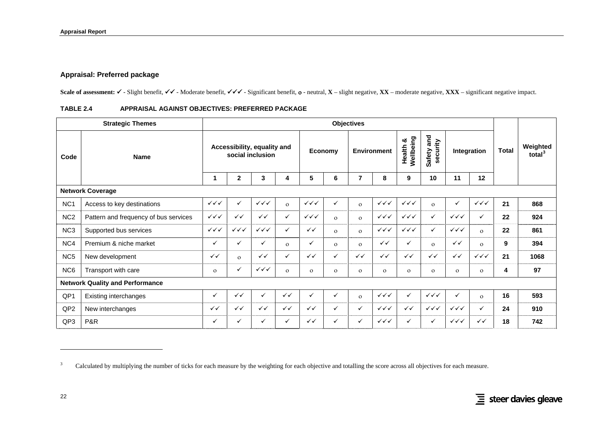## **Appraisal: Preferred package**

Scale of assessment: ✓ - Slight benefit, ✓✓ - Moderate benefit, ✓✓✓ - Significant benefit, o - neutral, **X** – slight negative, **XX** – moderate negative, **XXX** – significant negative impact.

| TABLE 2.4 |  | APPRAISAL AGAINST OBJECTIVES: PREFERRED PACKAGE |  |
|-----------|--|-------------------------------------------------|--|
|           |  |                                                 |  |

| <b>Strategic Themes</b> |                                        |                                  | <b>Objectives</b>      |                                                 |              |                        |              |              |                        |                          |                                  |                        |                        |              |                       |
|-------------------------|----------------------------------------|----------------------------------|------------------------|-------------------------------------------------|--------------|------------------------|--------------|--------------|------------------------|--------------------------|----------------------------------|------------------------|------------------------|--------------|-----------------------|
| Code                    | <b>Name</b>                            |                                  |                        | Accessibility, equality and<br>social inclusion |              |                        | Economy      |              | <b>Environment</b>     | Wellbeing<br>య<br>Health | and<br>security<br><b>Safety</b> |                        | Integration            | <b>Total</b> | Weighted<br>total $3$ |
|                         |                                        | 1                                | $\mathbf{2}$           | 3                                               | 4            | 5                      | 6            | 7            | 8                      | 9                        | 10                               | 11                     | 12                     |              |                       |
|                         | <b>Network Coverage</b>                |                                  |                        |                                                 |              |                        |              |              |                        |                          |                                  |                        |                        |              |                       |
| NC <sub>1</sub>         | Access to key destinations             | $\checkmark\checkmark$           | ✓                      | $\checkmark\checkmark\checkmark$                | $\Omega$     | $\checkmark\checkmark$ | ✓            | $\mathbf{o}$ | $\checkmark\checkmark$ | $\checkmark\checkmark$   | $\Omega$                         | ✓                      | $\checkmark\checkmark$ | 21           | 868                   |
| NC <sub>2</sub>         | Pattern and frequency of bus services  | $\checkmark\checkmark$           | $\checkmark$           | $\checkmark$                                    | $\checkmark$ | $\checkmark\checkmark$ | $\Omega$     | $\Omega$     | $\checkmark\checkmark$ | $\checkmark\checkmark$   | ✓                                | $\checkmark\checkmark$ | ✓                      | 22           | 924                   |
| NC <sub>3</sub>         | Supported bus services                 | $\checkmark\checkmark\checkmark$ | $\checkmark\checkmark$ | $\checkmark\checkmark$                          | $\checkmark$ | $\checkmark$           | $\Omega$     | $\Omega$     | $\checkmark\checkmark$ | $\checkmark\checkmark$   | $\checkmark$                     | $\checkmark\checkmark$ | $\mathbf{o}$           | 22           | 861                   |
| NC4                     | Premium & niche market                 | $\checkmark$                     | ✓                      | ✓                                               | $\Omega$     | ✓                      | $\Omega$     | $\mathbf{o}$ | $\checkmark$           | $\checkmark$             | $\mathbf{o}$                     | $\checkmark$           | $\Omega$               | 9            | 394                   |
| NC <sub>5</sub>         | New development                        | $\checkmark$                     | $\mathbf{o}$           | $\checkmark$                                    | $\checkmark$ | $\checkmark$           | ✓            | $\checkmark$ | $\checkmark$           | $\checkmark$             | $\checkmark$                     | $\checkmark$           | $\checkmark\checkmark$ | 21           | 1068                  |
| NC <sub>6</sub>         | Transport with care                    | $\Omega$                         | ✓                      | $\checkmark\checkmark$                          | $\Omega$     | $\Omega$               | $\mathbf{O}$ | $\mathbf{O}$ | $\Omega$               | $\mathbf{O}$             | $\mathbf{o}$                     | $\Omega$               | $\mathbf{o}$           | 4            | 97                    |
|                         | <b>Network Quality and Performance</b> |                                  |                        |                                                 |              |                        |              |              |                        |                          |                                  |                        |                        |              |                       |
| QP1                     | Existing interchanges                  | $\checkmark$                     | $\checkmark$           | ✓                                               | $\checkmark$ | ✓                      | $\checkmark$ | $\mathbf{o}$ | $\checkmark\checkmark$ | $\checkmark$             | $\checkmark\checkmark$           | ✓                      | $\Omega$               | 16           | 593                   |
| QP <sub>2</sub>         | New interchanges                       | $\checkmark$                     | $\checkmark$           | $\checkmark$                                    | $\checkmark$ | $\checkmark$           | ✓            | $\checkmark$ | $\checkmark\checkmark$ | $\checkmark$             | $\checkmark\checkmark$           | $\checkmark\checkmark$ | $\checkmark$           | 24           | 910                   |
| QP3                     | P&R                                    | $\checkmark$                     | ✓                      | ✓                                               | $\checkmark$ | $\checkmark$           | ✓            | $\checkmark$ | $\checkmark\checkmark$ | $\checkmark$             | ✓                                | $\checkmark\checkmark$ | $\checkmark$           | 18           | 742                   |

<span id="page-37-2"></span><span id="page-37-1"></span><span id="page-37-0"></span><sup>&</sup>lt;sup>3</sup> Calculated by multiplying the number of ticks for each measure by the weighting for each objective and totalling the score across all objectives for each measure.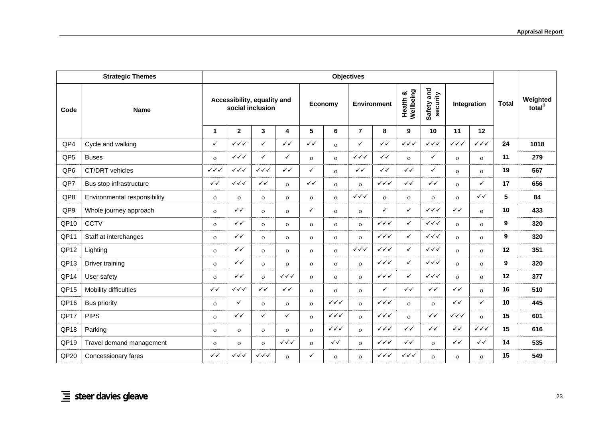|                     | <b>Strategic Themes</b>      | <b>Objectives</b>      |                                                 |                        |                         |                |                        |                                  |                        |                           |                                  |                        |                        |              |                                |
|---------------------|------------------------------|------------------------|-------------------------------------------------|------------------------|-------------------------|----------------|------------------------|----------------------------------|------------------------|---------------------------|----------------------------------|------------------------|------------------------|--------------|--------------------------------|
| Code<br><b>Name</b> |                              |                        | Accessibility, equality and<br>social inclusion |                        |                         | Economy        |                        | <b>Environment</b>               |                        | Wellbeing<br>න්<br>Health | Safety and<br>security           | Integration            |                        | <b>Total</b> | Weighted<br>total <sup>3</sup> |
|                     |                              | $\mathbf 1$            | $\mathbf{2}$                                    | 3                      | $\overline{\mathbf{4}}$ | 5              | 6                      | $\overline{7}$                   | 8                      | 9                         | 10                               | 11                     | 12                     |              |                                |
| QP4                 | Cycle and walking            | $\checkmark$           | $\checkmark\checkmark\checkmark$                | ✓                      | $\checkmark$            | $\checkmark$   | $\Omega$               | $\checkmark$                     | $\checkmark$           | $\checkmark\checkmark$    | $\checkmark\checkmark$           | $\checkmark\checkmark$ | $\checkmark\checkmark$ | 24           | 1018                           |
| QP <sub>5</sub>     | <b>Buses</b>                 | $\mathbf{o}$           | $\checkmark\checkmark$                          | ✓                      | $\checkmark$            | $\mathbf{o}$   | $\mathbf{O}$           | $\checkmark\checkmark$           | ✓✓                     | $\mathbf{o}$              | ✓                                | $\Omega$               | $\mathbf{o}$           | 11           | 279                            |
| QP6                 | CT/DRT vehicles              | $\checkmark\checkmark$ | $\checkmark\checkmark$                          | $\checkmark\checkmark$ | $\checkmark$            | ✓              | $\Omega$               | $\checkmark$                     | ✓✓                     | $\checkmark$              | $\checkmark$                     | $\Omega$               | $\Omega$               | 19           | 567                            |
| QP7                 | Bus stop infrastructure      | $\checkmark$           | $\checkmark\checkmark$                          | $\checkmark$           | $\mathbf{o}$            | $\checkmark$   | $\Omega$               | $\mathbf{O}$                     | $\checkmark\checkmark$ | $\checkmark$              | $\checkmark$                     | $\Omega$               | ✓                      | 17           | 656                            |
| QP8                 | Environmental responsibility | $\mathbf{o}$           | $\mathbf{o}$                                    | $\mathbf{O}$           | $\mathbf{o}$            | $\mathbf{O}$   | $\mathbf{o}$           | $\checkmark\checkmark$           | $\mathbf{o}$           | $\mathbf{o}$              | $\mathbf{O}$                     | $\Omega$               | $\checkmark$           | 5            | 84                             |
| QP9                 | Whole journey approach       | $\Omega$               | $\checkmark$                                    | $\mathbf{o}$           | $\mathbf{O}$            | ✓              | $\mathbf{O}$           | $\mathbf{O}$                     | $\checkmark$           | $\checkmark$              | $\checkmark\checkmark\checkmark$ | $\checkmark$           | $\Omega$               | 10           | 433                            |
| QP <sub>10</sub>    | <b>CCTV</b>                  | $\mathbf{O}$           | $\checkmark$                                    | $\Omega$               | $\mathbf{o}$            | $\mathbf{O}$   | $\mathbf{O}$           | $\mathbf{O}$                     | $\checkmark\checkmark$ | ✓                         | $\checkmark\checkmark$           | $\mathbf{O}$           | $\mathbf{o}$           | 9            | 320                            |
| QP11                | Staff at interchanges        | $\mathbf{O}$           | $\checkmark$                                    | $\mathbf{o}$           | $\Omega$                | $\mathbf{O}$   | $\mathbf{O}$           | $\mathbf{o}$                     | $\checkmark\checkmark$ | $\checkmark$              | $\checkmark\checkmark$           | $\Omega$               | $\mathbf{o}$           | 9            | 320                            |
| QP12                | Lighting                     | $\mathbf{O}$           | $\checkmark$                                    | $\Omega$               | $\mathbf{o}$            | $\mathbf{O}$   | $\mathbf{O}$           | $\checkmark\checkmark\checkmark$ | $\checkmark\checkmark$ | $\checkmark$              | $\checkmark\checkmark$           | $\Omega$               | $\Omega$               | 12           | 351                            |
| QP13                | Driver training              | $\mathbf{O}$           | $\checkmark$                                    | $\mathbf{o}$           | $\mathbf{O}$            | $\mathbf{O}$   | $\mathbf{o}$           | $\mathbf{O}$                     | $\checkmark\checkmark$ | ✓                         | $\checkmark\checkmark$           | $\mathbf{o}$           | $\mathbf{o}$           | 9            | 320                            |
| QP14                | User safety                  | $\mathbf{O}$           | $\checkmark$                                    | $\mathbf{O}$           | $\checkmark\checkmark$  | $\mathbf{O}$   | $\mathbf{O}$           | $\mathbf{O}$                     | $\checkmark\checkmark$ | $\checkmark$              | $\checkmark\checkmark$           | $\mathbf{o}$           | $\mathbf{o}$           | 12           | 377                            |
| QP15                | Mobility difficulties        | $\checkmark$           | $\checkmark\checkmark$                          | $\checkmark$           | $\checkmark$            | $\mathbf{O}$   | $\Omega$               | $\mathbf{o}$                     | $\checkmark$           | $\checkmark$              | $\checkmark$                     | $\checkmark$           | $\Omega$               | 16           | 510                            |
| QP <sub>16</sub>    | <b>Bus priority</b>          | $\mathbf{o}$           | ✓                                               | $\Omega$               | $\mathbf{o}$            | $\mathbf{O}$   | $\checkmark\checkmark$ | $\mathbf{o}$                     | $\checkmark\checkmark$ | $\mathbf{o}$              | $\mathbf{o}$                     | $\checkmark$           | ✓                      | 10           | 445                            |
| QP17                | <b>PIPS</b>                  | $\Omega$               | $\checkmark$                                    | ✓                      | $\checkmark$            | $\Omega$       | $\checkmark\checkmark$ | $\Omega$                         | $\checkmark\checkmark$ | $\mathbf{o}$              | $\checkmark$                     | $\checkmark\checkmark$ | $\Omega$               | 15           | 601                            |
| QP18                | Parking                      | $\mathbf{o}$           | $\mathbf{o}$                                    | $\mathbf{o}$           | $\mathbf{o}$            | $\overline{O}$ | $\checkmark\checkmark$ | $\Omega$                         | $\checkmark\checkmark$ | $\checkmark$              | $\checkmark$                     | $\checkmark$           | $\checkmark\checkmark$ | 15           | 616                            |
| QP19                | Travel demand management     | $\mathbf{o}$           | $\mathbf{o}$                                    | $\mathbf{o}$           | $\checkmark\checkmark$  | $\mathbf{o}$   | ✓✓                     | $\mathbf{o}$                     | $\checkmark\checkmark$ | $\checkmark$              | $\mathbf{o}$                     | ✓✓                     | $\checkmark$           | 14           | 535                            |
| QP <sub>20</sub>    | Concessionary fares          | $\checkmark$           | $\checkmark\checkmark$                          | $\checkmark\checkmark$ | $\mathbf{o}$            | ✓              | $\mathbf{o}$           | $\mathbf{o}$                     | $\checkmark\checkmark$ | $\checkmark\checkmark$    | $\mathbf{O}$                     | $\Omega$               | $\mathbf{o}$           | 15           | 549                            |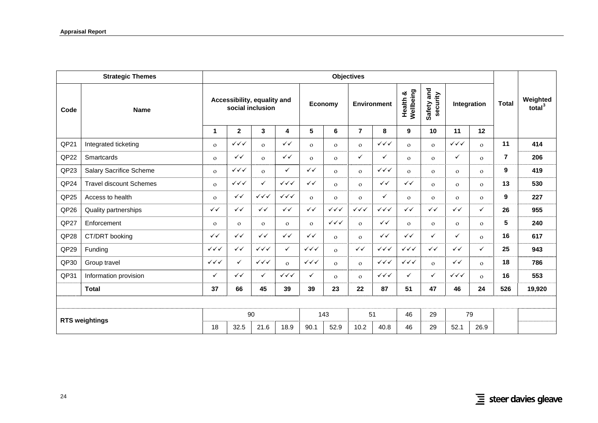|                       | <b>Strategic Themes</b>        | <b>Objectives</b>                               |                                  |                        |                        |                        |                        |                                  |                                  |                           |                        |                        |              |                |                                |
|-----------------------|--------------------------------|-------------------------------------------------|----------------------------------|------------------------|------------------------|------------------------|------------------------|----------------------------------|----------------------------------|---------------------------|------------------------|------------------------|--------------|----------------|--------------------------------|
| Code                  | <b>Name</b>                    | Accessibility, equality and<br>social inclusion |                                  |                        |                        | Economy                |                        | <b>Environment</b>               |                                  | Wellbeing<br>න්<br>Health | Safety and<br>security | Integration            |              | <b>Total</b>   | Weighted<br>total <sup>3</sup> |
|                       |                                | 1                                               | $\mathbf{2}$                     | 3                      | 4                      | $5\phantom{.0}$        | 6                      | $\overline{7}$                   | 8                                | 9                         | 10                     | 11                     | 12           |                |                                |
| QP21                  | Integrated ticketing           | $\mathbf{o}$                                    | $\checkmark\checkmark$           | $\Omega$               | $\checkmark$           | $\Omega$               | $\mathbf{O}$           | $\mathbf{o}$                     | $\checkmark\checkmark$           | $\mathbf{o}$              | $\mathbf{O}$           | $\checkmark\checkmark$ | $\Omega$     | 11             | 414                            |
| QP <sub>22</sub>      | <b>Smartcards</b>              | $\mathbf{o}$                                    | $\checkmark$                     | $\mathbf{O}$           | $\checkmark$           | $\Omega$               | $\mathbf{o}$           | ✓                                | ✓                                | $\mathbf{o}$              | $\mathbf{o}$           | ✓                      | $\Omega$     | $\overline{7}$ | 206                            |
| QP23                  | <b>Salary Sacrifice Scheme</b> | $\Omega$                                        | $\checkmark\checkmark\checkmark$ | $\mathbf{o}$           | ✓                      | $\checkmark$           | $\mathbf{o}$           | $\mathbf{o}$                     | $\checkmark\checkmark$           | $\mathbf{o}$              | $\mathbf{o}$           | $\Omega$               | $\mathbf{o}$ | 9              | 419                            |
| QP24                  | <b>Travel discount Schemes</b> | $\Omega$                                        | $\checkmark\checkmark$           | ✓                      | $\checkmark\checkmark$ | $\checkmark$           | $\mathbf{o}$           | $\mathbf{o}$                     | $\checkmark$                     | $\checkmark$              | $\mathbf{o}$           | $\Omega$               | $\Omega$     | 13             | 530                            |
| QP25                  | Access to health               | $\mathbf{o}$                                    | $\checkmark$                     | $\checkmark\checkmark$ | $\checkmark\checkmark$ | $\Omega$               | $\Omega$               | $\Omega$                         | ✓                                | $\mathbf{o}$              | $\mathbf{o}$           | $\Omega$               | $\Omega$     | 9              | 227                            |
| QP <sub>26</sub>      | Quality partnerships           | $\checkmark$                                    | $\checkmark$                     | $\checkmark$           | $\checkmark$           | $\checkmark$           | $\checkmark\checkmark$ | $\checkmark\checkmark\checkmark$ | $\checkmark\checkmark$           | $\checkmark$              | $\checkmark$           | $\checkmark$           | ✓            | 26             | 955                            |
| QP27                  | Enforcement                    | $\mathbf{o}$                                    | $\Omega$                         | $\Omega$               | $\mathbf{o}$           | $\mathbf{o}$           | $\checkmark\checkmark$ | $\mathbf{o}$                     | $\checkmark$                     | $\Omega$                  | $\mathbf{O}$           | $\mathbf{O}$           | $\Omega$     | 5              | 240                            |
| QP28                  | CT/DRT booking                 | $\checkmark$                                    | $\checkmark$                     | $\checkmark$           | $\checkmark$           | $\checkmark$           | $\mathbf{O}$           | $\Omega$                         | $\checkmark$                     | $\checkmark$              | $\checkmark$           | $\checkmark$           | $\Omega$     | 16             | 617                            |
| QP29                  | Funding                        | $\checkmark\checkmark$                          | $\checkmark$                     | $\checkmark\checkmark$ | $\checkmark$           | $\checkmark\checkmark$ | $\Omega$               | $\checkmark$                     | $\checkmark\checkmark\checkmark$ | $\checkmark\checkmark$    | $\checkmark$           | $\checkmark$           | ✓            | 25             | 943                            |
| QP30                  | Group travel                   | $\checkmark\checkmark$                          | $\checkmark$                     | $\checkmark\checkmark$ | $\mathbf{o}$           | $\checkmark\checkmark$ | $\Omega$               | $\mathbf{o}$                     | $\checkmark\checkmark$           | $\checkmark\checkmark$    | $\mathbf{o}$           | $\checkmark$           | $\Omega$     | 18             | 786                            |
| QP31                  | Information provision          | $\checkmark$                                    | $\checkmark$                     | $\checkmark$           | $\checkmark\checkmark$ | ✓                      | $\Omega$               | $\Omega$                         | $\checkmark\checkmark$           | ✓                         | $\checkmark$           | $\checkmark\checkmark$ | $\Omega$     | 16             | 553                            |
|                       | <b>Total</b>                   | 37                                              | 66                               | 45                     | 39                     | 39                     | 23                     | 22                               | 87                               | 51                        | 47                     | 46                     | 24           | 526            | 19,920                         |
|                       |                                |                                                 |                                  |                        |                        |                        |                        |                                  |                                  |                           |                        |                        |              |                |                                |
|                       |                                |                                                 |                                  | 90                     |                        | 143                    |                        | 51                               |                                  | 46                        | 29                     | 79                     |              |                |                                |
| <b>RTS weightings</b> |                                | 18                                              | 32.5                             | 21.6                   | 18.9                   | 90.1                   | 52.9                   | 10.2                             | 40.8                             | 46                        | 29                     | 52.1                   | 26.9         |                |                                |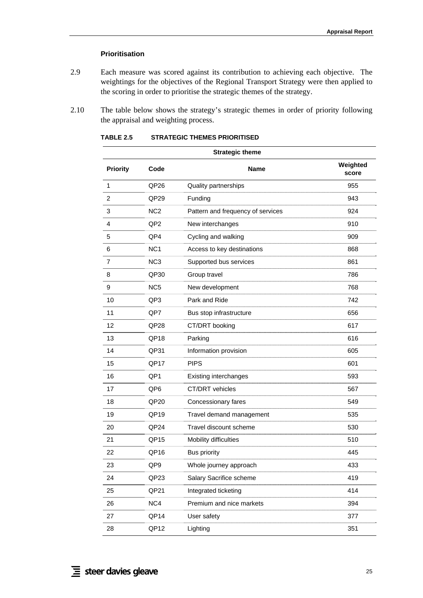## **Prioritisation**

- <span id="page-40-0"></span>2.9 Each measure was scored against its contribution to achieving each objective. The weightings for the objectives of the Regional Transport Strategy were then applied to the scoring in order to prioritise the strategic themes of the strategy.
- 2.10 The table below shows the strategy's strategic themes in order of priority following the appraisal and weighting process.

| <b>Strategic theme</b> |                  |                                   |                   |  |
|------------------------|------------------|-----------------------------------|-------------------|--|
| <b>Priority</b>        | Code<br>Name     |                                   | Weighted<br>score |  |
| 1                      | QP <sub>26</sub> | Quality partnerships              | 955               |  |
| 2                      | QP <sub>29</sub> | Funding                           | 943               |  |
| 3                      | NC <sub>2</sub>  | Pattern and frequency of services | 924               |  |
| 4                      | QP <sub>2</sub>  | New interchanges                  | 910               |  |
| 5                      | QP4              | Cycling and walking               | 909               |  |
| 6                      | NC <sub>1</sub>  | Access to key destinations        | 868               |  |
| $\overline{7}$         | NC <sub>3</sub>  | Supported bus services            | 861               |  |
| 8                      | QP30             | Group travel                      | 786               |  |
| 9                      | NC <sub>5</sub>  | New development                   | 768               |  |
| 10                     | QP3              | Park and Ride                     | 742               |  |
| 11                     | QP7              | Bus stop infrastructure           | 656               |  |
| 12                     | QP <sub>28</sub> | CT/DRT booking                    | 617               |  |
| 13                     | QP <sub>18</sub> | Parking                           | 616               |  |
| 14                     | QP31             | Information provision             | 605               |  |
| 15                     | QP17             | <b>PIPS</b>                       | 601               |  |
| 16                     | QP1              | Existing interchanges             | 593               |  |
| 17                     | QP <sub>6</sub>  | CT/DRT vehicles<br>567            |                   |  |
| 18                     | QP <sub>20</sub> | Concessionary fares<br>549        |                   |  |
| 19                     | QP <sub>19</sub> | Travel demand management<br>535   |                   |  |
| 20                     | QP <sub>24</sub> | Travel discount scheme<br>530     |                   |  |
| 21                     | QP <sub>15</sub> | Mobility difficulties<br>510      |                   |  |
| 22                     | QP <sub>16</sub> | <b>Bus priority</b><br>445        |                   |  |
| 23                     | QP9              | Whole journey approach<br>433     |                   |  |
| 24                     | QP <sub>23</sub> | Salary Sacrifice scheme           | 419               |  |
| 25                     | QP21             | Integrated ticketing              | 414               |  |
| 26                     | NC4              | Premium and nice markets          | 394               |  |
| 27                     | QP14             | User safety<br>377                |                   |  |
| 28                     | QP12             | 351<br>Lighting                   |                   |  |

**TABLE 2.5 STRATEGIC THEMES PRIORITISED** 

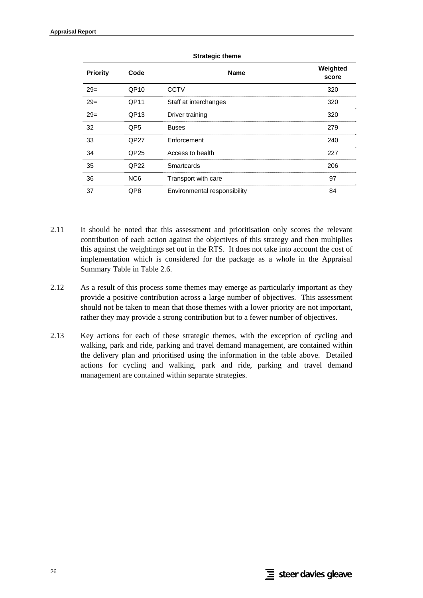| <b>Strategic theme</b> |                  |                                  |     |  |  |  |
|------------------------|------------------|----------------------------------|-----|--|--|--|
| <b>Priority</b>        | Code             | Weighted<br><b>Name</b><br>score |     |  |  |  |
| $29=$                  | QP <sub>10</sub> | <b>CCTV</b>                      | 320 |  |  |  |
| $29=$                  | QP11             | Staff at interchanges            | 320 |  |  |  |
| $29=$                  | QP <sub>13</sub> | Driver training<br>320           |     |  |  |  |
| 32                     | QP5              | <b>Buses</b>                     | 279 |  |  |  |
| 33                     | QP27             | Enforcement<br>240               |     |  |  |  |
| 34                     | QP <sub>25</sub> | Access to health<br>227          |     |  |  |  |
| 35                     | QP <sub>22</sub> | Smartcards<br>206                |     |  |  |  |
| 36                     | NC <sub>6</sub>  | 97<br>Transport with care        |     |  |  |  |
| 37                     | QP8              | Environmental responsibility     | 84  |  |  |  |

- 2.11 It should be noted that this assessment and prioritisation only scores the relevant contribution of each action against the objectives of this strategy and then multiplies this against the weightings set out in the RTS. It does not take into account the cost of implementation which is considered for the package as a whole in the Appraisal Summary Table in [Table 2.6.](#page-42-0)
- 2.12 As a result of this process some themes may emerge as particularly important as they provide a positive contribution across a large number of objectives. This assessment should not be taken to mean that those themes with a lower priority are not important, rather they may provide a strong contribution but to a fewer number of objectives.
- 2.13 Key actions for each of these strategic themes, with the exception of cycling and walking, park and ride, parking and travel demand management, are contained within the delivery plan and prioritised using the information in the table above. Detailed actions for cycling and walking, park and ride, parking and travel demand management are contained within separate strategies.

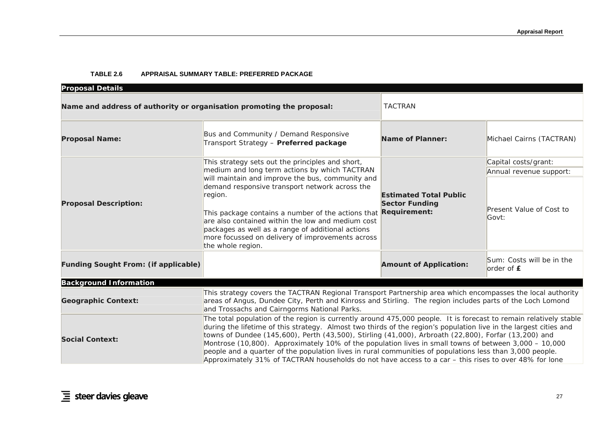#### **TABLE 2.6 APPRAISAL SUMMARY TABLE: PREFERRED PACKAGE**

<span id="page-42-0"></span>

| <b>Proposal Details</b>                                               |                                                                                                                                                                                                                                                                                                                                                                                                                                                                                                                                                                                                                                                                              |                                                                               |                                           |  |
|-----------------------------------------------------------------------|------------------------------------------------------------------------------------------------------------------------------------------------------------------------------------------------------------------------------------------------------------------------------------------------------------------------------------------------------------------------------------------------------------------------------------------------------------------------------------------------------------------------------------------------------------------------------------------------------------------------------------------------------------------------------|-------------------------------------------------------------------------------|-------------------------------------------|--|
| Name and address of authority or organisation promoting the proposal: |                                                                                                                                                                                                                                                                                                                                                                                                                                                                                                                                                                                                                                                                              | <b>TACTRAN</b>                                                                |                                           |  |
| <b>Proposal Name:</b>                                                 | Bus and Community / Demand Responsive<br>Transport Strategy - Preferred package                                                                                                                                                                                                                                                                                                                                                                                                                                                                                                                                                                                              | <b>Name of Planner:</b>                                                       | Michael Cairns (TACTRAN)                  |  |
|                                                                       | This strategy sets out the principles and short,                                                                                                                                                                                                                                                                                                                                                                                                                                                                                                                                                                                                                             |                                                                               | Capital costs/grant:                      |  |
|                                                                       | medium and long term actions by which TACTRAN                                                                                                                                                                                                                                                                                                                                                                                                                                                                                                                                                                                                                                |                                                                               | Annual revenue support:                   |  |
| <b>Proposal Description:</b>                                          | will maintain and improve the bus, community and<br>demand responsive transport network across the<br>region.<br>This package contains a number of the actions that<br>are also contained within the low and medium cost<br>packages as well as a range of additional actions<br>more focussed on delivery of improvements across<br>the whole region.                                                                                                                                                                                                                                                                                                                       | <b>Estimated Total Public</b><br><b>Sector Funding</b><br><b>Requirement:</b> | Present Value of Cost to<br>Govt:         |  |
| <b>Funding Sought From: (if applicable)</b>                           |                                                                                                                                                                                                                                                                                                                                                                                                                                                                                                                                                                                                                                                                              | <b>Amount of Application:</b>                                                 | Sum: Costs will be in the<br>order of $E$ |  |
| <b>Background Information</b>                                         |                                                                                                                                                                                                                                                                                                                                                                                                                                                                                                                                                                                                                                                                              |                                                                               |                                           |  |
| <b>Geographic Context:</b>                                            | This strategy covers the TACTRAN Regional Transport Partnership area which encompasses the local authority<br>areas of Angus, Dundee City, Perth and Kinross and Stirling. The region includes parts of the Loch Lomond<br>and Trossachs and Cairngorms National Parks.                                                                                                                                                                                                                                                                                                                                                                                                      |                                                                               |                                           |  |
| <b>Social Context:</b>                                                | The total population of the region is currently around 475,000 people. It is forecast to remain relatively stable<br>during the lifetime of this strategy. Almost two thirds of the region's population live in the largest cities and<br>towns of Dundee (145,600), Perth (43,500), Stirling (41,000), Arbroath (22,800), Forfar (13,200) and<br>Montrose (10,800). Approximately 10% of the population lives in small towns of between 3,000 - 10,000<br>people and a quarter of the population lives in rural communities of populations less than 3,000 people.<br>Approximately 31% of TACTRAN households do not have access to a car - this rises to over 48% for lone |                                                                               |                                           |  |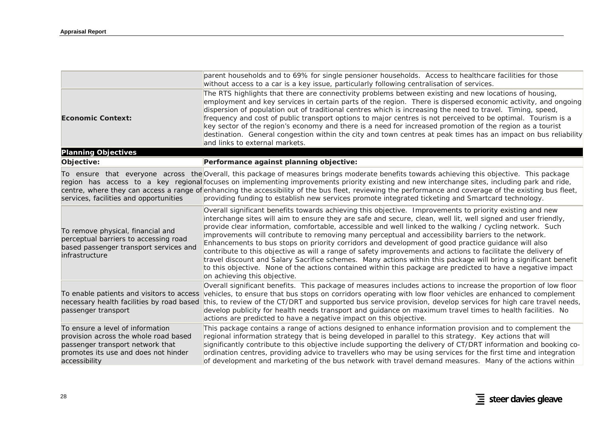|                                                                                                                                                                        | parent households and to 69% for single pensioner households. Access to healthcare facilities for those<br>without access to a car is a key issue, particularly following centralisation of services.                                                                                                                                                                                                                                                                                                                                                                                                                                                                                                                                                                                                                                                                                                                                     |
|------------------------------------------------------------------------------------------------------------------------------------------------------------------------|-------------------------------------------------------------------------------------------------------------------------------------------------------------------------------------------------------------------------------------------------------------------------------------------------------------------------------------------------------------------------------------------------------------------------------------------------------------------------------------------------------------------------------------------------------------------------------------------------------------------------------------------------------------------------------------------------------------------------------------------------------------------------------------------------------------------------------------------------------------------------------------------------------------------------------------------|
| <b>Economic Context:</b>                                                                                                                                               | The RTS highlights that there are connectivity problems between existing and new locations of housing,<br>employment and key services in certain parts of the region. There is dispersed economic activity, and ongoing<br>dispersion of population out of traditional centres which is increasing the need to travel. Timing, speed,<br>frequency and cost of public transport options to major centres is not perceived to be optimal. Tourism is a<br>key sector of the region's economy and there is a need for increased promotion of the region as a tourist<br>destination. General congestion within the city and town centres at peak times has an impact on bus reliability<br>and links to external markets.                                                                                                                                                                                                                   |
| <b>Planning Objectives</b>                                                                                                                                             |                                                                                                                                                                                                                                                                                                                                                                                                                                                                                                                                                                                                                                                                                                                                                                                                                                                                                                                                           |
| Objective:                                                                                                                                                             | Performance against planning objective:                                                                                                                                                                                                                                                                                                                                                                                                                                                                                                                                                                                                                                                                                                                                                                                                                                                                                                   |
| services, facilities and opportunities                                                                                                                                 | To ensure that everyone across the Overall, this package of measures brings moderate benefits towards achieving this objective. This package<br>region has access to a key regional focuses on implementing improvements priority existing and new interchange sites, including park and ride,<br>centre, where they can access a range of enhancing the accessibility of the bus fleet, reviewing the performance and coverage of the existing bus fleet,<br>providing funding to establish new services promote integrated ticketing and Smartcard technology.                                                                                                                                                                                                                                                                                                                                                                          |
| To remove physical, financial and<br>perceptual barriers to accessing road<br>based passenger transport services and<br>infrastructure                                 | Overall significant benefits towards achieving this objective. Improvements to priority existing and new<br>interchange sites will aim to ensure they are safe and secure, clean, well lit, well signed and user friendly,<br>provide clear information, comfortable, accessible and well linked to the walking / cycling network. Such<br>improvements will contribute to removing many perceptual and accessibility barriers to the network.<br>Enhancements to bus stops on priority corridors and development of good practice guidance will also<br>contribute to this objective as will a range of safety improvements and actions to facilitate the delivery of<br>travel discount and Salary Sacrifice schemes. Many actions within this package will bring a significant benefit<br>to this objective. None of the actions contained within this package are predicted to have a negative impact<br>on achieving this objective. |
| To enable patients and visitors to access<br>necessary health facilities by road based<br>passenger transport                                                          | Overall significant benefits. This package of measures includes actions to increase the proportion of low floor<br>vehicles, to ensure that bus stops on corridors operating with low floor vehicles are enhanced to complement<br>this, to review of the CT/DRT and supported bus service provision, develop services for high care travel needs,<br>develop publicity for health needs transport and guidance on maximum travel times to health facilities. No<br>actions are predicted to have a negative impact on this objective.                                                                                                                                                                                                                                                                                                                                                                                                    |
| To ensure a level of information<br>provision across the whole road based<br>passenger transport network that<br>promotes its use and does not hinder<br>accessibility | This package contains a range of actions designed to enhance information provision and to complement the<br>regional information strategy that is being developed in parallel to this strategy. Key actions that will<br>significantly contribute to this objective include supporting the delivery of CT/DRT information and booking co-<br>ordination centres, providing advice to travellers who may be using services for the first time and integration<br>of development and marketing of the bus network with travel demand measures. Many of the actions within                                                                                                                                                                                                                                                                                                                                                                   |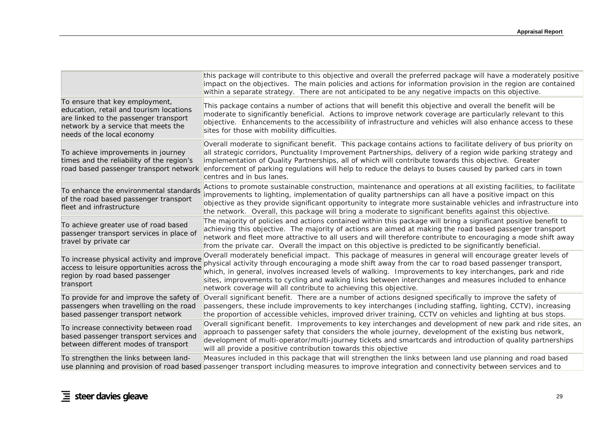|                                                                                                                                                                                         | this package will contribute to this objective and overall the preferred package will have a moderately positive<br>impact on the objectives. The main policies and actions for information provision in the region are contained<br>within a separate strategy. There are not anticipated to be any negative impacts on this objective.                                                                                                                                                                         |
|-----------------------------------------------------------------------------------------------------------------------------------------------------------------------------------------|------------------------------------------------------------------------------------------------------------------------------------------------------------------------------------------------------------------------------------------------------------------------------------------------------------------------------------------------------------------------------------------------------------------------------------------------------------------------------------------------------------------|
| To ensure that key employment,<br>education, retail and tourism locations<br>are linked to the passenger transport<br>network by a service that meets the<br>needs of the local economy | This package contains a number of actions that will benefit this objective and overall the benefit will be<br>moderate to significantly beneficial. Actions to improve network coverage are particularly relevant to this<br>objective. Enhancements to the accessibility of infrastructure and vehicles will also enhance access to these<br>sites for those with mobility difficulties.                                                                                                                        |
| To achieve improvements in journey<br>times and the reliability of the region's<br>road based passenger transport network                                                               | Overall moderate to significant benefit. This package contains actions to facilitate delivery of bus priority on<br>all strategic corridors, Punctuality Improvement Partnerships, delivery of a region wide parking strategy and<br>implementation of Quality Partnerships, all of which will contribute towards this objective. Greater<br>enforcement of parking regulations will help to reduce the delays to buses caused by parked cars in town<br>centres and in bus lanes.                               |
| To enhance the environmental standards<br>of the road based passenger transport<br>fleet and infrastructure                                                                             | Actions to promote sustainable construction, maintenance and operations at all existing facilities, to facilitate<br>improvements to lighting, implementation of quality partnerships can all have a positive impact on this<br>objective as they provide significant opportunity to integrate more sustainable vehicles and infrastructure into<br>the network. Overall, this package will bring a moderate to significant benefits against this objective.                                                     |
| To achieve greater use of road based<br>passenger transport services in place of<br>travel by private car                                                                               | The majority of policies and actions contained within this package will bring a significant positive benefit to<br>achieving this objective. The majority of actions are aimed at making the road based passenger transport<br>network and fleet more attractive to all users and will therefore contribute to encouraging a mode shift away<br>from the private car. Overall the impact on this objective is predicted to be significantly beneficial.                                                          |
| To increase physical activity and improve<br>access to leisure opportunities across the<br>region by road based passenger<br>transport                                                  | Overall moderately beneficial impact. This package of measures in general will encourage greater levels of<br>physical activity through encouraging a mode shift away from the car to road based passenger transport,<br>which, in general, involves increased levels of walking. Improvements to key interchanges, park and ride<br>sites, improvements to cycling and walking links between interchanges and measures included to enhance<br>network coverage will all contribute to achieving this objective. |
| To provide for and improve the safety of<br>passengers when travelling on the road<br>based passenger transport network                                                                 | Overall significant benefit. There are a number of actions designed specifically to improve the safety of<br>passengers, these include improvements to key interchanges (including staffing, lighting, CCTV), increasing<br>the proportion of accessible vehicles, improved driver training, CCTV on vehicles and lighting at bus stops.                                                                                                                                                                         |
| To increase connectivity between road<br>based passenger transport services and<br>between different modes of transport                                                                 | Overall significant benefit. Improvements to key interchanges and development of new park and ride sites, an<br>approach to passenger safety that considers the whole journey, development of the existing bus network,<br>development of multi-operator/multi-journey tickets and smartcards and introduction of quality partnerships<br>will all provide a positive contribution towards this objective                                                                                                        |
| To strengthen the links between land-                                                                                                                                                   | Measures included in this package that will strengthen the links between land use planning and road based<br>use planning and provision of road based passenger transport including measures to improve integration and connectivity between services and to                                                                                                                                                                                                                                                     |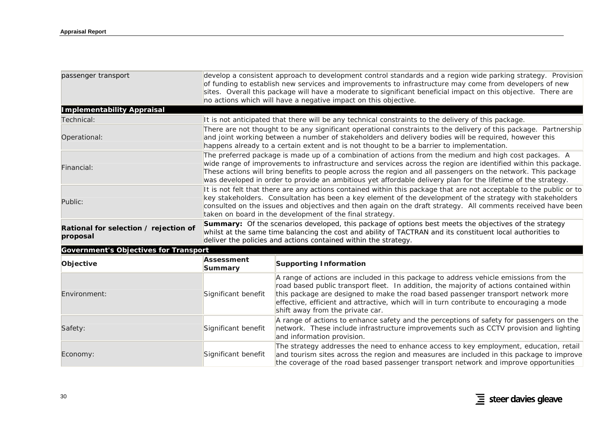| passenger transport                               | develop a consistent approach to development control standards and a region wide parking strategy. Provision<br>of funding to establish new services and improvements to infrastructure may come from developers of new<br>sites. Overall this package will have a moderate to significant beneficial impact on this objective. There are<br>no actions which will have a negative impact on this objective.                                                |                                                                                                                                                                                                                                                                                                                                                                                                        |  |
|---------------------------------------------------|-------------------------------------------------------------------------------------------------------------------------------------------------------------------------------------------------------------------------------------------------------------------------------------------------------------------------------------------------------------------------------------------------------------------------------------------------------------|--------------------------------------------------------------------------------------------------------------------------------------------------------------------------------------------------------------------------------------------------------------------------------------------------------------------------------------------------------------------------------------------------------|--|
| <b>Implementability Appraisal</b>                 |                                                                                                                                                                                                                                                                                                                                                                                                                                                             |                                                                                                                                                                                                                                                                                                                                                                                                        |  |
| Technical:                                        | It is not anticipated that there will be any technical constraints to the delivery of this package.                                                                                                                                                                                                                                                                                                                                                         |                                                                                                                                                                                                                                                                                                                                                                                                        |  |
| Operational:                                      | There are not thought to be any significant operational constraints to the delivery of this package. Partnership<br>and joint working between a number of stakeholders and delivery bodies will be required, however this<br>happens already to a certain extent and is not thought to be a barrier to implementation.                                                                                                                                      |                                                                                                                                                                                                                                                                                                                                                                                                        |  |
| Financial:                                        | The preferred package is made up of a combination of actions from the medium and high cost packages. A<br>wide range of improvements to infrastructure and services across the region are identified within this package.<br>These actions will bring benefits to people across the region and all passengers on the network. This package<br>was developed in order to provide an ambitious yet affordable delivery plan for the lifetime of the strategy. |                                                                                                                                                                                                                                                                                                                                                                                                        |  |
| Public:                                           | It is not felt that there are any actions contained within this package that are not acceptable to the public or to<br>key stakeholders. Consultation has been a key element of the development of the strategy with stakeholders<br>consulted on the issues and objectives and then again on the draft strategy. All comments received have been<br>taken on board in the development of the final strategy.                                               |                                                                                                                                                                                                                                                                                                                                                                                                        |  |
| Rational for selection / rejection of<br>proposal | <b>Summary:</b> Of the scenarios developed, this package of options best meets the objectives of the strategy<br>whilst at the same time balancing the cost and ability of TACTRAN and its constituent local authorities to<br>deliver the policies and actions contained within the strategy.                                                                                                                                                              |                                                                                                                                                                                                                                                                                                                                                                                                        |  |
| <b>Government's Objectives for Transport</b>      |                                                                                                                                                                                                                                                                                                                                                                                                                                                             |                                                                                                                                                                                                                                                                                                                                                                                                        |  |
| Objective                                         | <b>Assessment</b><br>Summary                                                                                                                                                                                                                                                                                                                                                                                                                                | <b>Supporting Information</b>                                                                                                                                                                                                                                                                                                                                                                          |  |
| Environment:                                      | Significant benefit                                                                                                                                                                                                                                                                                                                                                                                                                                         | A range of actions are included in this package to address vehicle emissions from the<br>road based public transport fleet. In addition, the majority of actions contained within<br>this package are designed to make the road based passenger transport network more<br>effective, efficient and attractive, which will in turn contribute to encouraging a mode<br>shift away from the private car. |  |
| Safety:                                           | Significant benefit                                                                                                                                                                                                                                                                                                                                                                                                                                         | A range of actions to enhance safety and the perceptions of safety for passengers on the<br>network. These include infrastructure improvements such as CCTV provision and lighting<br>and information provision.                                                                                                                                                                                       |  |
| Economy:                                          | Significant benefit                                                                                                                                                                                                                                                                                                                                                                                                                                         | The strategy addresses the need to enhance access to key employment, education, retail<br>and tourism sites across the region and measures are included in this package to improve<br>the coverage of the road based passenger transport network and improve opportunities                                                                                                                             |  |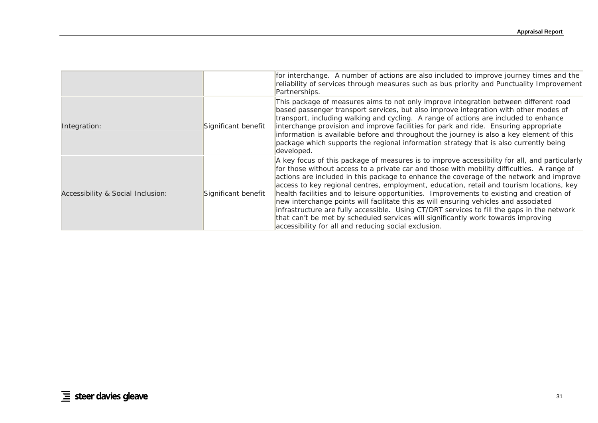|                                   |                     | for interchange. A number of actions are also included to improve journey times and the<br>reliability of services through measures such as bus priority and Punctuality Improvement<br>Partnerships.                                                                                                                                                                                                                                                                                                                                                                                                                                                                                                                                                                                                             |
|-----------------------------------|---------------------|-------------------------------------------------------------------------------------------------------------------------------------------------------------------------------------------------------------------------------------------------------------------------------------------------------------------------------------------------------------------------------------------------------------------------------------------------------------------------------------------------------------------------------------------------------------------------------------------------------------------------------------------------------------------------------------------------------------------------------------------------------------------------------------------------------------------|
| Integration:                      | Significant benefit | This package of measures aims to not only improve integration between different road<br>based passenger transport services, but also improve integration with other modes of<br>transport, including walking and cycling. A range of actions are included to enhance<br>interchange provision and improve facilities for park and ride. Ensuring appropriate<br>information is available before and throughout the journey is also a key element of this<br>package which supports the regional information strategy that is also currently being<br>developed.                                                                                                                                                                                                                                                   |
| Accessibility & Social Inclusion: | Significant benefit | A key focus of this package of measures is to improve accessibility for all, and particularly<br>for those without access to a private car and those with mobility difficulties. A range of<br>actions are included in this package to enhance the coverage of the network and improve<br>access to key regional centres, employment, education, retail and tourism locations, key<br>health facilities and to leisure opportunities. Improvements to existing and creation of<br>new interchange points will facilitate this as will ensuring vehicles and associated<br>infrastructure are fully accessible. Using CT/DRT services to fill the gaps in the network<br>that can't be met by scheduled services will significantly work towards improving<br>accessibility for all and reducing social exclusion. |